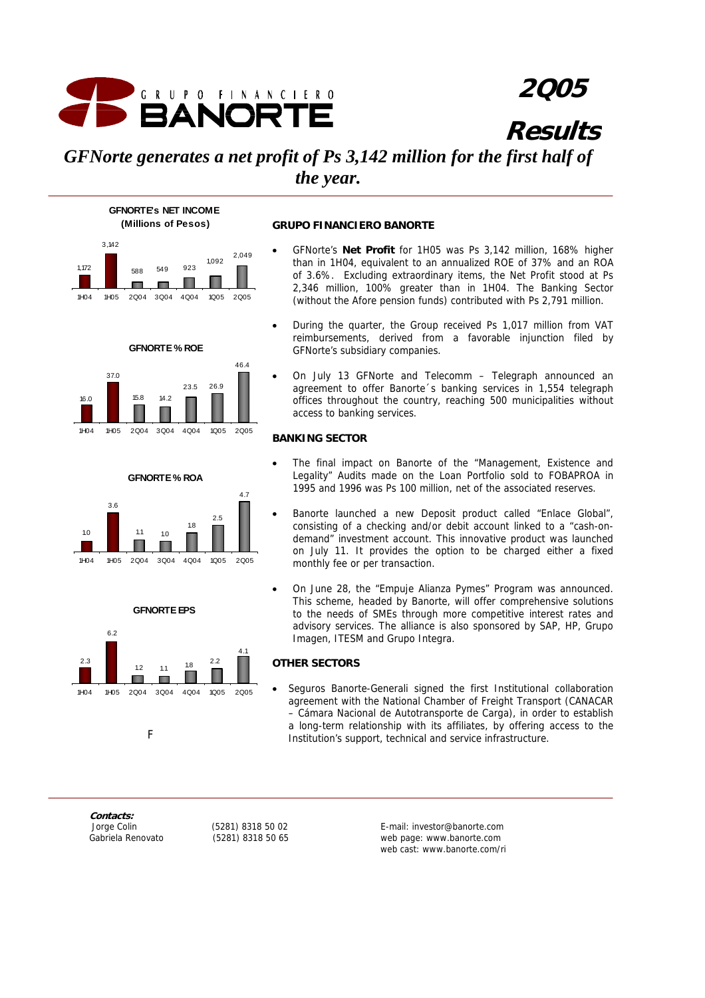

## **2Q05**

**Results**

## *GFNorte generates a net profit of Ps 3,142 million for the first half of the year.*













#### **GRUPO FINANCIERO BANORTE**

- GFNorte's **Net Profit** for 1H05 was Ps 3,142 million, 168% higher than in 1H04, equivalent to an annualized ROE of 37% and an ROA of 3.6%. Excluding extraordinary items, the Net Profit stood at Ps 2,346 million, 100% greater than in 1H04. The Banking Sector (without the Afore pension funds) contributed with Ps 2,791 million.
- During the quarter, the Group received Ps 1,017 million from VAT reimbursements, derived from a favorable injunction filed by GFNorte's subsidiary companies.
- On July 13 GFNorte and Telecomm Telegraph announced an agreement to offer Banorte´s banking services in 1,554 telegraph offices throughout the country, reaching 500 municipalities without access to banking services.

## **BANKING SECTOR**

- The final impact on Banorte of the "Management, Existence and Legality" Audits made on the Loan Portfolio sold to FOBAPROA in 1995 and 1996 was Ps 100 million, net of the associated reserves.
- Banorte launched a new Deposit product called "Enlace Global", consisting of a checking and/or debit account linked to a "cash-ondemand" investment account. This innovative product was launched on July 11. It provides the option to be charged either a fixed monthly fee or per transaction.
- On June 28, the "Empuje Alianza Pymes" Program was announced. This scheme, headed by Banorte, will offer comprehensive solutions to the needs of SMEs through more competitive interest rates and advisory services. The alliance is also sponsored by SAP, HP, Grupo Imagen, ITESM and Grupo Integra.

## **OTHER SECTORS**

• Seguros Banorte-Generali signed the first Institutional collaboration agreement with the National Chamber of Freight Transport (CANACAR – Cámara Nacional de Autotransporte de Carga), in order to establish a long-term relationship with its affiliates, by offering access to the Institution's support, technical and service infrastructure.

**Contacts:** 

 Jorge Colin (5281) 8318 50 02 E-mail: investor@banorte.com Gabriela Renovato (5281) 8318 50 65 web page: www.banorte.com web cast: www.banorte.com/ri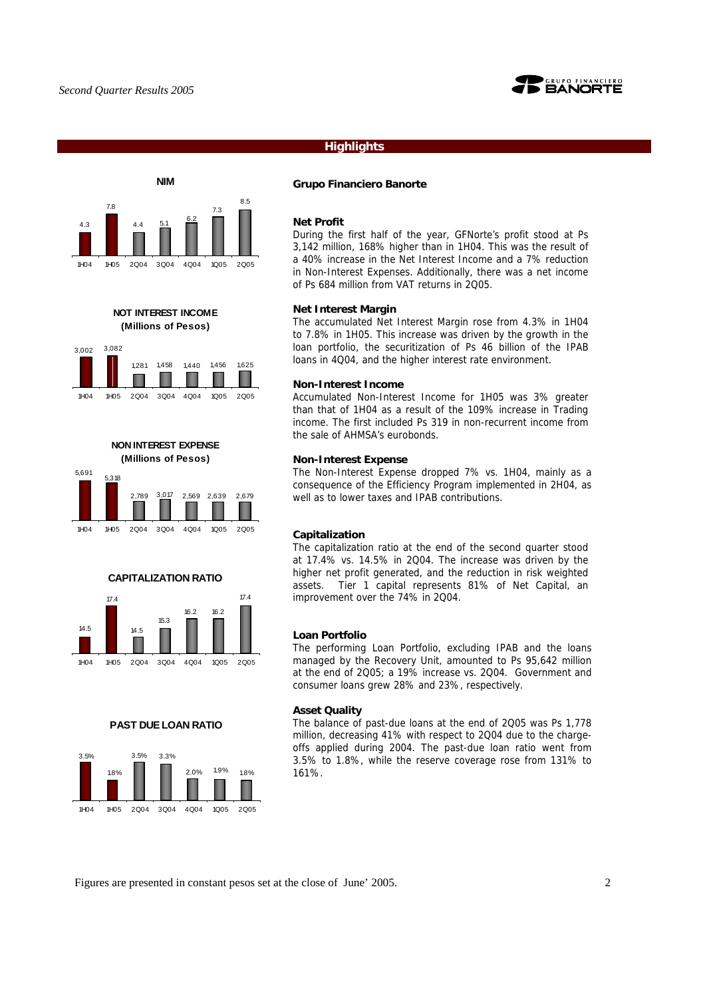

## **Highlights**



**NOT INTEREST INCOME (Millions of Pesos)**





## **CAPITALIZATION RATIO**



#### **PAST DUE LOAN RATIO**



## **Grupo Financiero Banorte**

#### **Net Profit**

During the first half of the year, GFNorte's profit stood at Ps 3,142 million, 168% higher than in 1H04. This was the result of a 40% increase in the Net Interest Income and a 7% reduction in Non-Interest Expenses. Additionally, there was a net income of Ps 684 million from VAT returns in 2Q05.

#### **Net Interest Margin**

The accumulated Net Interest Margin rose from 4.3% in 1H04 to 7.8% in 1H05. This increase was driven by the growth in the loan portfolio, the securitization of Ps 46 billion of the IPAB loans in 4Q04, and the higher interest rate environment.

#### **Non-Interest Income**

Accumulated Non-Interest Income for 1H05 was 3% greater than that of 1H04 as a result of the 109% increase in Trading income. The first included Ps 319 in non-recurrent income from the sale of AHMSA's eurobonds.

#### **Non-Interest Expense**

The Non-Interest Expense dropped 7% vs. 1H04, mainly as a consequence of the Efficiency Program implemented in 2H04, as well as to lower taxes and IPAB contributions.

#### **Capitalization**

The capitalization ratio at the end of the second quarter stood at 17.4% vs. 14.5% in 2Q04. The increase was driven by the higher net profit generated, and the reduction in risk weighted assets. Tier 1 capital represents 81% of Net Capital, an improvement over the 74% in 2Q04.

#### **Loan Portfolio**

The performing Loan Portfolio, excluding IPAB and the loans managed by the Recovery Unit, amounted to Ps 95,642 million at the end of 2Q05; a 19% increase vs. 2Q04. Government and consumer loans grew 28% and 23%, respectively.

## **Asset Quality**

The balance of past-due loans at the end of 2Q05 was Ps 1,778 million, decreasing 41% with respect to 2Q04 due to the chargeoffs applied during 2004. The past-due loan ratio went from 3.5% to 1.8%, while the reserve coverage rose from 131% to 161%.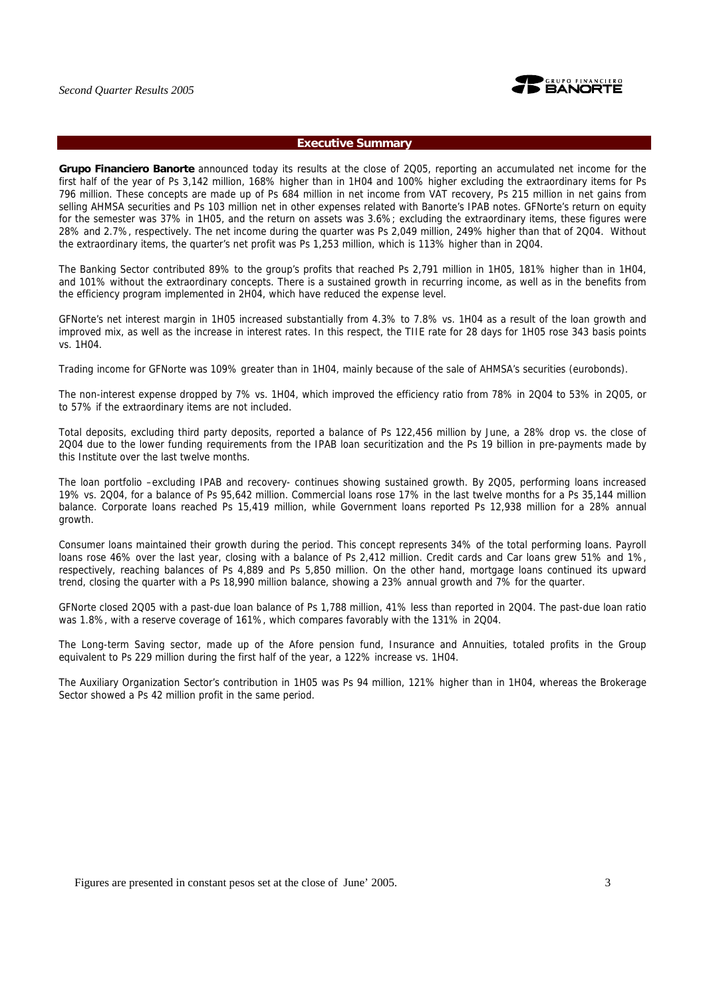

## **Executive Summary**

**Grupo Financiero Banorte** announced today its results at the close of 2Q05, reporting an accumulated net income for the first half of the year of Ps 3,142 million, 168% higher than in 1H04 and 100% higher excluding the extraordinary items for Ps 796 million. These concepts are made up of Ps 684 million in net income from VAT recovery, Ps 215 million in net gains from selling AHMSA securities and Ps 103 million net in other expenses related with Banorte's IPAB notes. GFNorte's return on equity for the semester was 37% in 1H05, and the return on assets was 3.6%; excluding the extraordinary items, these figures were 28% and 2.7%, respectively. The net income during the quarter was Ps 2,049 million, 249% higher than that of 2Q04. Without the extraordinary items, the quarter's net profit was Ps 1,253 million, which is 113% higher than in 2Q04.

The Banking Sector contributed 89% to the group's profits that reached Ps 2,791 million in 1H05, 181% higher than in 1H04, and 101% without the extraordinary concepts. There is a sustained growth in recurring income, as well as in the benefits from the efficiency program implemented in 2H04, which have reduced the expense level.

GFNorte's net interest margin in 1H05 increased substantially from 4.3% to 7.8% vs. 1H04 as a result of the loan growth and improved mix, as well as the increase in interest rates. In this respect, the TIIE rate for 28 days for 1H05 rose 343 basis points vs. 1H04.

Trading income for GFNorte was 109% greater than in 1H04, mainly because of the sale of AHMSA's securities (eurobonds).

The non-interest expense dropped by 7% vs. 1H04, which improved the efficiency ratio from 78% in 2Q04 to 53% in 2Q05, or to 57% if the extraordinary items are not included.

Total deposits, excluding third party deposits, reported a balance of Ps 122,456 million by June, a 28% drop vs. the close of 2Q04 due to the lower funding requirements from the IPAB loan securitization and the Ps 19 billion in pre-payments made by this Institute over the last twelve months.

The loan portfolio –excluding IPAB and recovery- continues showing sustained growth. By 2Q05, performing loans increased 19% vs. 2Q04, for a balance of Ps 95,642 million. Commercial loans rose 17% in the last twelve months for a Ps 35,144 million balance. Corporate loans reached Ps 15,419 million, while Government loans reported Ps 12,938 million for a 28% annual growth.

Consumer loans maintained their growth during the period. This concept represents 34% of the total performing loans. Payroll loans rose 46% over the last year, closing with a balance of Ps 2,412 million. Credit cards and Car loans grew 51% and 1%, respectively, reaching balances of Ps 4,889 and Ps 5,850 million. On the other hand, mortgage loans continued its upward trend, closing the quarter with a Ps 18,990 million balance, showing a 23% annual growth and 7% for the quarter.

GFNorte closed 2Q05 with a past-due loan balance of Ps 1,788 million, 41% less than reported in 2Q04. The past-due loan ratio was 1.8%, with a reserve coverage of 161%, which compares favorably with the 131% in 2Q04.

The Long-term Saving sector, made up of the Afore pension fund, Insurance and Annuities, totaled profits in the Group equivalent to Ps 229 million during the first half of the year, a 122% increase vs. 1H04.

The Auxiliary Organization Sector's contribution in 1H05 was Ps 94 million, 121% higher than in 1H04, whereas the Brokerage Sector showed a Ps 42 million profit in the same period.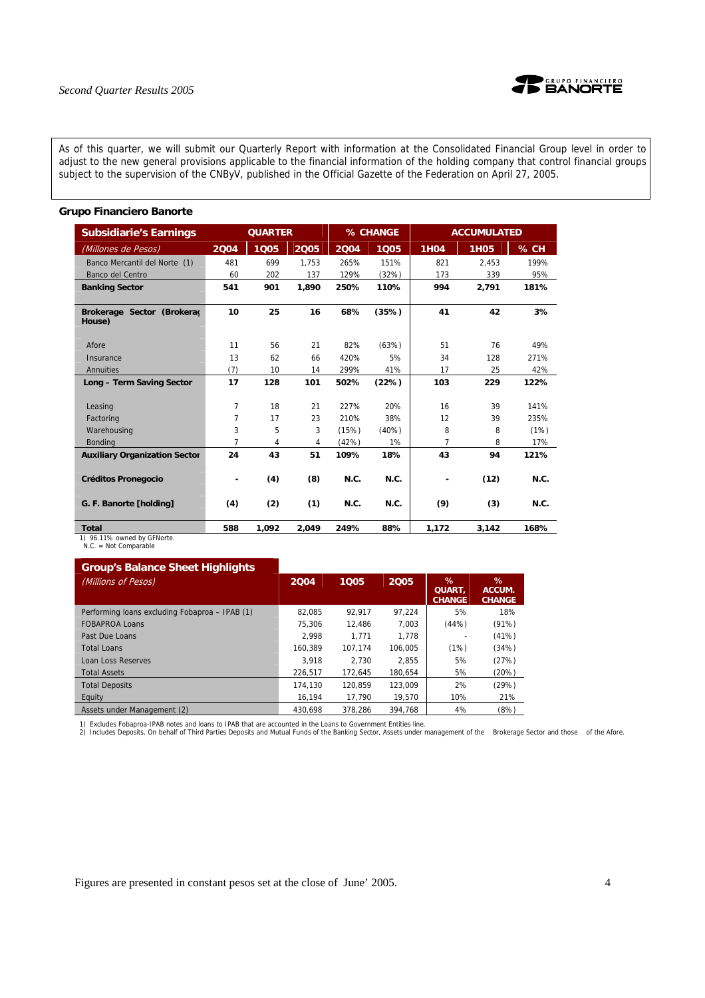

As of this quarter, we will submit our Quarterly Report with information at the Consolidated Financial Group level in order to adjust to the new general provisions applicable to the financial information of the holding company that control financial groups subject to the supervision of the CNByV, published in the Official Gazette of the Federation on April 27, 2005.

## **Grupo Financiero Banorte**

| <b>Subsidiarie's Earnings</b>               |      | <b>QUARTER</b> |       |       | % CHANGE |             | <b>ACCUMULATED</b> |        |
|---------------------------------------------|------|----------------|-------|-------|----------|-------------|--------------------|--------|
| (Millones de Pe <u>sos)</u>                 | 2004 | 1005           | 2005  | 2004  | 1005     | <b>1H04</b> | <b>1H05</b>        | $%$ CH |
| Banco Mercantil del Norte (1)               | 481  | 699            | 1.753 | 265%  | 151%     | 821         | 2.453              | 199%   |
| Banco del Centro                            | 60   | 202            | 137   | 129%  | (32%)    | 173         | 339                | 95%    |
| <b>Banking Sector</b>                       | 541  | 901            | 1,890 | 250%  | 110%     | 994         | 2,791              | 181%   |
| Brokerage Sector (Brokerac<br>House)        | 10   | 25             | 16    | 68%   | (35%)    | 41          | 42                 | 3%     |
| Afore                                       | 11   | 56             | 21    | 82%   | (63%)    | 51          | 76                 | 49%    |
| Insurance                                   | 13   | 62             | 66    | 420%  | 5%       | 34          | 128                | 271%   |
| Annuities                                   | (7)  | 10             | 14    | 299%  | 41%      | 17          | 25                 | 42%    |
| Long - Term Saving Sector                   | 17   | 128            | 101   | 502%  | (22%)    | 103         | 229                | 122%   |
| Leasing                                     | 7    | 18             | 21    | 227%  | 20%      | 16          | 39                 | 141%   |
| Factoring                                   | 7    | 17             | 23    | 210%  | 38%      | 12          | 39                 | 235%   |
| Warehousing                                 | 3    | 5              | 3     | (15%) | $(40\%)$ | 8           | 8                  | (1%)   |
| Bonding                                     | 7    | 4              | 4     | (42%) | 1%       | 7           | 8                  | 17%    |
| <b>Auxiliary Organization Sector</b>        | 24   | 43             | 51    | 109%  | 18%      | 43          | 94                 | 121%   |
| <b>Créditos Pronegocio</b>                  | ۰    | (4)            | (8)   | N.C.  | N.C.     | ٠           | (12)               | N.C.   |
| G. F. Banorte [holding]                     | (4)  | (2)            | (1)   | N.C.  | N.C.     | (9)         | (3)                | N.C.   |
| <b>Total</b><br>1) 96.11% owned by GFNorte. | 588  | 1,092          | 2,049 | 249%  | 88%      | 1,172       | 3,142              | 168%   |

1) 96.11% owned by GFNorte. N.C. = Not Comparable

## **Group's Balance Sheet Highlights**

| (Millions of Pesos)                            | 2004    | 1005    | 2005    | %<br>QUART.<br><b>CHANGE</b> | %<br>ACCUM.<br><b>CHANGE</b> |
|------------------------------------------------|---------|---------|---------|------------------------------|------------------------------|
| Performing loans excluding Fobaproa - IPAB (1) | 82.085  | 92.917  | 97.224  | 5%                           | 18%                          |
| <b>FOBAPROA Loans</b>                          | 75.306  | 12.486  | 7.003   | (44%)                        | (91%)                        |
| Past Due Loans                                 | 2.998   | 1.771   | 1.778   | $\overline{\phantom{a}}$     | (41%)                        |
| <b>Total Loans</b>                             | 160.389 | 107.174 | 106.005 | (1%)                         | (34%)                        |
| Loan Loss Reserves                             | 3.918   | 2.730   | 2.855   | 5%                           | (27%)                        |
| <b>Total Assets</b>                            | 226.517 | 172.645 | 180.654 | 5%                           | (20%)                        |
| <b>Total Deposits</b>                          | 174.130 | 120.859 | 123.009 | 2%                           | (29%)                        |
| Equity                                         | 16.194  | 17.790  | 19.570  | 10%                          | 21%                          |
| Assets under Management (2)                    | 430.698 | 378.286 | 394.768 | 4%                           | (8%)                         |

1) Excludes Fobaproa-IPAB notes and loans to IPAB that are accounted in the Loans to Government Entities line.<br>2) Includes Deposits, On behalf of Third Parties Deposits and Mutual Funds of the Banking Sector, Assets under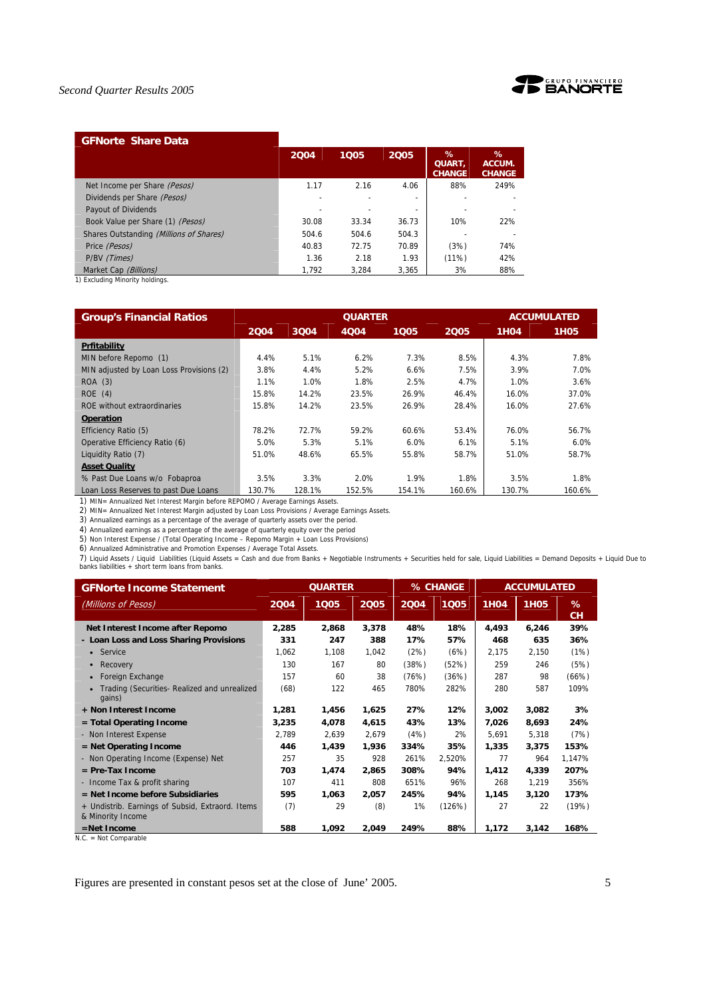

## **GFNorte Share Data**

|                                         | 2004  | 1005  | 2005  | ℅<br><b>QUART.</b><br><b>CHANGE</b> | $\%$<br>ACCUM.<br><b>CHANGE</b> |
|-----------------------------------------|-------|-------|-------|-------------------------------------|---------------------------------|
| Net Income per Share (Pesos)            | 1.17  | 2.16  | 4.06  | 88%                                 | 249%                            |
| Dividends per Share (Pesos)             |       |       | ٠     |                                     |                                 |
| Payout of Dividends                     |       |       | ٠     |                                     |                                 |
| Book Value per Share (1) (Pesos)        | 30.08 | 33.34 | 36.73 | 10%                                 | 22%                             |
| Shares Outstanding (Millions of Shares) | 504.6 | 504.6 | 504.3 |                                     |                                 |
| Price (Pesos)                           | 40.83 | 72.75 | 70.89 | (3%)                                | 74%                             |
| P/BV (Times)                            | 1.36  | 2.18  | 1.93  | (11%)                               | 42%                             |
| Market Cap (Billions)                   | 1.792 | 3.284 | 3.365 | 3%                                  | 88%                             |

1) Excluding Minority holdings.

| <b>Group's Financial Ratios</b>          |        |        | <b>QUARTER</b> |        |        |             | <b>ACCUMULATED</b> |
|------------------------------------------|--------|--------|----------------|--------|--------|-------------|--------------------|
|                                          | 2004   | 3004   | 4Q04           | 1005   | 2005   | <b>1H04</b> | <b>1H05</b>        |
| Prfitability                             |        |        |                |        |        |             |                    |
| MIN before Repomo (1)                    | 4.4%   | 5.1%   | 6.2%           | 7.3%   | 8.5%   | 4.3%        | 7.8%               |
| MIN adjusted by Loan Loss Provisions (2) | 3.8%   | 4.4%   | 5.2%           | 6.6%   | 7.5%   | 3.9%        | 7.0%               |
| ROA(3)                                   | 1.1%   | 1.0%   | 1.8%           | 2.5%   | 4.7%   | 1.0%        | 3.6%               |
| ROE(4)                                   | 15.8%  | 14.2%  | 23.5%          | 26.9%  | 46.4%  | 16.0%       | 37.0%              |
| ROE without extraordinaries              | 15.8%  | 14.2%  | 23.5%          | 26.9%  | 28.4%  | 16.0%       | 27.6%              |
| <b>Operation</b>                         |        |        |                |        |        |             |                    |
| Efficiency Ratio (5)                     | 78.2%  | 72.7%  | 59.2%          | 60.6%  | 53.4%  | 76.0%       | 56.7%              |
| Operative Efficiency Ratio (6)           | 5.0%   | 5.3%   | 5.1%           | 6.0%   | 6.1%   | 5.1%        | $6.0\%$            |
| Liquidity Ratio (7)                      | 51.0%  | 48.6%  | 65.5%          | 55.8%  | 58.7%  | 51.0%       | 58.7%              |
| <b>Asset Quality</b>                     |        |        |                |        |        |             |                    |
| % Past Due Loans w/o Fobaproa            | 3.5%   | 3.3%   | 2.0%           | 1.9%   | 1.8%   | 3.5%        | 1.8%               |
| Loan Loss Reserves to past Due Loans     | 130.7% | 128.1% | 152.5%         | 154.1% | 160.6% | 130.7%      | 160.6%             |

1) MIN= Annualized Net Interest Margin before REPOMO / Average Earnings Assets.

2) MIN= Annualized Net Interest Margin adjusted by Loan Loss Provisions / Average Earnings Assets.

3) Annualized earnings as a percentage of the average of quarterly assets over the period. 4) Annualized earnings as a percentage of the average of quarterly equity over the period

5) Non Interest Expense / (Total Operating Income – Repomo Margin + Loan Loss Provisions)

6) Annualized Administrative and Promotion Expenses / Average Total Assets.<br>7) Liquid Assets / Liquid Liabilities (Liquid Assets = Cash and due from Banks + Negotiable Instruments + Securities held for sale, Liquid Liabili banks liabilities + short term loans from banks.

| <b>GFNorte Income Statement</b>                                       |       | <b>QUARTER</b> |       |       | % CHANGE |             | <b>ACCUMULATED</b> |                |
|-----------------------------------------------------------------------|-------|----------------|-------|-------|----------|-------------|--------------------|----------------|
| (Millions of Pesos)                                                   | 2004  | 1005           | 2005  | 2004  | 1005     | <b>1H04</b> | <b>1H05</b>        | %<br><b>CH</b> |
| Net Interest Income after Repomo                                      | 2,285 | 2,868          | 3,378 | 48%   | 18%      | 4,493       | 6,246              | 39%            |
| - Loan Loss and Loss Sharing Provisions                               | 331   | 247            | 388   | 17%   | 57%      | 468         | 635                | 36%            |
| Service<br>$\bullet$                                                  | 1,062 | 1,108          | 1,042 | (2%)  | (6%)     | 2,175       | 2,150              | (1%)           |
| Recovery                                                              | 130   | 167            | 80    | (38%) | (52%)    | 259         | 246                | (5%)           |
| Foreign Exchange                                                      | 157   | 60             | 38    | (76%) | (36%)    | 287         | 98                 | (66%)          |
| Trading (Securities- Realized and unrealized<br>qains)                | (68)  | 122            | 465   | 780%  | 282%     | 280         | 587                | 109%           |
| + Non Interest Income                                                 | 1,281 | 1,456          | 1,625 | 27%   | 12%      | 3,002       | 3,082              | 3%             |
| $=$ Total Operating Income                                            | 3,235 | 4,078          | 4,615 | 43%   | 13%      | 7,026       | 8,693              | 24%            |
| - Non Interest Expense                                                | 2,789 | 2,639          | 2,679 | (4%)  | 2%       | 5,691       | 5,318              | (7%)           |
| $=$ Net Operating Income                                              | 446   | 1,439          | 1,936 | 334%  | 35%      | 1,335       | 3,375              | 153%           |
| - Non Operating Income (Expense) Net                                  | 257   | 35             | 928   | 261%  | 2,520%   | 77          | 964                | 1,147%         |
| $=$ Pre-Tax Income                                                    | 703   | 1,474          | 2,865 | 308%  | 94%      | 1,412       | 4,339              | 207%           |
| - Income Tax & profit sharing                                         | 107   | 411            | 808   | 651%  | 96%      | 268         | 1,219              | 356%           |
| $=$ Net Income before Subsidiaries                                    | 595   | 1,063          | 2,057 | 245%  | 94%      | 1,145       | 3,120              | 173%           |
| + Undistrib. Earnings of Subsid, Extraord. Items<br>& Minority Income | (7)   | 29             | (8)   | 1%    | (126%)   | 27          | 22                 | (19%)          |
| $=$ Net Income                                                        | 588   | 1,092          | 2,049 | 249%  | 88%      | 1,172       | 3,142              | 168%           |

N.C. = Not Comparable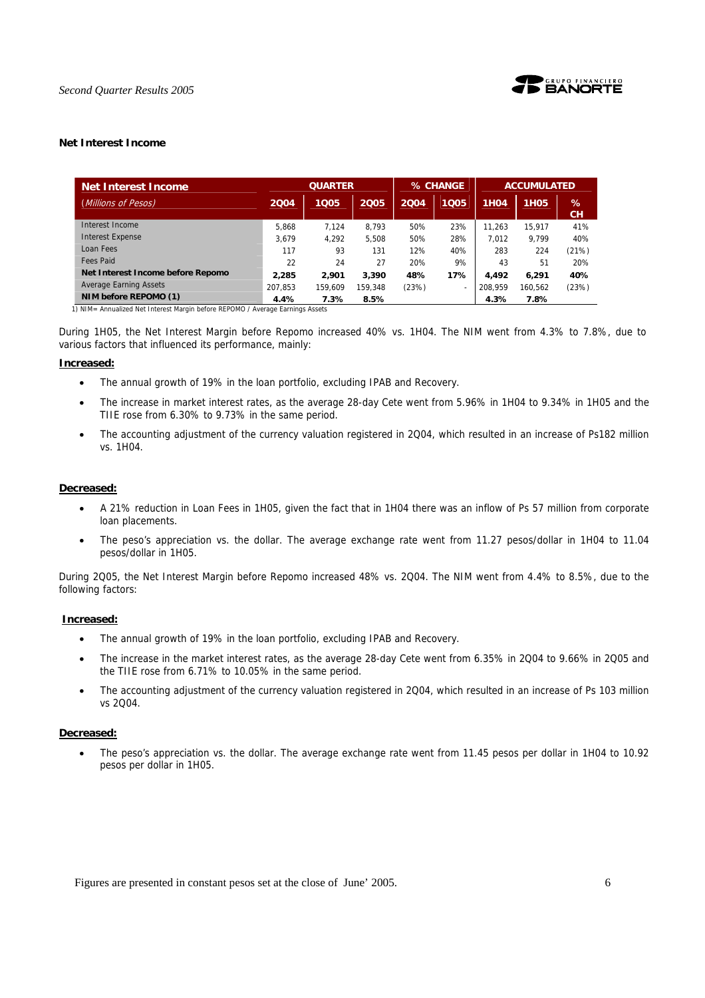

## **Net Interest Income**

| <b>Net Interest Income</b>        |         | <b>QUARTER</b> |         |       | % CHANGE |             | <b>ACCUMULATED</b> |                |  |
|-----------------------------------|---------|----------------|---------|-------|----------|-------------|--------------------|----------------|--|
| (Millions of Pesos)               | 2004    | 1005           | 2005    | 2004  | 1005     | <b>1H04</b> | 1H <sub>05</sub>   | %<br><b>CH</b> |  |
| Interest Income                   | 5.868   | 7.124          | 8.793   | 50%   | 23%      | 11.263      | 15.917             | 41%            |  |
| <b>Interest Expense</b>           | 3.679   | 4.292          | 5.508   | 50%   | 28%      | 7.012       | 9.799              | 40%            |  |
| Loan Fees                         | 117     | 93             | 131     | 12%   | 40%      | 283         | 224                | (21%)          |  |
| <b>Fees Paid</b>                  | 22      | 24             | 27      | 20%   | 9%       | 43          | 51                 | 20%            |  |
| Net Interest Income before Repomo | 2.285   | 2.901          | 3,390   | 48%   | 17%      | 4.492       | 6.291              | 40%            |  |
| <b>Average Earning Assets</b>     | 207.853 | 159.609        | 159.348 | (23%) | ٠        | 208.959     | 160.562            | (23%)          |  |
| NIM before REPOMO (1)             | 4.4%    | 7.3%           | 8.5%    |       |          | 4.3%        | 7.8%               |                |  |

During 1H05, the Net Interest Margin before Repomo increased 40% vs. 1H04. The NIM went from 4.3% to 7.8%, due to various factors that influenced its performance, mainly:

#### **Increased:**

- The annual growth of 19% in the loan portfolio, excluding IPAB and Recovery.
- The increase in market interest rates, as the average 28-day Cete went from 5.96% in 1H04 to 9.34% in 1H05 and the TIIE rose from 6.30% to 9.73% in the same period.
- The accounting adjustment of the currency valuation registered in 2004, which resulted in an increase of Ps182 million vs. 1H04.

#### **Decreased:**

- A 21% reduction in Loan Fees in 1H05, given the fact that in 1H04 there was an inflow of Ps 57 million from corporate loan placements.
- The peso's appreciation vs. the dollar. The average exchange rate went from 11.27 pesos/dollar in 1H04 to 11.04 pesos/dollar in 1H05.

During 2Q05, the Net Interest Margin before Repomo increased 48% vs. 2Q04. The NIM went from 4.4% to 8.5%, due to the following factors:

#### **Increased:**

- The annual growth of 19% in the loan portfolio, excluding IPAB and Recovery.
- The increase in the market interest rates, as the average 28-day Cete went from 6.35% in 2Q04 to 9.66% in 2Q05 and the TIIE rose from 6.71% to 10.05% in the same period.
- The accounting adjustment of the currency valuation registered in 2Q04, which resulted in an increase of Ps 103 million vs 2Q04.

#### **Decreased:**

• The peso's appreciation vs. the dollar. The average exchange rate went from 11.45 pesos per dollar in 1H04 to 10.92 pesos per dollar in 1H05.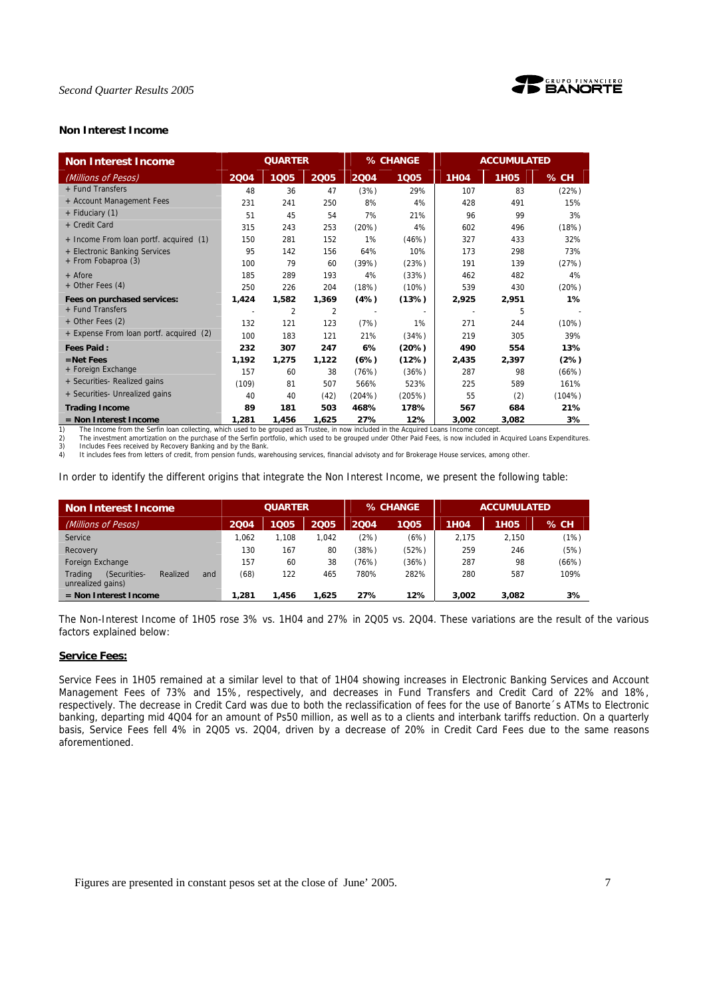

## **Non Interest Income**

| <b>Non Interest Income</b>              | <b>QUARTER</b> |       |       | % CHANGE |        | <b>ACCUMULATED</b> |             |        |
|-----------------------------------------|----------------|-------|-------|----------|--------|--------------------|-------------|--------|
| (Millions of Pesos)                     | 2004           | 1005  | 2005  | 2004     | 1005   | <b>1H04</b>        | <b>1H05</b> | $%$ CH |
| + Fund Transfers                        | 48             | 36    | 47    | (3%)     | 29%    | 107                | 83          | (22%)  |
| + Account Management Fees               | 231            | 241   | 250   | 8%       | 4%     | 428                | 491         | 15%    |
| + Fiduciary (1)                         | 51             | 45    | 54    | 7%       | 21%    | 96                 | 99          | 3%     |
| + Credit Card                           | 315            | 243   | 253   | (20%)    | 4%     | 602                | 496         | (18%)  |
| + Income From loan portf. acquired (1)  | 150            | 281   | 152   | 1%       | (46%)  | 327                | 433         | 32%    |
| + Electronic Banking Services           | 95             | 142   | 156   | 64%      | 10%    | 173                | 298         | 73%    |
| + From Fobaproa (3)                     | 100            | 79    | 60    | (39%)    | (23%)  | 191                | 139         | (27%)  |
| + Afore                                 | 185            | 289   | 193   | 4%       | (33%)  | 462                | 482         | 4%     |
| + Other Fees (4)                        | 250            | 226   | 204   | (18%)    | (10%)  | 539                | 430         | (20%)  |
| Fees on purchased services:             | 1,424          | 1,582 | 1,369 | (4%)     | (13%)  | 2,925              | 2,951       | 1%     |
| + Fund Transfers                        |                | 2     | 2     |          |        |                    | 5           |        |
| + Other Fees (2)                        | 132            | 121   | 123   | (7%)     | 1%     | 271                | 244         | (10%)  |
| + Expense From loan portf. acquired (2) | 100            | 183   | 121   | 21%      | (34%)  | 219                | 305         | 39%    |
| <b>Fees Paid:</b>                       | 232            | 307   | 247   | 6%       | (20%)  | 490                | 554         | 13%    |
| $=$ Net Fees                            | 1,192          | 1,275 | 1,122 | (6%)     | (12%)  | 2,435              | 2,397       | (2%)   |
| + Foreign Exchange                      | 157            | 60    | 38    | (76%)    | (36%)  | 287                | 98          | (66%)  |
| + Securities- Realized gains            | (109)          | 81    | 507   | 566%     | 523%   | 225                | 589         | 161%   |
| + Securities- Unrealized gains          | 40             | 40    | (42)  | (204%)   | (205%) | 55                 | (2)         | (104%) |
| <b>Trading Income</b>                   | 89             | 181   | 503   | 468%     | 178%   | 567                | 684         | 21%    |
| = Non Interest Income                   | 1,281          | 1,456 | 1,625 | 27%      | 12%    | 3,002              | 3,082       | 3%     |

2) The investment amortization on the purchase of the Serfin portfolio, which used to be grouped under Other Paid Fees, is now included in Acquired Loans Expenditures.<br>3) Includes Fees received by Recovery Banking and by t

4) It includes fees from letters of credit, from pension funds, warehousing services, financial advisoty and for Brokerage House services, among other.

In order to identify the different origins that integrate the Non Interest Income, we present the following table:

| <b>Non Interest Income</b>                                      |       | <b>QUARTER</b> |       |       | % CHANGE | <b>ACCUMULATED</b> |                  |        |
|-----------------------------------------------------------------|-------|----------------|-------|-------|----------|--------------------|------------------|--------|
| (Millions of Pesos)                                             | 2004  | 1Q05           | 2005  | 2004  | 1Q05     | 1H04               | 1H <sub>05</sub> | $%$ CH |
| Service                                                         | 1.062 | 1.108          | .042  | (2%)  | (6%)     | 2.175              | 2.150            | (1%)   |
| Recovery                                                        | 130   | 167            | 80    | (38%) | (52%)    | 259                | 246              | (5%)   |
| Foreign Exchange                                                | 157   | 60             | 38    | (76%) | (36%)    | 287                | 98               | (66%)  |
| Trading<br>(Securities-<br>Realized<br>and<br>unrealized gains) | (68)  | 122            | 465   | 780%  | 282%     | 280                | 587              | 109%   |
| $=$ Non Interest Income                                         | 1,281 | 1.456          | 1.625 | 27%   | 12%      | 3,002              | 3,082            | 3%     |

The Non-Interest Income of 1H05 rose 3% vs. 1H04 and 27% in 2Q05 vs. 2Q04. These variations are the result of the various factors explained below:

## **Service Fees:**

Service Fees in 1H05 remained at a similar level to that of 1H04 showing increases in Electronic Banking Services and Account Management Fees of 73% and 15%, respectively, and decreases in Fund Transfers and Credit Card of 22% and 18%, respectively. The decrease in Credit Card was due to both the reclassification of fees for the use of Banorte´s ATMs to Electronic banking, departing mid 4Q04 for an amount of Ps50 million, as well as to a clients and interbank tariffs reduction. On a quarterly basis, Service Fees fell 4% in 2Q05 vs. 2Q04, driven by a decrease of 20% in Credit Card Fees due to the same reasons aforementioned.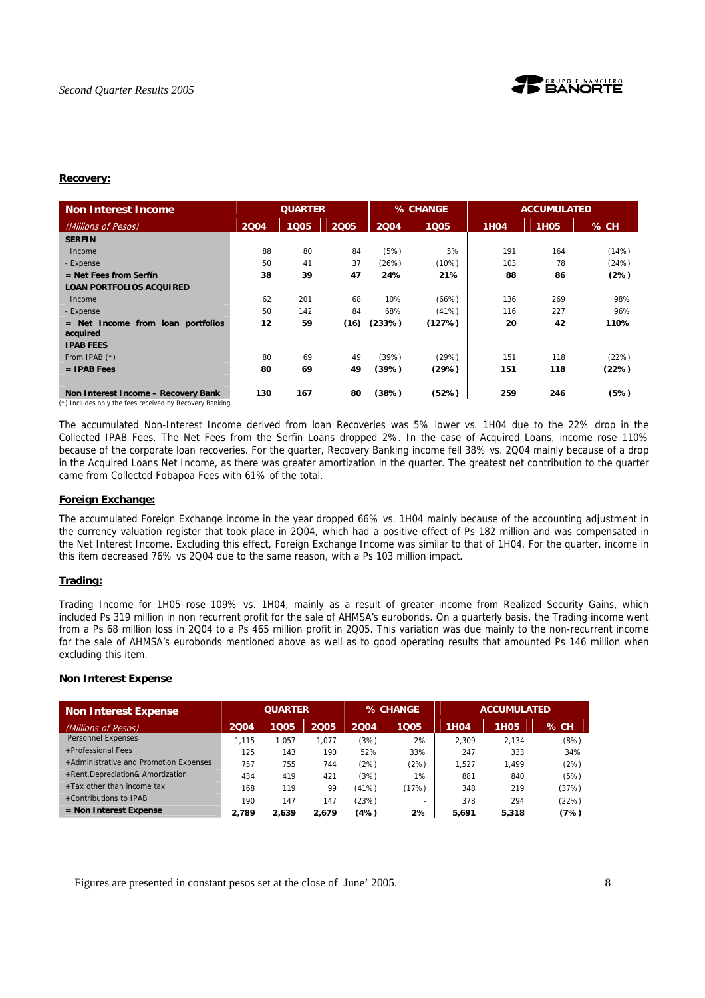

#### **Recovery:**

| <b>Non Interest Income</b>                      | <b>QUARTER</b> |      |      |        | % CHANGE |             | <b>ACCUMULATED</b> |       |
|-------------------------------------------------|----------------|------|------|--------|----------|-------------|--------------------|-------|
| (Millions of Pesos)                             | 2004           | 1005 | 2005 | 2004   | 1005     | <b>1H04</b> | <b>1H05</b>        | % CH  |
| <b>SERFIN</b>                                   |                |      |      |        |          |             |                    |       |
| Income                                          | 88             | 80   | 84   | (5%)   | 5%       | 191         | 164                | (14%) |
| - Expense                                       | 50             | 41   | 37   | (26%)  | (10%)    | 103         | 78                 | (24%) |
| $=$ Net Fees from Serfín                        | 38             | 39   | 47   | 24%    | 21%      | 88          | 86                 | (2%)  |
| <b>LOAN PORTFOLIOS ACQUIRED</b>                 |                |      |      |        |          |             |                    |       |
| Income                                          | 62             | 201  | 68   | 10%    | (66%)    | 136         | 269                | 98%   |
| - Expense                                       | 50             | 142  | 84   | 68%    | (41%)    | 116         | 227                | 96%   |
| $=$ Net Income from loan portfolios<br>acquired | 12             | 59   | (16) | (233%) | (127%)   | 20          | 42                 | 110%  |
| <b>IPAB FEES</b>                                |                |      |      |        |          |             |                    |       |
| From IPAB (*)                                   | 80             | 69   | 49   | (39%)  | (29%)    | 151         | 118                | (22%) |
| $=$ IPAB Fees                                   | 80             | 69   | 49   | (39%)  | (29%)    | 151         | 118                | (22%) |
| Non Interest Income - Recovery Bank             | 130            | 167  | 80   | (38%)  | (52%)    | 259         | 246                | (5%)  |

(\*) Includes only the fees received by Recovery Banking.

The accumulated Non-Interest Income derived from loan Recoveries was 5% lower vs. 1H04 due to the 22% drop in the Collected IPAB Fees. The Net Fees from the Serfin Loans dropped 2%. In the case of Acquired Loans, income rose 110% because of the corporate loan recoveries. For the quarter, Recovery Banking income fell 38% vs. 2Q04 mainly because of a drop in the Acquired Loans Net Income, as there was greater amortization in the quarter. The greatest net contribution to the quarter came from Collected Fobapoa Fees with 61% of the total.

## **Foreign Exchange:**

The accumulated Foreign Exchange income in the year dropped 66% vs. 1H04 mainly because of the accounting adjustment in the currency valuation register that took place in 2Q04, which had a positive effect of Ps 182 million and was compensated in the Net Interest Income. Excluding this effect, Foreign Exchange Income was similar to that of 1H04. For the quarter, income in this item decreased 76% vs 2Q04 due to the same reason, with a Ps 103 million impact.

#### **Trading:**

Trading Income for 1H05 rose 109% vs. 1H04, mainly as a result of greater income from Realized Security Gains, which included Ps 319 million in non recurrent profit for the sale of AHMSA's eurobonds. On a quarterly basis, the Trading income went from a Ps 68 million loss in 2Q04 to a Ps 465 million profit in 2Q05. This variation was due mainly to the non-recurrent income for the sale of AHMSA's eurobonds mentioned above as well as to good operating results that amounted Ps 146 million when excluding this item.

#### **Non Interest Expense**

| <b>Non Interest Expense</b>            | <b>QUARTER</b> |       | % CHANGE |       | <b>ACCUMULATED</b>       |             |                  |       |
|----------------------------------------|----------------|-------|----------|-------|--------------------------|-------------|------------------|-------|
| (Millions of Pesos)                    | 2004           | 1005  | 2005     | 2004  | 1005                     | <b>1H04</b> | 1H <sub>05</sub> | % CH  |
| Personnel Expenses                     | 1.115          | 1.057 | .077     | (3%)  | 2%                       | 2.309       | 2.134            | (8%)  |
| +Professional Fees                     | 125            | 143   | 190      | 52%   | 33%                      | 247         | 333              | 34%   |
| +Administrative and Promotion Expenses | 757            | 755   | 744      | (2%)  | (2%)                     | 1.527       | 1.499            | (2%)  |
| +Rent, Depreciation& Amortization      | 434            | 419   | 421      | (3%)  | 1%                       | 881         | 840              | (5%)  |
| +Tax other than income tax             | 168            | 119   | 99       | (41%) | (17%)                    | 348         | 219              | (37%) |
| +Contributions to IPAB                 | 190            | 147   | 147      | (23%) | $\overline{\phantom{0}}$ | 378         | 294              | (22%) |
| $=$ Non Interest Expense               | 2.789          | 2.639 | 2.679    | (4%)  | 2%                       | 5.691       | 5,318            | (7%)  |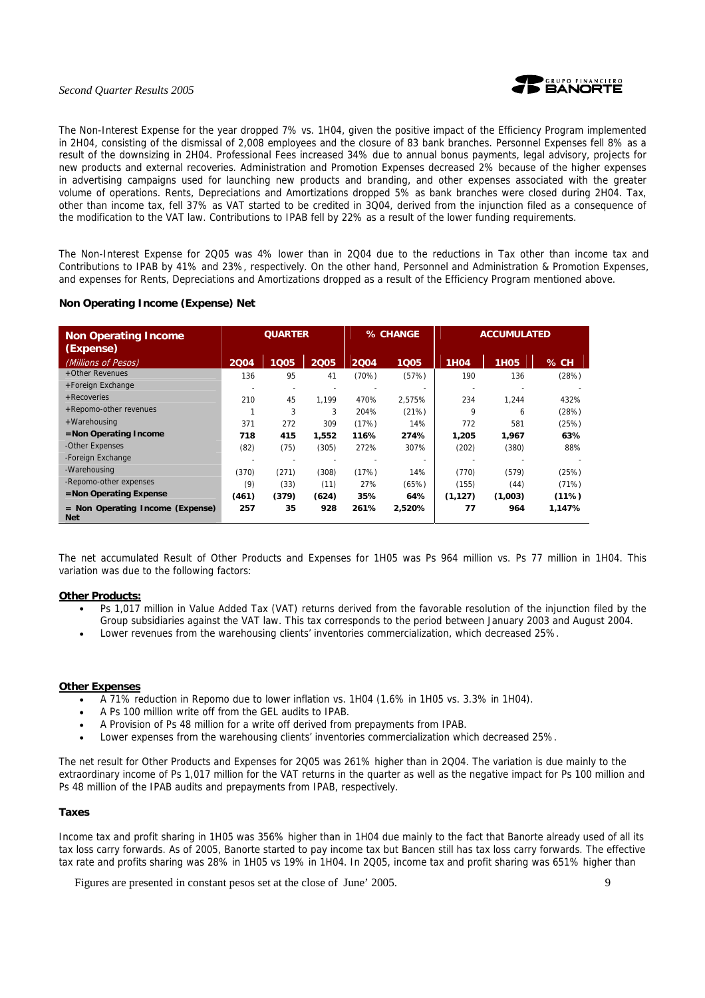

The Non-Interest Expense for the year dropped 7% vs. 1H04, given the positive impact of the Efficiency Program implemented in 2H04, consisting of the dismissal of 2,008 employees and the closure of 83 bank branches. Personnel Expenses fell 8% as a result of the downsizing in 2H04. Professional Fees increased 34% due to annual bonus payments, legal advisory, projects for new products and external recoveries. Administration and Promotion Expenses decreased 2% because of the higher expenses in advertising campaigns used for launching new products and branding, and other expenses associated with the greater volume of operations. Rents, Depreciations and Amortizations dropped 5% as bank branches were closed during 2H04. Tax, other than income tax, fell 37% as VAT started to be credited in 3Q04, derived from the injunction filed as a consequence of the modification to the VAT law. Contributions to IPAB fell by 22% as a result of the lower funding requirements.

The Non-Interest Expense for 2Q05 was 4% lower than in 2Q04 due to the reductions in Tax other than income tax and Contributions to IPAB by 41% and 23%, respectively. On the other hand, Personnel and Administration & Promotion Expenses, and expenses for Rents, Depreciations and Amortizations dropped as a result of the Efficiency Program mentioned above.

## **Non Operating Income (Expense) Net**

| <b>Non Operating Income</b><br>(Expense)       | <b>QUARTER</b> |       | % CHANGE |       | <b>ACCUMULATED</b> |             |             |         |
|------------------------------------------------|----------------|-------|----------|-------|--------------------|-------------|-------------|---------|
| (Millions of Pesos)                            | 2004           | 1005  | 2005     | 2004  | 1005               | <b>1H04</b> | <b>1H05</b> | $\%$ CH |
| +Other Revenues                                | 136            | 95    | 41       | (70%) | (57%)              | 190         | 136         | (28%)   |
| +Foreign Exchange                              |                |       |          |       |                    |             |             |         |
| + Recoveries                                   | 210            | 45    | 1.199    | 470%  | 2.575%             | 234         | 1.244       | 432%    |
| +Repomo-other revenues                         |                | 3     | 3        | 204%  | (21%)              | 9           | 6           | (28%)   |
| +Warehousing                                   | 371            | 272   | 309      | (17%) | 14%                | 772         | 581         | (25%)   |
| $=$ Non Operating Income                       | 718            | 415   | 1.552    | 116%  | 274%               | 1,205       | 1.967       | 63%     |
| -Other Expenses                                | (82)           | (75)  | (305)    | 272%  | 307%               | (202)       | (380)       | 88%     |
| -Foreign Exchange                              |                |       |          |       |                    |             |             |         |
| -Warehousing                                   | (370)          | (271) | (308)    | (17%) | 14%                | (770)       | (579)       | (25%)   |
| -Repomo-other expenses                         | (9)            | (33)  | (11)     | 27%   | (65%)              | (155)       | (44)        | (71%)   |
| $=$ Non Operating Expense                      | (461)          | (379) | (624)    | 35%   | 64%                | (1, 127)    | (1,003)     | (11%)   |
| = Non Operating Income (Expense)<br><b>Net</b> | 257            | 35    | 928      | 261%  | 2,520%             | 77          | 964         | 1.147%  |

The net accumulated Result of Other Products and Expenses for 1H05 was Ps 964 million vs. Ps 77 million in 1H04. This variation was due to the following factors:

#### **Other Products:**

- Ps 1,017 million in Value Added Tax (VAT) returns derived from the favorable resolution of the injunction filed by the Group subsidiaries against the VAT law. This tax corresponds to the period between January 2003 and August 2004.
- Lower revenues from the warehousing clients' inventories commercialization, which decreased 25%.

## **Other Expenses**

- A 71% reduction in Repomo due to lower inflation vs. 1H04 (1.6% in 1H05 vs. 3.3% in 1H04).
- A Ps 100 million write off from the GEL audits to IPAB.
- A Provision of Ps 48 million for a write off derived from prepayments from IPAB.
- Lower expenses from the warehousing clients' inventories commercialization which decreased 25%.

The net result for Other Products and Expenses for 2Q05 was 261% higher than in 2Q04. The variation is due mainly to the extraordinary income of Ps 1,017 million for the VAT returns in the quarter as well as the negative impact for Ps 100 million and Ps 48 million of the IPAB audits and prepayments from IPAB, respectively.

#### **Taxes**

Income tax and profit sharing in 1H05 was 356% higher than in 1H04 due mainly to the fact that Banorte already used of all its tax loss carry forwards. As of 2005, Banorte started to pay income tax but Bancen still has tax loss carry forwards. The effective tax rate and profits sharing was 28% in 1H05 vs 19% in 1H04. In 2Q05, income tax and profit sharing was 651% higher than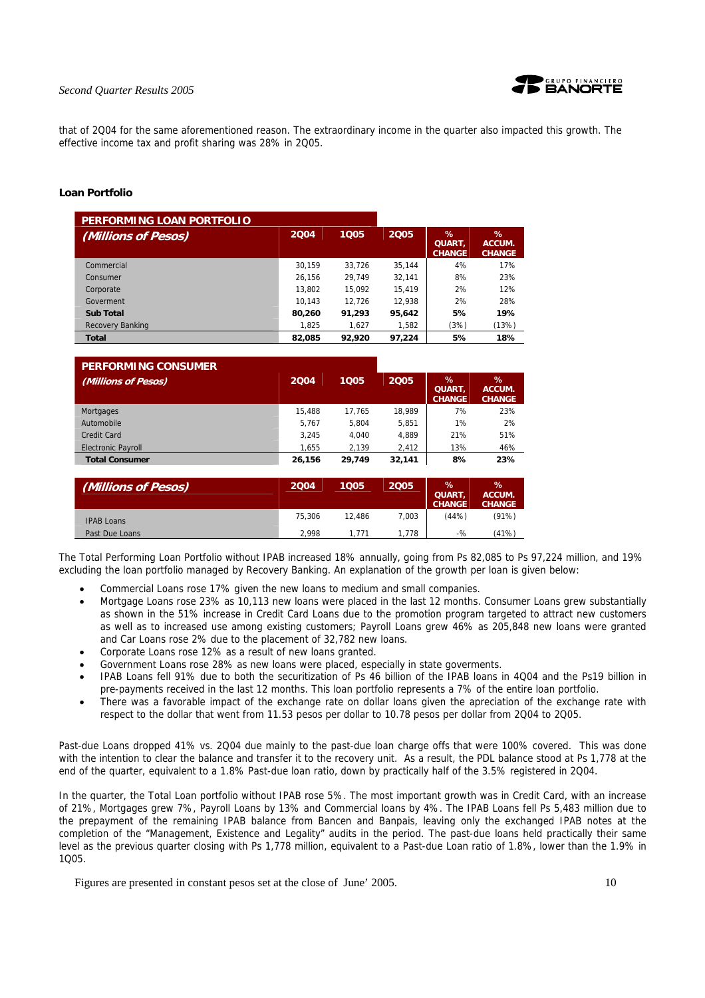

that of 2Q04 for the same aforementioned reason. The extraordinary income in the quarter also impacted this growth. The effective income tax and profit sharing was 28% in 2Q05.

#### **Loan Portfolio**

| PERFORMING LOAN PORTFOLIO |        |        |        |                                     |                                 |
|---------------------------|--------|--------|--------|-------------------------------------|---------------------------------|
| (Millions of Pesos)       | 2004   | 1005   | 2005   | ℅<br><b>QUART.</b><br><b>CHANGE</b> | $\%$<br>ACCUM.<br><b>CHANGE</b> |
| Commercial                | 30.159 | 33.726 | 35.144 | 4%                                  | 17%                             |
| Consumer                  | 26.156 | 29.749 | 32.141 | 8%                                  | 23%                             |
| Corporate                 | 13.802 | 15.092 | 15.419 | 2%                                  | 12%                             |
| Goverment                 | 10.143 | 12.726 | 12.938 | 2%                                  | 28%                             |
| <b>Sub Total</b>          | 80,260 | 91,293 | 95.642 | 5%                                  | 19%                             |
| Recovery Banking          | 1,825  | 1.627  | 1,582  | (3%)                                | (13%)                           |
| <b>Total</b>              | 82,085 | 92,920 | 97,224 | 5%                                  | 18%                             |

| <b>PERFORMING CONSUMER</b> |        |        |        |                                        |                                 |
|----------------------------|--------|--------|--------|----------------------------------------|---------------------------------|
| (Millions of Pesos)        | 2004   | 1005   | 2005   | $\%$<br><b>QUART.</b><br><b>CHANGE</b> | $\%$<br>ACCUM.<br><b>CHANGE</b> |
| Mortgages                  | 15,488 | 17.765 | 18.989 | 7%                                     | 23%                             |
| Automobile                 | 5.767  | 5.804  | 5.851  | 1%                                     | 2%                              |
| Credit Card                | 3.245  | 4.040  | 4.889  | 21%                                    | 51%                             |
| <b>Electronic Payroll</b>  | 1.655  | 2.139  | 2.412  | 13%                                    | 46%                             |
| <b>Total Consumer</b>      | 26.156 | 29.749 | 32,141 | 8%                                     | 23%                             |

| (Millions of Pesos) | 2004   | 1005   | 2005  | %<br>QUART,<br><b>CHANGE</b> | %<br>ACCUM.<br><b>CHANGE</b> |
|---------------------|--------|--------|-------|------------------------------|------------------------------|
| <b>IPAB Loans</b>   | 75.306 | 12.486 | 7,003 | (44%)                        | (91%)                        |
| Past Due Loans      | 2.998  | .771   | .778  | -%                           | (41%)                        |

The Total Performing Loan Portfolio without IPAB increased 18% annually, going from Ps 82,085 to Ps 97,224 million, and 19% excluding the loan portfolio managed by Recovery Banking. An explanation of the growth per loan is given below:

- Commercial Loans rose 17% given the new loans to medium and small companies.
- Mortgage Loans rose 23% as 10,113 new loans were placed in the last 12 months. Consumer Loans grew substantially as shown in the 51% increase in Credit Card Loans due to the promotion program targeted to attract new customers as well as to increased use among existing customers; Payroll Loans grew 46% as 205,848 new loans were granted and Car Loans rose 2% due to the placement of 32,782 new loans.
- Corporate Loans rose 12% as a result of new loans granted.
- Government Loans rose 28% as new loans were placed, especially in state goverments.
- IPAB Loans fell 91% due to both the securitization of Ps 46 billion of the IPAB loans in 4Q04 and the Ps19 billion in pre-payments received in the last 12 months. This loan portfolio represents a 7% of the entire loan portfolio.
- There was a favorable impact of the exchange rate on dollar loans given the apreciation of the exchange rate with respect to the dollar that went from 11.53 pesos per dollar to 10.78 pesos per dollar from 2Q04 to 2Q05.

Past-due Loans dropped 41% vs. 2Q04 due mainly to the past-due loan charge offs that were 100% covered. This was done with the intention to clear the balance and transfer it to the recovery unit. As a result, the PDL balance stood at Ps 1,778 at the end of the quarter, equivalent to a 1.8% Past-due loan ratio, down by practically half of the 3.5% registered in 2004.

In the quarter, the Total Loan portfolio without IPAB rose 5%. The most important growth was in Credit Card, with an increase of 21%, Mortgages grew 7%, Payroll Loans by 13% and Commercial loans by 4%. The IPAB Loans fell Ps 5,483 million due to the prepayment of the remaining IPAB balance from Bancen and Banpais, leaving only the exchanged IPAB notes at the completion of the "Management, Existence and Legality" audits in the period. The past-due loans held practically their same level as the previous quarter closing with Ps 1,778 million, equivalent to a Past-due Loan ratio of 1.8%, lower than the 1.9% in 1005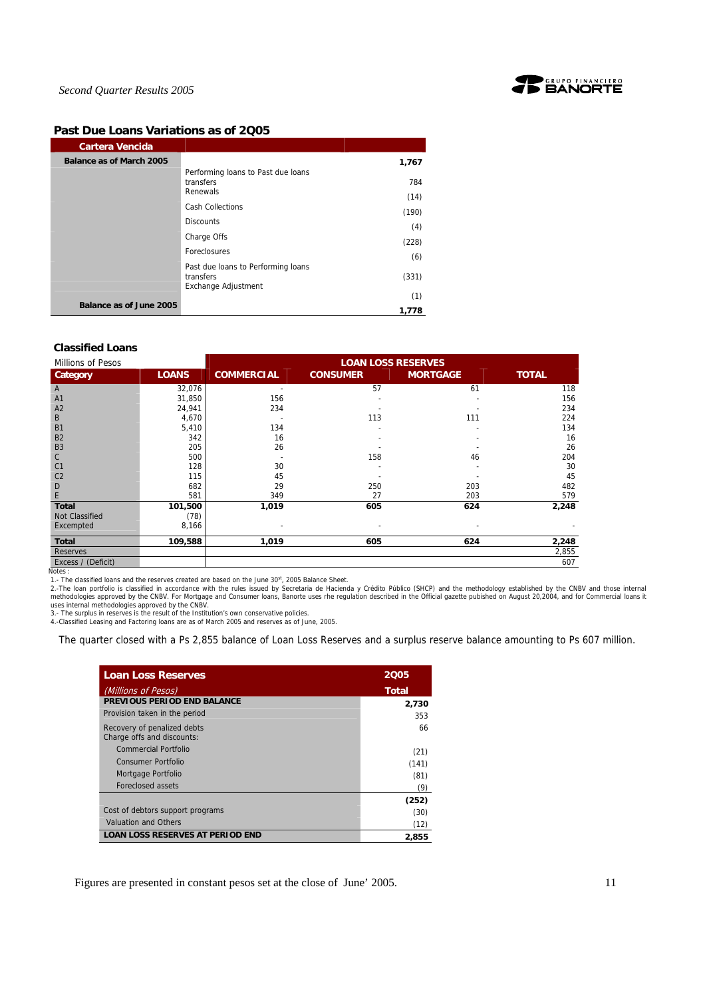

## **Past Due Loans Variations as of 2Q05**

| <b>Cartera Vencida</b>         |                                                                        |             |
|--------------------------------|------------------------------------------------------------------------|-------------|
| Balance as of March 2005       |                                                                        | 1,767       |
|                                | Performing loans to Past due loans<br>transfers<br>Renewals            | 784<br>(14) |
|                                | <b>Cash Collections</b>                                                | (190)       |
|                                | <b>Discounts</b>                                                       | (4)         |
|                                | Charge Offs                                                            | (228)       |
|                                | <b>Foreclosures</b>                                                    | (6)         |
|                                | Past due loans to Performing loans<br>transfers<br>Exchange Adjustment | (331)       |
|                                |                                                                        | (1)         |
| <b>Balance as of June 2005</b> |                                                                        | 1,778       |

#### **Classified Loans**

| Millions of Pesos  |              | <b>LOAN LOSS RESERVES</b> |                 |                 |              |  |
|--------------------|--------------|---------------------------|-----------------|-----------------|--------------|--|
| Category           | <b>LOANS</b> | <b>COMMERCIAL</b>         | <b>CONSUMER</b> | <b>MORTGAGE</b> | <b>TOTAL</b> |  |
| A                  | 32,076       |                           | 57              | 61              | 118          |  |
| A <sub>1</sub>     | 31,850       | 156                       |                 |                 | 156          |  |
| A <sub>2</sub>     | 24,941       | 234                       |                 |                 | 234          |  |
| B                  | 4,670        |                           | 113             | 111             | 224          |  |
| <b>B1</b>          | 5,410        | 134                       |                 |                 | 134          |  |
| <b>B2</b>          | 342          | 16                        |                 |                 | 16           |  |
| B <sub>3</sub>     | 205          | 26                        |                 |                 | 26           |  |
| C                  | 500          |                           | 158             | 46              | 204          |  |
| C <sub>1</sub>     | 128          | 30                        |                 |                 | 30           |  |
| C <sub>2</sub>     | 115          | 45                        |                 |                 | 45           |  |
| D                  | 682          | 29                        | 250             | 203             | 482          |  |
| E                  | 581          | 349                       | 27              | 203             | 579          |  |
| <b>Total</b>       | 101,500      | 1,019                     | 605             | 624             | 2,248        |  |
| Not Classified     | (78)         |                           |                 |                 |              |  |
| Excempted          | 8,166        |                           |                 |                 |              |  |
| <b>Total</b>       | 109,588      | 1,019                     | 605             | 624             | 2,248        |  |
| Reserves           |              |                           |                 |                 | 2,855        |  |
| Excess / (Deficit) |              |                           |                 |                 | 607          |  |

Excess / (Deficit)<br>Notes :<br>2.-The loan portfolio is classified in accordance with the rules issued on the June 30<sup>st</sup>, 2005 Balance Sheet.<br>2.-The loan portfolio is classified in accordance with the rules issued by Secretar

The quarter closed with a Ps 2,855 balance of Loan Loss Reserves and a surplus reserve balance amounting to Ps 607 million.

| <b>Loan Loss Reserves</b>                                 | 2005  |
|-----------------------------------------------------------|-------|
| (Millions of Pesos)                                       | Total |
| <b>PREVIOUS PERIOD END BALANCE</b>                        | 2,730 |
| Provision taken in the period                             | 353   |
| Recovery of penalized debts<br>Charge offs and discounts: | 66    |
| <b>Commercial Portfolio</b>                               | (21)  |
| Consumer Portfolio                                        | (141) |
| Mortgage Portfolio                                        | (81)  |
| Foreclosed assets                                         | (9)   |
|                                                           | (252) |
| Cost of debtors support programs                          | (30)  |
| Valuation and Others                                      | (12)  |
| <b>LOAN LOSS RESERVES AT PERIOD END</b>                   | 2,855 |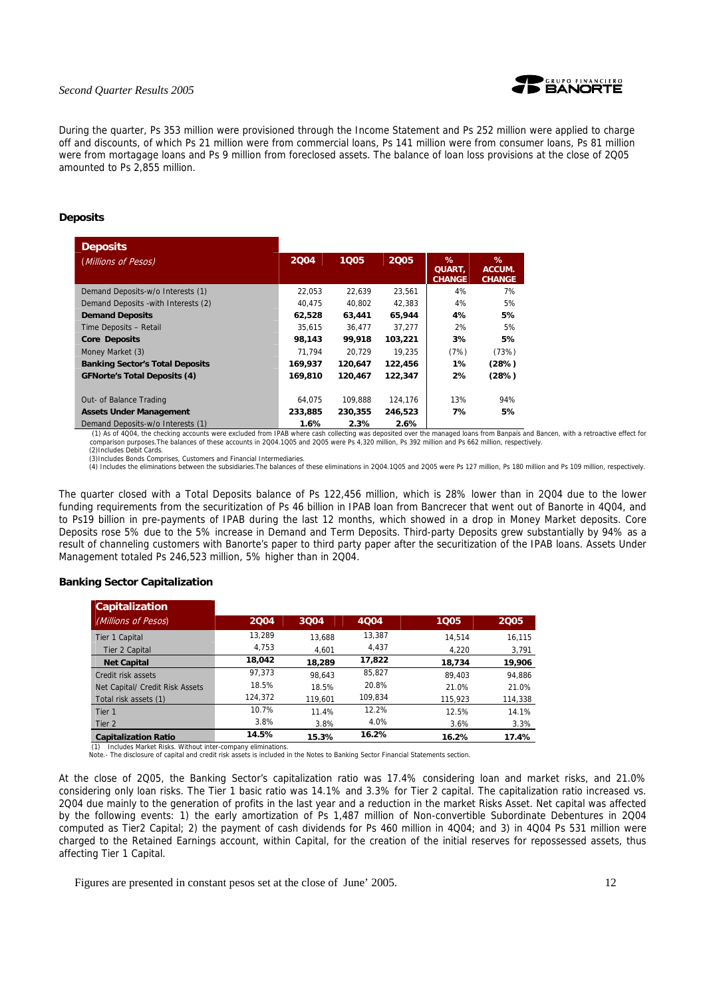

During the quarter, Ps 353 million were provisioned through the Income Statement and Ps 252 million were applied to charge off and discounts, of which Ps 21 million were from commercial loans, Ps 141 million were from consumer loans, Ps 81 million were from mortagage loans and Ps 9 million from foreclosed assets. The balance of loan loss provisions at the close of 2Q05 amounted to Ps 2,855 million.

#### **Deposits**

| <b>Deposits</b>                        |         |         |         |                                     |                              |
|----------------------------------------|---------|---------|---------|-------------------------------------|------------------------------|
| (Millions of Pesos)                    | 2004    | 1005    | 2005    | %<br><b>QUART.</b><br><b>CHANGE</b> | %<br>ACCUM.<br><b>CHANGE</b> |
| Demand Deposits-w/o Interests (1)      | 22,053  | 22.639  | 23,561  | 4%                                  | 7%                           |
| Demand Deposits - with Interests (2)   | 40,475  | 40,802  | 42,383  | 4%                                  | 5%                           |
| <b>Demand Deposits</b>                 | 62,528  | 63,441  | 65,944  | 4%                                  | 5%                           |
| Time Deposits - Retail                 | 35.615  | 36.477  | 37.277  | 2%                                  | 5%                           |
| <b>Core Deposits</b>                   | 98,143  | 99,918  | 103,221 | 3%                                  | 5%                           |
| Money Market (3)                       | 71.794  | 20.729  | 19.235  | (7%)                                | (73%)                        |
| <b>Banking Sector's Total Deposits</b> | 169,937 | 120.647 | 122,456 | 1%                                  | (28%)                        |
| <b>GFNorte's Total Deposits (4)</b>    | 169,810 | 120.467 | 122,347 | 2%                                  | (28%)                        |
| Out- of Balance Trading                | 64.075  | 109.888 | 124.176 | 13%                                 | 94%                          |
| <b>Assets Under Management</b>         | 233,885 | 230,355 | 246,523 | 7%                                  | 5%                           |
| Demand Deposits-w/o Interests (1)      | 1.6%    | 2.3%    | 2.6%    |                                     |                              |

Demand Deposits-w/o Interests (1)<br>(1) As of 4004, the checking accounts were excluded from IPAB where cash collecting was deposited over the managed loans from Banpais and Bancen, with a retroactive effect for<br>comparison p (2)Includes Debit Cards.

(3)Includes Bonds Comprises, Customers and Financial Intermediaries.<br>(4) Includes the eliminations between the subsidiaries.The balances of these eliminations in 2004.1005 and 2005 were Ps 127 million, Ps 180 million and P

The quarter closed with a Total Deposits balance of Ps 122,456 million, which is 28% lower than in 2Q04 due to the lower funding requirements from the securitization of Ps 46 billion in IPAB loan from Bancrecer that went out of Banorte in 4Q04, and to Ps19 billion in pre-payments of IPAB during the last 12 months, which showed in a drop in Money Market deposits. Core Deposits rose 5% due to the 5% increase in Demand and Term Deposits. Third-party Deposits grew substantially by 94% as a result of channeling customers with Banorte's paper to third party paper after the securitization of the IPAB loans. Assets Under Management totaled Ps 246,523 million, 5% higher than in 2Q04.

## **Banking Sector Capitalization**

| Capitalization                  |         |         |         |         |         |
|---------------------------------|---------|---------|---------|---------|---------|
| (Millions of Pesos)             | 2004    | 3004    | 4004    | 1005    | 2005    |
| <b>Tier 1 Capital</b>           | 13.289  | 13.688  | 13,387  | 14.514  | 16.115  |
| Tier 2 Capital                  | 4.753   | 4.601   | 4.437   | 4.220   | 3,791   |
| <b>Net Capital</b>              | 18,042  | 18,289  | 17,822  | 18,734  | 19,906  |
| Credit risk assets              | 97.373  | 98.643  | 85,827  | 89.403  | 94.886  |
| Net Capital/ Credit Risk Assets | 18.5%   | 18.5%   | 20.8%   | 21.0%   | 21.0%   |
| Total risk assets (1)           | 124.372 | 119.601 | 109.834 | 115.923 | 114,338 |
| Tier 1                          | 10.7%   | 11.4%   | 12.2%   | 12.5%   | 14.1%   |
| Tier <sub>2</sub>               | 3.8%    | 3.8%    | 4.0%    | 3.6%    | 3.3%    |
| <b>Capitalization Ratio</b>     | 14.5%   | 15.3%   | 16.2%   | 16.2%   | 17.4%   |

(1) Includes Market Risks. Without inter-company eliminations.

Note.- The disclosure of capital and credit risk assets is included in the Notes to Banking Sector Financial Statements section.

At the close of 2Q05, the Banking Sector's capitalization ratio was 17.4% considering loan and market risks, and 21.0% considering only loan risks. The Tier 1 basic ratio was 14.1% and 3.3% for Tier 2 capital. The capitalization ratio increased vs. 2Q04 due mainly to the generation of profits in the last year and a reduction in the market Risks Asset. Net capital was affected by the following events: 1) the early amortization of Ps 1,487 million of Non-convertible Subordinate Debentures in 2Q04 computed as Tier2 Capital; 2) the payment of cash dividends for Ps 460 million in 4Q04; and 3) in 4Q04 Ps 531 million were charged to the Retained Earnings account, within Capital, for the creation of the initial reserves for repossessed assets, thus affecting Tier 1 Capital.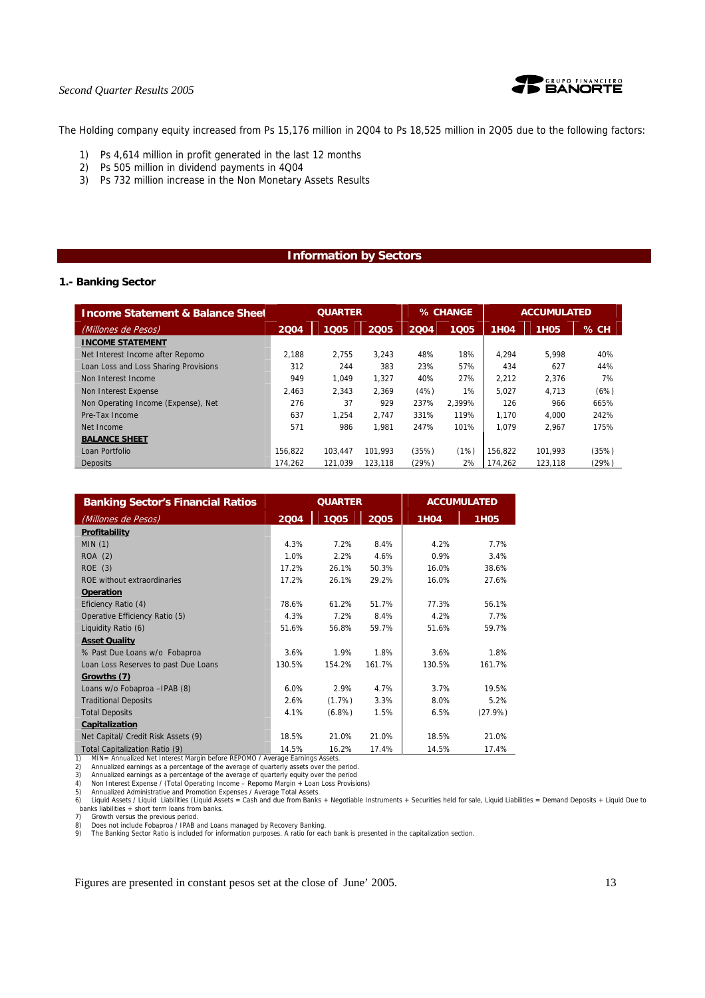

The Holding company equity increased from Ps 15,176 million in 2Q04 to Ps 18,525 million in 2Q05 due to the following factors:

- 1) Ps 4,614 million in profit generated in the last 12 months
- 2) Ps 505 million in dividend payments in 4Q04
- 3) Ps 732 million increase in the Non Monetary Assets Results

## **Information by Sectors**

## **1.- Banking Sector**

| <b>Income Statement &amp; Balance Sheet</b> | <b>QUARTER</b> |         | % CHANGE |       | <b>ACCUMULATED</b> |             |             |        |
|---------------------------------------------|----------------|---------|----------|-------|--------------------|-------------|-------------|--------|
| (Millones de Pesos)                         | 2004           | 1005    | 2005     | 2004  | 1005               | <b>1H04</b> | <b>1H05</b> | $%$ CH |
| <b>INCOME STATEMENT</b>                     |                |         |          |       |                    |             |             |        |
| Net Interest Income after Repomo            | 2.188          | 2.755   | 3.243    | 48%   | 18%                | 4.294       | 5.998       | 40%    |
| Loan Loss and Loss Sharing Provisions       | 312            | 244     | 383      | 23%   | 57%                | 434         | 627         | 44%    |
| Non Interest Income                         | 949            | 1.049   | 1.327    | 40%   | 27%                | 2.212       | 2.376       | 7%     |
| Non Interest Expense                        | 2.463          | 2.343   | 2.369    | (4%)  | 1%                 | 5.027       | 4.713       | (6%)   |
| Non Operating Income (Expense), Net         | 276            | 37      | 929      | 237%  | 2.399%             | 126         | 966         | 665%   |
| Pre-Tax Income                              | 637            | 1.254   | 2.747    | 331%  | 119%               | 1.170       | 4.000       | 242%   |
| Net Income                                  | 571            | 986     | 1.981    | 247%  | 101%               | 1.079       | 2.967       | 175%   |
| <b>BALANCE SHEET</b>                        |                |         |          |       |                    |             |             |        |
| Loan Portfolio                              | 156.822        | 103.447 | 101.993  | (35%) | (1%)               | 156.822     | 101.993     | (35%)  |
| <b>Deposits</b>                             | 174.262        | 121.039 | 123.118  | (29%) | 2%                 | 174.262     | 123,118     | (29%)  |

| <b>Banking Sector's Financial Ratios</b>                                                                      |        | <b>QUARTER</b> |        |             | <b>ACCUMULATED</b> |
|---------------------------------------------------------------------------------------------------------------|--------|----------------|--------|-------------|--------------------|
| (Millones de Pesos)                                                                                           | 2004   | 1005           | 2005   | <b>1H04</b> | <b>1H05</b>        |
| Profitability                                                                                                 |        |                |        |             |                    |
| MIN(1)                                                                                                        | 4.3%   | 7.2%           | 8.4%   | 4.2%        | 7.7%               |
| <b>ROA</b> (2)                                                                                                | 1.0%   | 2.2%           | 4.6%   | 0.9%        | 3.4%               |
| ROE(3)                                                                                                        | 17.2%  | 26.1%          | 50.3%  | 16.0%       | 38.6%              |
| ROE without extraordinaries                                                                                   | 17.2%  | 26.1%          | 29.2%  | 16.0%       | 27.6%              |
| <b>Operation</b>                                                                                              |        |                |        |             |                    |
| Eficiency Ratio (4)                                                                                           | 78.6%  | 61.2%          | 51.7%  | 77.3%       | 56.1%              |
| Operative Efficiency Ratio (5)                                                                                | 4.3%   | 7.2%           | 8.4%   | 4.2%        | 7.7%               |
| Liquidity Ratio (6)                                                                                           | 51.6%  | 56.8%          | 59.7%  | 51.6%       | 59.7%              |
| <b>Asset Quality</b>                                                                                          |        |                |        |             |                    |
| % Past Due Loans w/o Fobaproa                                                                                 | 3.6%   | 1.9%           | 1.8%   | 3.6%        | 1.8%               |
| Loan Loss Reserves to past Due Loans                                                                          | 130.5% | 154.2%         | 161.7% | 130.5%      | 161.7%             |
| Growths (7)                                                                                                   |        |                |        |             |                    |
| Loans w/o Fobaproa - IPAB (8)                                                                                 | 6.0%   | 2.9%           | 4.7%   | 3.7%        | 19.5%              |
| <b>Traditional Deposits</b>                                                                                   | 2.6%   | $(1.7\%)$      | 3.3%   | 8.0%        | 5.2%               |
| <b>Total Deposits</b>                                                                                         | 4.1%   | $(6.8\%)$      | 1.5%   | 6.5%        | (27.9%)            |
| Capitalization                                                                                                |        |                |        |             |                    |
| Net Capital/ Credit Risk Assets (9)                                                                           | 18.5%  | 21.0%          | 21.0%  | 18.5%       | 21.0%              |
| Total Capitalization Ratio (9)<br>MINI Appualized Net Interest Mergin before BEBOMO / Average Fernings Accets | 14.5%  | 16.2%          | 17.4%  | 14.5%       | 17.4%              |

MIN= Annualized Net Interest Margin before REPOMO / Average Earnings Assets.

2) Annualized earnings as a percentage of the average of quarterly assets over the period.<br>3) Annualized earnings as a percentage of the average of quarterly equity over the period<br>4) Non Interest Expense / (Total Operatin banks liabilities + short term loans from banks.<br>
7) Growth versus the previous period.<br>
8) Does not include Fobaproa / IPAB and Loan

7) Growth versus the previous period. 8) Does not include Fobaproa / IPAB and Loans managed by Recovery Banking.

9) The Banking Sector Ratio is included for information purposes. A ratio for each bank is presented in the capitalization section.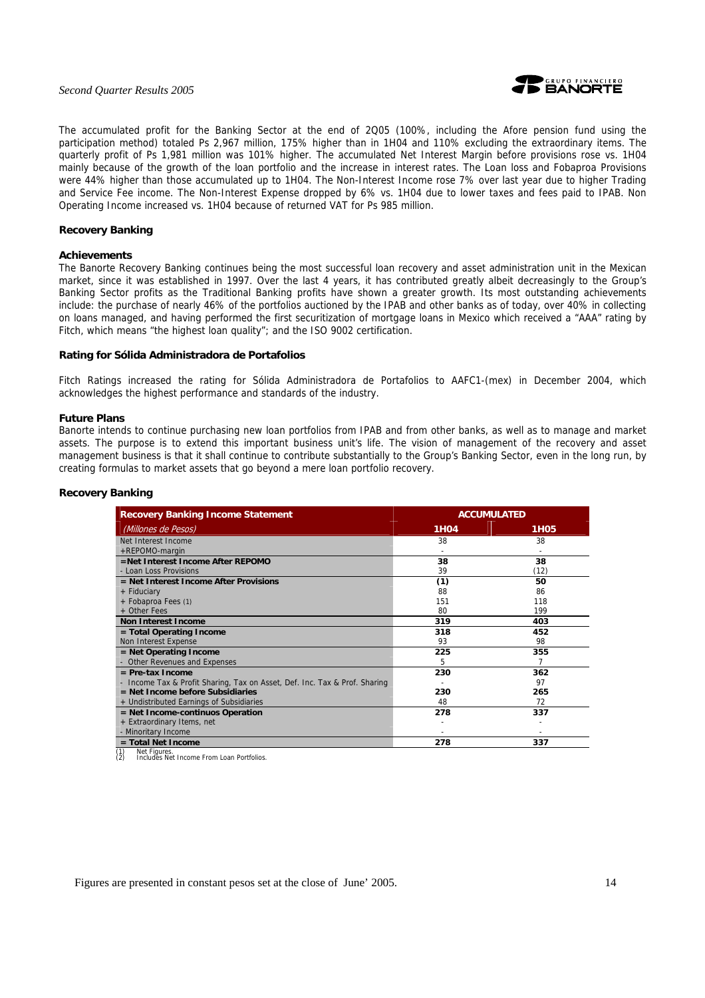

The accumulated profit for the Banking Sector at the end of 2Q05 (100%, including the Afore pension fund using the participation method) totaled Ps 2,967 million, 175% higher than in 1H04 and 110% excluding the extraordinary items. The quarterly profit of Ps 1,981 million was 101% higher. The accumulated Net Interest Margin before provisions rose vs. 1H04 mainly because of the growth of the loan portfolio and the increase in interest rates. The Loan loss and Fobaproa Provisions were 44% higher than those accumulated up to 1H04. The Non-Interest Income rose 7% over last year due to higher Trading and Service Fee income. The Non-Interest Expense dropped by 6% vs. 1H04 due to lower taxes and fees paid to IPAB. Non Operating Income increased vs. 1H04 because of returned VAT for Ps 985 million.

## **Recovery Banking**

#### **Achievements**

The Banorte Recovery Banking continues being the most successful loan recovery and asset administration unit in the Mexican market, since it was established in 1997. Over the last 4 years, it has contributed greatly albeit decreasingly to the Group's Banking Sector profits as the Traditional Banking profits have shown a greater growth. Its most outstanding achievements include: the purchase of nearly 46% of the portfolios auctioned by the IPAB and other banks as of today, over 40% in collecting on loans managed, and having performed the first securitization of mortgage loans in Mexico which received a "AAA" rating by Fitch, which means "the highest loan quality"; and the ISO 9002 certification.

#### **Rating for Sólida Administradora de Portafolios**

Fitch Ratings increased the rating for Sólida Administradora de Portafolios to AAFC1-(mex) in December 2004, which acknowledges the highest performance and standards of the industry.

#### **Future Plans**

Banorte intends to continue purchasing new loan portfolios from IPAB and from other banks, as well as to manage and market assets. The purpose is to extend this important business unit's life. The vision of management of the recovery and asset management business is that it shall continue to contribute substantially to the Group's Banking Sector, even in the long run, by creating formulas to market assets that go beyond a mere loan portfolio recovery.

#### **Recovery Banking**

| <b>Recovery Banking Income Statement</b>                                   | <b>ACCUMULATED</b> |                  |  |
|----------------------------------------------------------------------------|--------------------|------------------|--|
| (Millones de Pesos)                                                        | <b>1H04</b>        | 1H <sub>05</sub> |  |
| Net Interest Income                                                        | 38                 | 38               |  |
| +REPOMO-margin                                                             |                    |                  |  |
| =Net Interest Income After REPOMO                                          | 38                 | 38               |  |
| - Loan Loss Provisions                                                     | 39                 | (12)             |  |
| = Net Interest Income After Provisions                                     | (1)                | 50               |  |
| + Fiduciary                                                                | 88                 | 86               |  |
| + Fobaproa Fees (1)                                                        | 151                | 118              |  |
| + Other Fees                                                               | 80                 | 199              |  |
| <b>Non Interest Income</b>                                                 | 319                | 403              |  |
| = Total Operating Income                                                   | 318                | 452              |  |
| Non Interest Expense                                                       | 93                 | 98               |  |
| $=$ Net Operating Income                                                   | 225                | 355              |  |
| - Other Revenues and Expenses                                              | 5                  | 7                |  |
| $=$ Pre-tax Income                                                         | 230                | 362              |  |
| - Income Tax & Profit Sharing, Tax on Asset, Def. Inc. Tax & Prof. Sharing |                    | 97               |  |
| $=$ Net Income before Subsidiaries                                         | 230                | 265              |  |
| + Undistributed Earnings of Subsidiaries                                   | 48                 | 72               |  |
| = Net Income-continuos Operation                                           | 278                | 337              |  |
| + Extraordinary Items, net                                                 |                    |                  |  |
| - Minoritary Income                                                        |                    |                  |  |
| = Total Net Income<br>$\sqrt{2}$<br><b>Allenta Chapman</b>                 | 278                | 337              |  |

(1) Net Figures. (2) Includes Net Income From Loan Portfolios.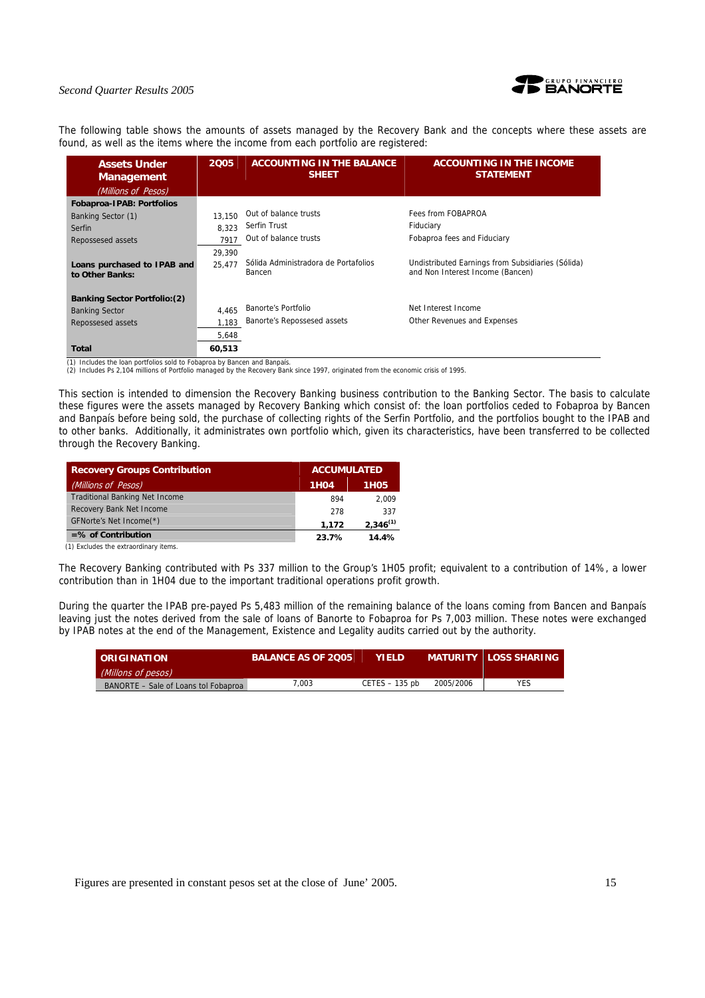

The following table shows the amounts of assets managed by the Recovery Bank and the concepts where these assets are found, as well as the items where the income from each portfolio are registered:

| <b>Assets Under</b><br><b>Management</b>       | 2005   | <b>ACCOUNTING IN THE BALANCE</b><br><b>SHEET</b> | <b>ACCOUNTING IN THE INCOME</b><br><b>STATEMENT</b>                                   |
|------------------------------------------------|--------|--------------------------------------------------|---------------------------------------------------------------------------------------|
| (Millions of Pesos)                            |        |                                                  |                                                                                       |
| Fobaproa-IPAB: Portfolios                      |        |                                                  |                                                                                       |
| Banking Sector (1)                             | 13.150 | Out of balance trusts                            | Fees from FOBAPROA                                                                    |
| <b>Serfin</b>                                  | 8.323  | Serfin Trust                                     | Fiduciary                                                                             |
| Repossesed assets                              | 7917   | Out of balance trusts                            | Fobaproa fees and Fiduciary                                                           |
|                                                | 29,390 |                                                  |                                                                                       |
| Loans purchased to IPAB and<br>to Other Banks: | 25.477 | Sólida Administradora de Portafolios<br>Bancen   | Undistributed Earnings from Subsidiaries (Sólida)<br>and Non Interest Income (Bancen) |
| <b>Banking Sector Portfolio: (2)</b>           |        |                                                  |                                                                                       |
| <b>Banking Sector</b>                          | 4,465  | Banorte's Portfolio                              | Net Interest Income                                                                   |
| Repossesed assets                              | 1.183  | Banorte's Repossesed assets                      | Other Revenues and Expenses                                                           |
|                                                | 5,648  |                                                  |                                                                                       |
| Total                                          | 60,513 |                                                  |                                                                                       |

(1) Includes the loan portfolios sold to Fobaproa by Bancen and Banpaís.

(2) Includes Ps 2,104 millions of Portfolio managed by the Recovery Bank since 1997, originated from the economic crisis of 1995.

This section is intended to dimension the Recovery Banking business contribution to the Banking Sector. The basis to calculate these figures were the assets managed by Recovery Banking which consist of: the loan portfolios ceded to Fobaproa by Bancen and Banpaís before being sold, the purchase of collecting rights of the Serfin Portfolio, and the portfolios bought to the IPAB and to other banks. Additionally, it administrates own portfolio which, given its characteristics, have been transferred to be collected through the Recovery Banking.

| <b>Recovery Groups Contribution</b>   |             | <b>ACCUMULATED</b> |  |  |
|---------------------------------------|-------------|--------------------|--|--|
| (Millions of Pesos)                   | <b>1H04</b> | 1H <sub>0</sub> 5  |  |  |
| <b>Traditional Banking Net Income</b> | 894         | 2.009              |  |  |
| Recovery Bank Net Income              | 278         | 337                |  |  |
| GFNorte's Net Income(*)               | 1.172       | $2,346^{(1)}$      |  |  |
| $=$ % of Contribution                 | 23.7%       | 14.4%              |  |  |

(1) Excludes the extraordinary items.

The Recovery Banking contributed with Ps 337 million to the Group's 1H05 profit; equivalent to a contribution of 14%, a lower contribution than in 1H04 due to the important traditional operations profit growth.

During the quarter the IPAB pre-payed Ps 5,483 million of the remaining balance of the loans coming from Bancen and Banpaís leaving just the notes derived from the sale of loans of Banorte to Fobaproa for Ps 7,003 million. These notes were exchanged by IPAB notes at the end of the Management, Existence and Legality audits carried out by the authority.

| <b>DRIGINATION</b>                   | <b>BALANCE AS OF 2005</b> | <b>YIFLD</b>     |           | MATURITY LOSS SHARING. |
|--------------------------------------|---------------------------|------------------|-----------|------------------------|
| (Millons of pesos)                   |                           |                  |           |                        |
| BANORTE - Sale of Loans tol Fobaproa | 7.003                     | $CETES - 135$ pb | 2005/2006 | YES                    |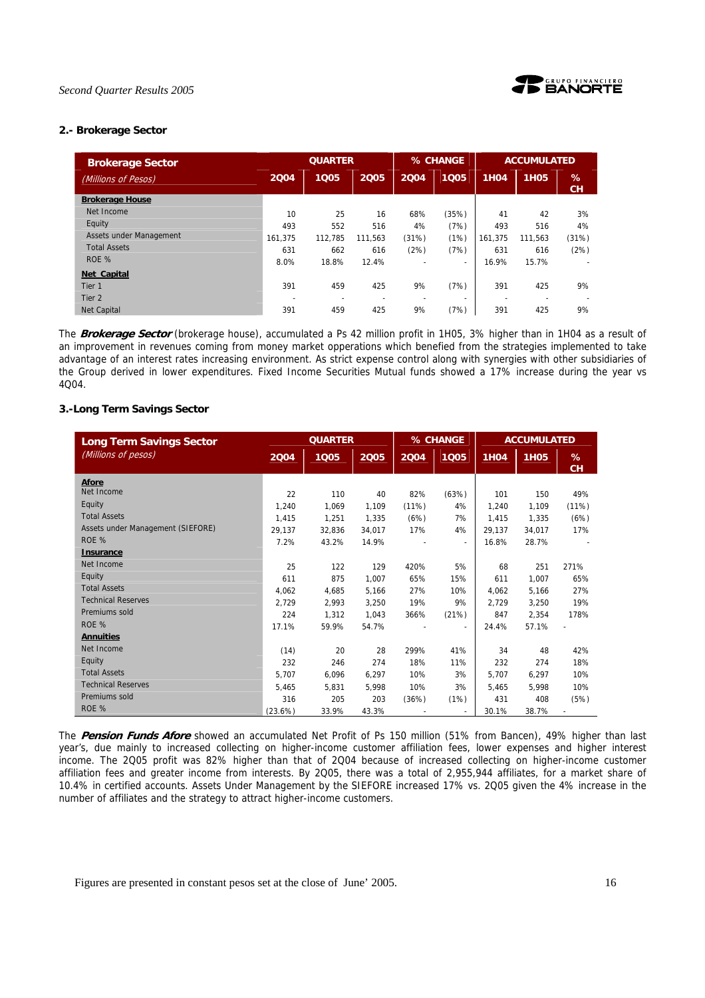



## **2.- Brokerage Sector**

| <b>Brokerage Sector</b> | <b>QUARTER</b> |         |                          |       | % CHANGE                 | <b>ACCUMULATED</b> |             |                |
|-------------------------|----------------|---------|--------------------------|-------|--------------------------|--------------------|-------------|----------------|
| (Millions of Pesos)     | 2004           | 1005    | 2005                     | 2004  | 1005                     | <b>1H04</b>        | <b>1H05</b> | %<br><b>CH</b> |
| <b>Brokerage House</b>  |                |         |                          |       |                          |                    |             |                |
| Net Income              | 10             | 25      | 16                       | 68%   | (35%)                    | 41                 | 42          | 3%             |
| Equity                  | 493            | 552     | 516                      | 4%    | (7%)                     | 493                | 516         | 4%             |
| Assets under Management | 161.375        | 112.785 | 111.563                  | (31%) | (1%)                     | 161.375            | 111.563     | (31%)          |
| <b>Total Assets</b>     | 631            | 662     | 616                      | (2%)  | (7%)                     | 631                | 616         | (2%)           |
| ROE %                   | 8.0%           | 18.8%   | 12.4%                    |       | $\overline{\phantom{0}}$ | 16.9%              | 15.7%       |                |
| Net Capital             |                |         |                          |       |                          |                    |             |                |
| Tier 1                  | 391            | 459     | 425                      | 9%    | (7%)                     | 391                | 425         | 9%             |
| Tier 2                  | ۰              | ٠       | $\overline{\phantom{0}}$ |       | $\overline{\phantom{0}}$ |                    |             |                |
| <b>Net Capital</b>      | 391            | 459     | 425                      | 9%    | (7%)                     | 391                | 425         | 9%             |

The **Brokerage Sector** (brokerage house), accumulated a Ps 42 million profit in 1H05, 3% higher than in 1H04 as a result of an improvement in revenues coming from money market opperations which benefied from the strategies implemented to take advantage of an interest rates increasing environment. As strict expense control along with synergies with other subsidiaries of the Group derived in lower expenditures. Fixed Income Securities Mutual funds showed a 17% increase during the year vs 4Q04.

## **3.-Long Term Savings Sector**

| <b>Long Term Savings Sector</b>   | <b>QUARTER</b> |        |        | % CHANGE |       | <b>ACCUMULATED</b> |             |                |
|-----------------------------------|----------------|--------|--------|----------|-------|--------------------|-------------|----------------|
| (Millions of pesos)               | 2004           | 1005   | 2005   | 2004     | 1005  | <b>1H04</b>        | <b>1H05</b> | %<br><b>CH</b> |
| <b>Afore</b>                      |                |        |        |          |       |                    |             |                |
| Net Income                        | 22             | 110    | 40     | 82%      | (63%) | 101                | 150         | 49%            |
| Equity                            | 1.240          | 1.069  | 1,109  | (11%)    | 4%    | 1.240              | 1.109       | (11%)          |
| <b>Total Assets</b>               | 1.415          | 1.251  | 1.335  | (6%)     | 7%    | 1.415              | 1.335       | (6%)           |
| Assets under Management (SIEFORE) | 29,137         | 32.836 | 34.017 | 17%      | 4%    | 29.137             | 34,017      | 17%            |
| ROE %                             | 7.2%           | 43.2%  | 14.9%  |          |       | 16.8%              | 28.7%       |                |
| <b>Insurance</b>                  |                |        |        |          |       |                    |             |                |
| Net Income                        | 25             | 122    | 129    | 420%     | 5%    | 68                 | 251         | 271%           |
| Equity                            | 611            | 875    | 1,007  | 65%      | 15%   | 611                | 1.007       | 65%            |
| <b>Total Assets</b>               | 4.062          | 4,685  | 5,166  | 27%      | 10%   | 4,062              | 5,166       | 27%            |
| <b>Technical Reserves</b>         | 2,729          | 2,993  | 3,250  | 19%      | 9%    | 2.729              | 3,250       | 19%            |
| Premiums sold                     | 224            | 1,312  | 1,043  | 366%     | (21%) | 847                | 2,354       | 178%           |
| ROE %                             | 17.1%          | 59.9%  | 54.7%  |          |       | 24.4%              | 57.1%       |                |
| <b>Annuities</b>                  |                |        |        |          |       |                    |             |                |
| Net Income                        | (14)           | 20     | 28     | 299%     | 41%   | 34                 | 48          | 42%            |
| Equity                            | 232            | 246    | 274    | 18%      | 11%   | 232                | 274         | 18%            |
| <b>Total Assets</b>               | 5.707          | 6.096  | 6,297  | 10%      | 3%    | 5,707              | 6.297       | 10%            |
| <b>Technical Reserves</b>         | 5.465          | 5.831  | 5.998  | 10%      | 3%    | 5.465              | 5.998       | 10%            |
| Premiums sold                     | 316            | 205    | 203    | (36%)    | (1%)  | 431                | 408         | (5%)           |
| ROE %                             | (23.6%)        | 33.9%  | 43.3%  |          |       | 30.1%              | 38.7%       |                |

The **Pension Funds Afore** showed an accumulated Net Profit of Ps 150 million (51% from Bancen), 49% higher than last year's, due mainly to increased collecting on higher-income customer affiliation fees, lower expenses and higher interest income. The 2Q05 profit was 82% higher than that of 2Q04 because of increased collecting on higher-income customer affiliation fees and greater income from interests. By 2Q05, there was a total of 2,955,944 affiliates, for a market share of 10.4% in certified accounts. Assets Under Management by the SIEFORE increased 17% vs. 2Q05 given the 4% increase in the number of affiliates and the strategy to attract higher-income customers.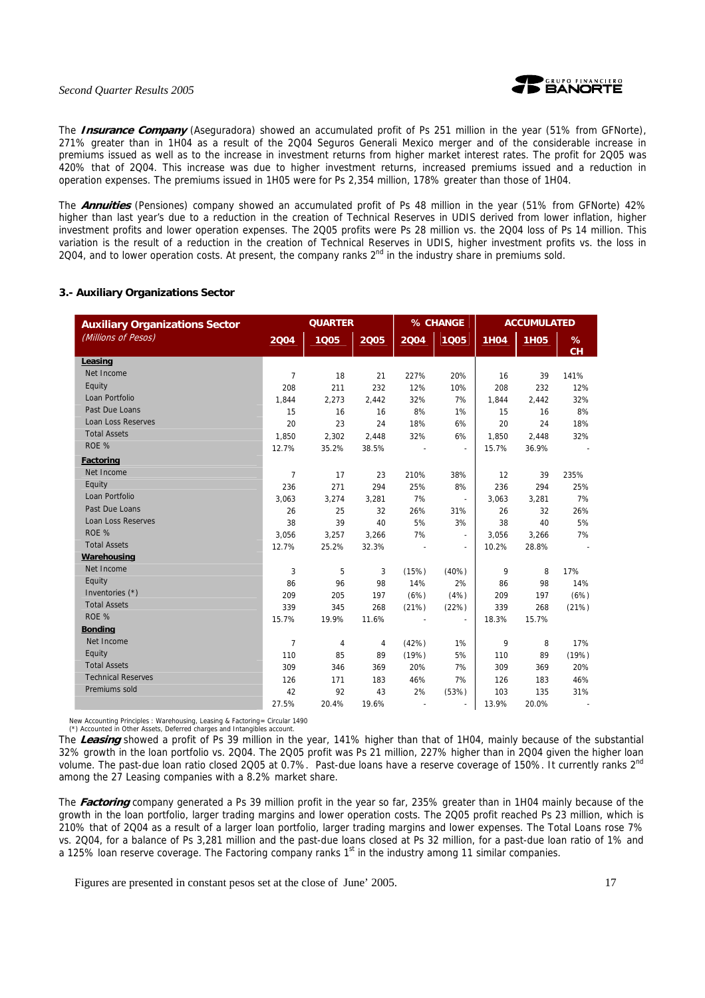

The **Insurance Company** (Aseguradora) showed an accumulated profit of Ps 251 million in the year (51% from GFNorte), 271% greater than in 1H04 as a result of the 2Q04 Seguros Generali Mexico merger and of the considerable increase in premiums issued as well as to the increase in investment returns from higher market interest rates. The profit for 2Q05 was 420% that of 2Q04. This increase was due to higher investment returns, increased premiums issued and a reduction in operation expenses. The premiums issued in 1H05 were for Ps 2,354 million, 178% greater than those of 1H04.

The **Annuities** (Pensiones) company showed an accumulated profit of Ps 48 million in the year (51% from GFNorte) 42% higher than last year's due to a reduction in the creation of Technical Reserves in UDIS derived from lower inflation, higher investment profits and lower operation expenses. The 2Q05 profits were Ps 28 million vs. the 2Q04 loss of Ps 14 million. This variation is the result of a reduction in the creation of Technical Reserves in UDIS, higher investment profits vs. the loss in 2Q04, and to lower operation costs. At present, the company ranks  $2<sup>nd</sup>$  in the industry share in premiums sold.

## **3.- Auxiliary Organizations Sector**

| <b>Auxiliary Organizations Sector</b> |                | <b>QUARTER</b> |       |       | % CHANGE                 | <b>ACCUMULATED</b> |             |         |
|---------------------------------------|----------------|----------------|-------|-------|--------------------------|--------------------|-------------|---------|
| (Millions of Pesos)                   | 2004           | 1005           | 2005  | 2004  | 1005                     | <b>1H04</b>        | <b>1H05</b> | %<br>CН |
| Leasing                               |                |                |       |       |                          |                    |             |         |
| Net Income                            | $\overline{7}$ | 18             | 21    | 227%  | 20%                      | 16                 | 39          | 141%    |
| Equity                                | 208            | 211            | 232   | 12%   | 10%                      | 208                | 232         | 12%     |
| Loan Portfolio                        | 1.844          | 2.273          | 2,442 | 32%   | 7%                       | 1.844              | 2.442       | 32%     |
| Past Due Loans                        | 15             | 16             | 16    | 8%    | 1%                       | 15                 | 16          | 8%      |
| <b>Loan Loss Reserves</b>             | 20             | 23             | 24    | 18%   | 6%                       | 20                 | 24          | 18%     |
| <b>Total Assets</b>                   | 1,850          | 2,302          | 2,448 | 32%   | 6%                       | 1,850              | 2,448       | 32%     |
| ROE %                                 | 12.7%          | 35.2%          | 38.5% |       | $\overline{\phantom{a}}$ | 15.7%              | 36.9%       |         |
| <b>Factoring</b>                      |                |                |       |       |                          |                    |             |         |
| Net Income                            | $\overline{7}$ | 17             | 23    | 210%  | 38%                      | 12                 | 39          | 235%    |
| Equity                                | 236            | 271            | 294   | 25%   | 8%                       | 236                | 294         | 25%     |
| Loan Portfolio                        | 3.063          | 3.274          | 3.281 | 7%    | $\sim$                   | 3.063              | 3.281       | 7%      |
| Past Due Loans                        | 26             | 25             | 32    | 26%   | 31%                      | 26                 | 32          | 26%     |
| Loan Loss Reserves                    | 38             | 39             | 40    | 5%    | 3%                       | 38                 | 40          | 5%      |
| ROE %                                 | 3,056          | 3,257          | 3,266 | 7%    | $\sim$                   | 3,056              | 3,266       | 7%      |
| <b>Total Assets</b>                   | 12.7%          | 25.2%          | 32.3% |       | $\overline{\phantom{a}}$ | 10.2%              | 28.8%       |         |
| Warehousing                           |                |                |       |       |                          |                    |             |         |
| Net Income                            | 3              | 5              | 3     | (15%) | (40%)                    | 9                  | 8           | 17%     |
| Equity                                | 86             | 96             | 98    | 14%   | 2%                       | 86                 | 98          | 14%     |
| Inventories (*)                       | 209            | 205            | 197   | (6%)  | (4%)                     | 209                | 197         | (6%)    |
| <b>Total Assets</b>                   | 339            | 345            | 268   | (21%) | (22%)                    | 339                | 268         | (21%)   |
| ROE %                                 | 15.7%          | 19.9%          | 11.6% |       | $\overline{a}$           | 18.3%              | 15.7%       |         |
| <b>Bonding</b>                        |                |                |       |       |                          |                    |             |         |
| Net Income                            | $\overline{7}$ | 4              | 4     | (42%) | 1%                       | 9                  | 8           | 17%     |
| Equity                                | 110            | 85             | 89    | (19%) | 5%                       | 110                | 89          | (19%)   |
| <b>Total Assets</b>                   | 309            | 346            | 369   | 20%   | 7%                       | 309                | 369         | 20%     |
| <b>Technical Reserves</b>             | 126            | 171            | 183   | 46%   | 7%                       | 126                | 183         | 46%     |
| Premiums sold                         | 42             | 92             | 43    | 2%    | (53%)                    | 103                | 135         | 31%     |
|                                       | 27.5%          | 20.4%          | 19.6% |       |                          | 13.9%              | 20.0%       |         |

New Accounting Principles : Warehousing, Leasing & Factoring= Circular 1490 (\*) Accounted in Other Assets, Deferred charges and Intangibles account.

The **Leasing** showed a profit of Ps 39 million in the year, 141% higher than that of 1H04, mainly because of the substantial 32% growth in the loan portfolio vs. 2Q04. The 2Q05 profit was Ps 21 million, 227% higher than in 2Q04 given the higher loan volume. The past-due loan ratio closed 2Q05 at 0.7%. Past-due loans have a reserve coverage of 150%. It currently ranks  $2^{nd}$ among the 27 Leasing companies with a 8.2% market share.

The **Factoring** company generated a Ps 39 million profit in the year so far, 235% greater than in 1H04 mainly because of the growth in the loan portfolio, larger trading margins and lower operation costs. The 2Q05 profit reached Ps 23 million, which is 210% that of 2Q04 as a result of a larger loan portfolio, larger trading margins and lower expenses. The Total Loans rose 7% vs. 2Q04, for a balance of Ps 3,281 million and the past-due loans closed at Ps 32 million, for a past-due loan ratio of 1% and a 125% loan reserve coverage. The Factoring company ranks  $1<sup>st</sup>$  in the industry among 11 similar companies.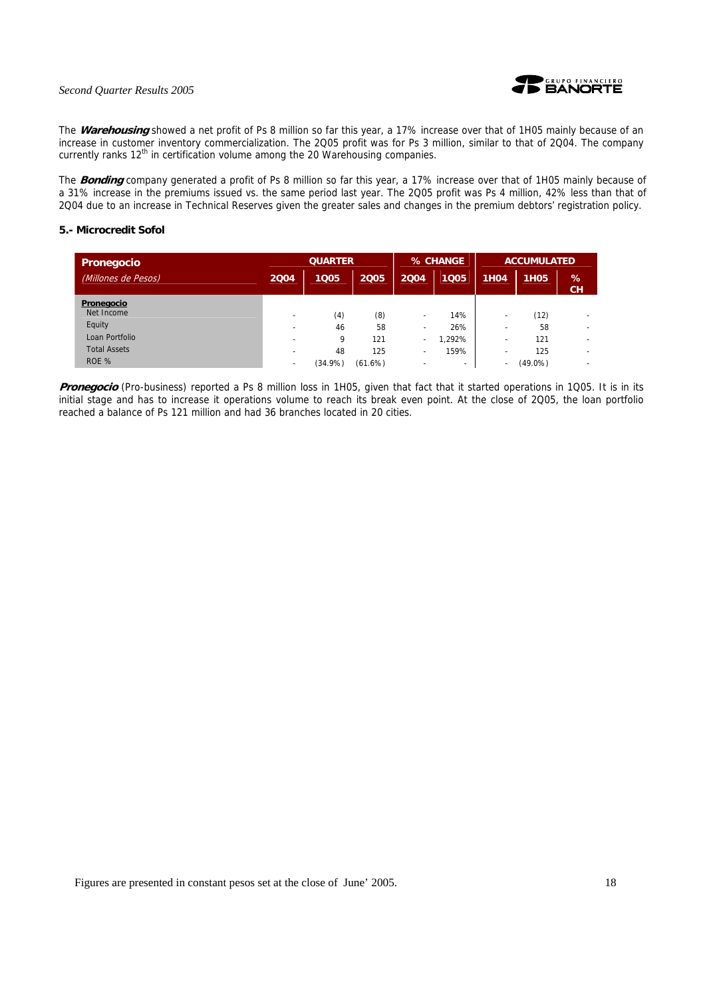

The **Warehousing** showed a net profit of Ps 8 million so far this year, a 17% increase over that of 1H05 mainly because of an increase in customer inventory commercialization. The 2Q05 profit was for Ps 3 million, similar to that of 2Q04. The company currently ranks  $12<sup>th</sup>$  in certification volume among the 20 Warehousing companies.

The **Bonding** company generated a profit of Ps 8 million so far this year, a 17% increase over that of 1H05 mainly because of a 31% increase in the premiums issued vs. the same period last year. The 2Q05 profit was Ps 4 million, 42% less than that of 2Q04 due to an increase in Technical Reserves given the greater sales and changes in the premium debtors' registration policy.

## **5.- Microcredit Sofol**

| Pronegocio          | <b>QUARTER</b>           |            |         |                          | % CHANGE | <b>ACCUMULATED</b> |             |                          |
|---------------------|--------------------------|------------|---------|--------------------------|----------|--------------------|-------------|--------------------------|
| (Millones de Pesos) | 2004                     | 1005       | 2005    | 2004                     | 1005     | <b>1H04</b>        | <b>1H05</b> | %<br><b>CH</b>           |
| Pronegocio          |                          |            |         |                          |          |                    |             |                          |
| Net Income          | $\overline{\phantom{0}}$ | (4)        | (8)     | $\overline{\phantom{0}}$ | 14%      |                    | (12)        |                          |
| Equity              | $\overline{\phantom{a}}$ | 46         | 58      | $\overline{\phantom{a}}$ | 26%      |                    | 58          |                          |
| Loan Portfolio      | -                        | 9          | 121     | ۰                        | ,292%    |                    | 121         | $\overline{\phantom{a}}$ |
| <b>Total Assets</b> |                          | 48         | 125     | ۰                        | 159%     |                    | 125         | $\overline{\phantom{a}}$ |
| ROE %               | $\overline{\phantom{a}}$ | $(34.9\%)$ | (61.6%) |                          | ۰        |                    | $(49.0\%)$  | <b>.</b>                 |

Pronegocio (Pro-business) reported a Ps 8 million loss in 1H05, given that fact that it started operations in 1Q05. It is in its initial stage and has to increase it operations volume to reach its break even point. At the close of 2Q05, the loan portfolio reached a balance of Ps 121 million and had 36 branches located in 20 cities.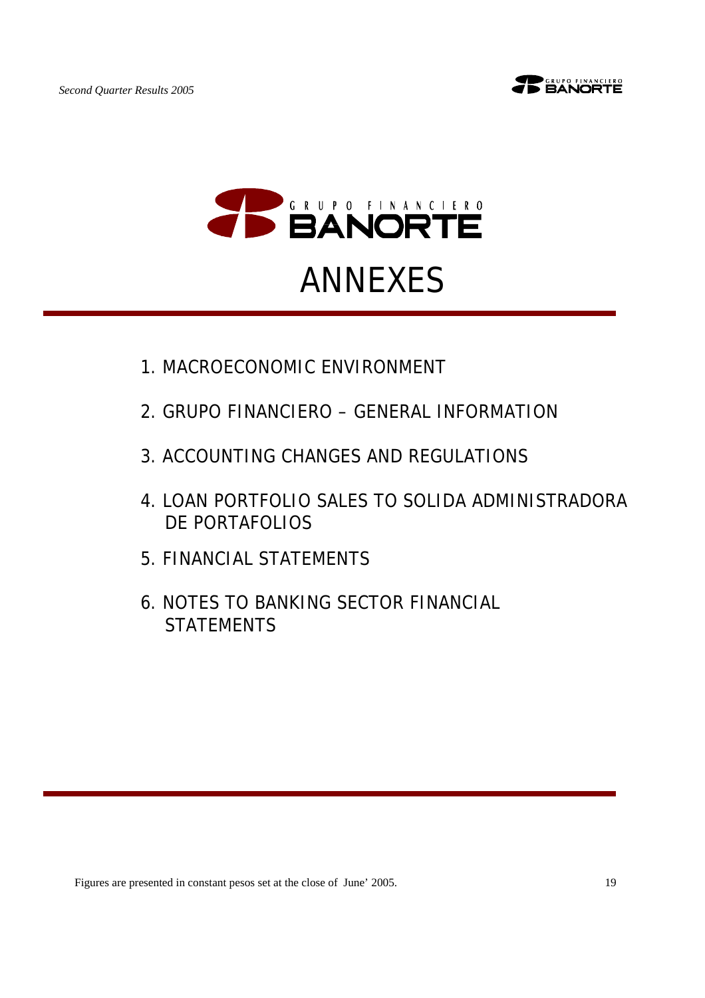





# ANNEXES

- 1.MACROECONOMIC ENVIRONMENT
- 2.GRUPO FINANCIERO GENERAL INFORMATION
- 3.ACCOUNTING CHANGES AND REGULATIONS
- 4.LOAN PORTFOLIO SALES TO SOLIDA ADMINISTRADORA DE PORTAFOLIOS
- 5.FINANCIAL STATEMENTS
- 6.NOTES TO BANKING SECTOR FINANCIAL **STATEMENTS**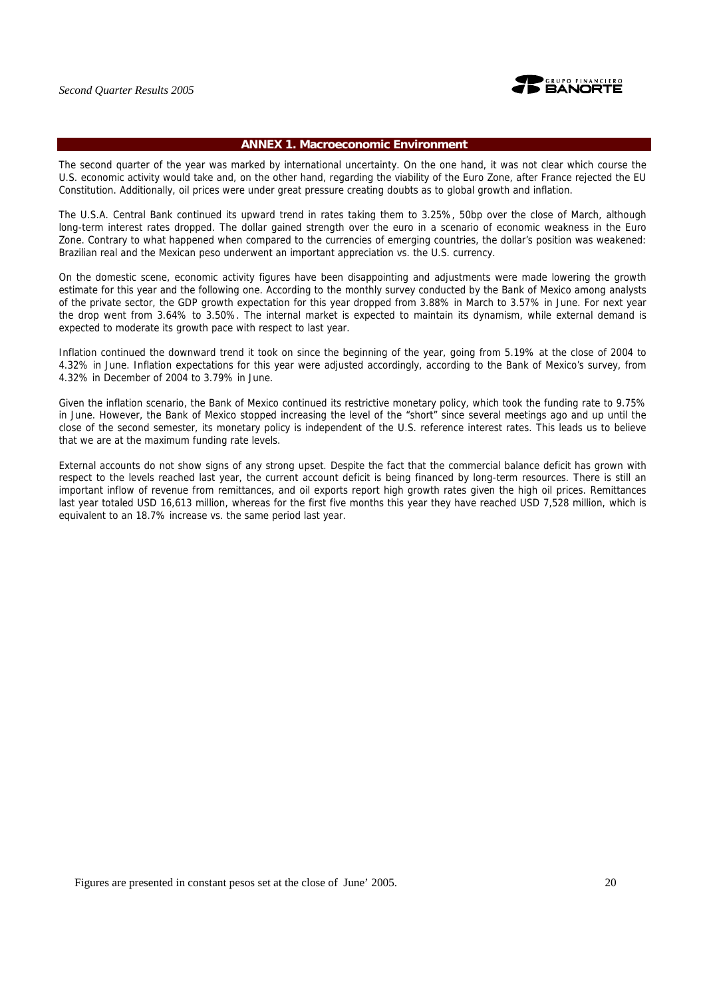

#### **ANNEX 1. Macroeconomic Environment**

The second quarter of the year was marked by international uncertainty. On the one hand, it was not clear which course the U.S. economic activity would take and, on the other hand, regarding the viability of the Euro Zone, after France rejected the EU Constitution. Additionally, oil prices were under great pressure creating doubts as to global growth and inflation.

The U.S.A. Central Bank continued its upward trend in rates taking them to 3.25%, 50bp over the close of March, although long-term interest rates dropped. The dollar gained strength over the euro in a scenario of economic weakness in the Euro Zone. Contrary to what happened when compared to the currencies of emerging countries, the dollar's position was weakened: Brazilian real and the Mexican peso underwent an important appreciation vs. the U.S. currency.

On the domestic scene, economic activity figures have been disappointing and adjustments were made lowering the growth estimate for this year and the following one. According to the monthly survey conducted by the Bank of Mexico among analysts of the private sector, the GDP growth expectation for this year dropped from 3.88% in March to 3.57% in June. For next year the drop went from 3.64% to 3.50%. The internal market is expected to maintain its dynamism, while external demand is expected to moderate its growth pace with respect to last year.

Inflation continued the downward trend it took on since the beginning of the year, going from 5.19% at the close of 2004 to 4.32% in June. Inflation expectations for this year were adjusted accordingly, according to the Bank of Mexico's survey, from 4.32% in December of 2004 to 3.79% in June.

Given the inflation scenario, the Bank of Mexico continued its restrictive monetary policy, which took the funding rate to 9.75% in June. However, the Bank of Mexico stopped increasing the level of the "short" since several meetings ago and up until the close of the second semester, its monetary policy is independent of the U.S. reference interest rates. This leads us to believe that we are at the maximum funding rate levels.

External accounts do not show signs of any strong upset. Despite the fact that the commercial balance deficit has grown with respect to the levels reached last year, the current account deficit is being financed by long-term resources. There is still an important inflow of revenue from remittances, and oil exports report high growth rates given the high oil prices. Remittances last year totaled USD 16,613 million, whereas for the first five months this year they have reached USD 7,528 million, which is equivalent to an 18.7% increase vs. the same period last year.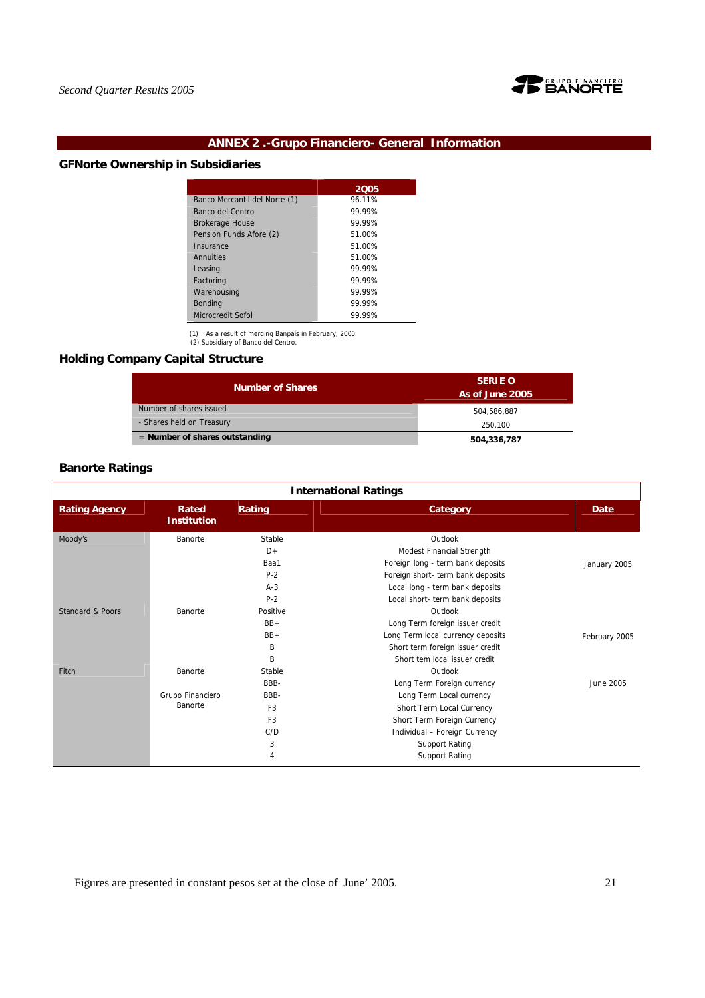

## **ANNEX 2 .-Grupo Financiero- General Information**

## **GFNorte Ownership in Subsidiaries**

|                               | 2005   |
|-------------------------------|--------|
| Banco Mercantil del Norte (1) | 96.11% |
| Banco del Centro              | 99.99% |
| <b>Brokerage House</b>        | 99.99% |
| Pension Funds Afore (2)       | 51.00% |
| Insurance                     | 51.00% |
| Annuities                     | 51.00% |
| Leasing                       | 99.99% |
| Factoring                     | 99 99% |
| Warehousing                   | 99.99% |
| <b>Bonding</b>                | 99.99% |
| <b>Microcredit Sofol</b>      | 99.99% |

(1) As a result of merging Banpaís in February, 2000. (2) Subsidiary of Banco del Centro.

## **Holding Company Capital Structure**

| <b>Number of Shares</b>          | <b>SERIE O</b><br>As of June 2005 |
|----------------------------------|-----------------------------------|
| Number of shares issued          | 504.586.887                       |
| - Shares held on Treasury        | 250.100                           |
| $=$ Number of shares outstanding | 504,336,787                       |

## **Banorte Ratings**

| <b>International Ratings</b> |                             |                |                                   |               |  |  |  |  |  |
|------------------------------|-----------------------------|----------------|-----------------------------------|---------------|--|--|--|--|--|
| <b>Rating Agency</b>         | Rated<br><b>Institution</b> | Rating         | Category                          | Date          |  |  |  |  |  |
| Moody's                      | Banorte                     | Stable         | Outlook                           |               |  |  |  |  |  |
|                              |                             | $D+$           | Modest Financial Strength         |               |  |  |  |  |  |
|                              |                             | Baa1           | Foreign long - term bank deposits | January 2005  |  |  |  |  |  |
|                              |                             | $P-2$          | Foreign short- term bank deposits |               |  |  |  |  |  |
|                              |                             | $A-3$          | Local long - term bank deposits   |               |  |  |  |  |  |
|                              |                             | $P-2$          | Local short- term bank deposits   |               |  |  |  |  |  |
| <b>Standard &amp; Poors</b>  | Banorte                     | Positive       | Outlook                           |               |  |  |  |  |  |
|                              |                             | $BB+$          | Long Term foreign issuer credit   |               |  |  |  |  |  |
|                              |                             | $BB+$          | Long Term local currency deposits | February 2005 |  |  |  |  |  |
|                              |                             | B              | Short term foreign issuer credit  |               |  |  |  |  |  |
|                              |                             | B              | Short tem local issuer credit     |               |  |  |  |  |  |
| Fitch                        | Banorte                     | Stable         | Outlook                           |               |  |  |  |  |  |
|                              |                             | BBB-           | Long Term Foreign currency        | June 2005     |  |  |  |  |  |
|                              | Grupo Financiero            | BBB-           | Long Term Local currency          |               |  |  |  |  |  |
|                              | Banorte                     | F <sub>3</sub> | Short Term Local Currency         |               |  |  |  |  |  |
|                              |                             | F <sub>3</sub> | Short Term Foreign Currency       |               |  |  |  |  |  |
|                              |                             | C/D            | Individual - Foreign Currency     |               |  |  |  |  |  |
|                              |                             | 3              | <b>Support Rating</b>             |               |  |  |  |  |  |
|                              |                             | 4              | <b>Support Rating</b>             |               |  |  |  |  |  |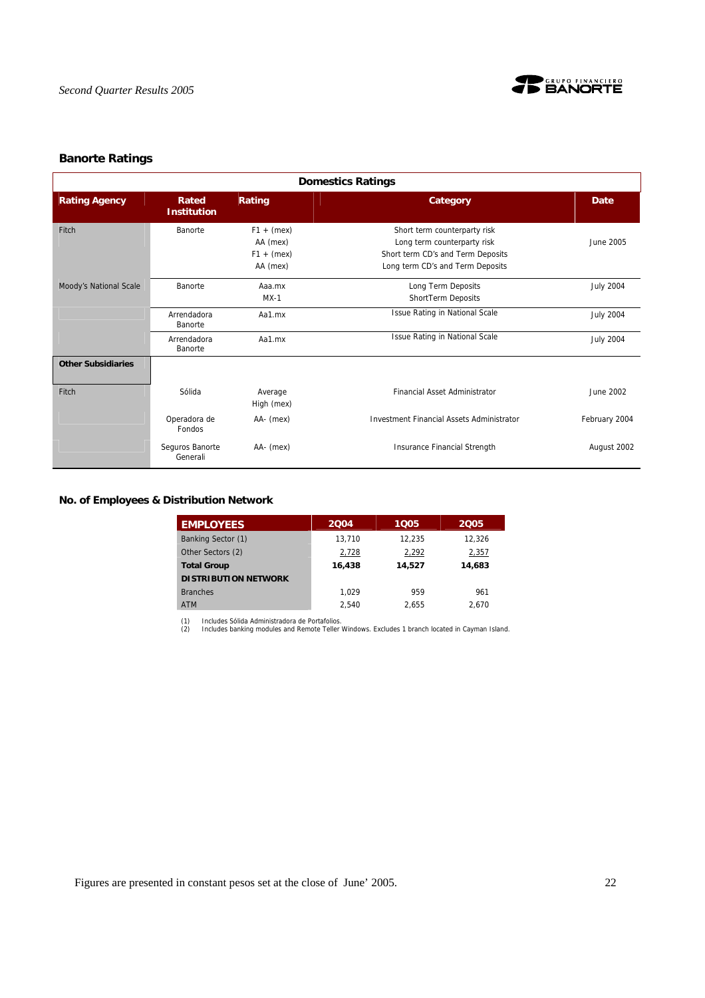

## **Banorte Ratings**

| <b>Domestics Ratings</b>  |                             |                                                      |                                                                                                                                      |                  |  |  |  |  |  |  |
|---------------------------|-----------------------------|------------------------------------------------------|--------------------------------------------------------------------------------------------------------------------------------------|------------------|--|--|--|--|--|--|
| <b>Rating Agency</b>      | Rated<br><b>Institution</b> | Rating                                               | Category                                                                                                                             | Date             |  |  |  |  |  |  |
| Fitch                     | Banorte                     | $F1 + (mex)$<br>AA (mex)<br>$F1 + (mex)$<br>AA (mex) | Short term counterparty risk<br>Long term counterparty risk<br>Short term CD's and Term Deposits<br>Long term CD's and Term Deposits | June 2005        |  |  |  |  |  |  |
| Moody's National Scale    | Banorte                     | Aaa.mx<br>$MX-1$                                     | Long Term Deposits<br>ShortTerm Deposits                                                                                             | <b>July 2004</b> |  |  |  |  |  |  |
|                           | Arrendadora<br>Banorte      | Aa1.mx                                               | Issue Rating in National Scale                                                                                                       | <b>July 2004</b> |  |  |  |  |  |  |
|                           | Arrendadora<br>Banorte      | Aa1.mx                                               | <b>Issue Rating in National Scale</b>                                                                                                | <b>July 2004</b> |  |  |  |  |  |  |
| <b>Other Subsidiaries</b> |                             |                                                      |                                                                                                                                      |                  |  |  |  |  |  |  |
| Fitch                     | Sólida                      | Average<br>High (mex)                                | Financial Asset Administrator                                                                                                        | June 2002        |  |  |  |  |  |  |
|                           | Operadora de<br>Fondos      | AA- (mex)                                            | <b>Investment Financial Assets Administrator</b>                                                                                     | February 2004    |  |  |  |  |  |  |
|                           | Seguros Banorte<br>Generali | AA- (mex)                                            | Insurance Financial Strength                                                                                                         | August 2002      |  |  |  |  |  |  |

**No. of Employees & Distribution Network** 

| <b>EMPLOYEES</b>            | 2004   | 1005   | 2005   |
|-----------------------------|--------|--------|--------|
| Banking Sector (1)          | 13.710 | 12.235 | 12.326 |
| Other Sectors (2)           | 2,728  | 2,292  | 2,357  |
| <b>Total Group</b>          | 16,438 | 14,527 | 14.683 |
| <b>DISTRIBUTION NETWORK</b> |        |        |        |
| <b>Branches</b>             | 1.029  | 959    | 961    |
| <b>ATM</b>                  | 2.540  | 2.655  | 2.670  |

(1) Includes Sólida Administradora de Portafolios. (2) Includes banking modules and Remote Teller Windows. Excludes 1 branch located in Cayman Island.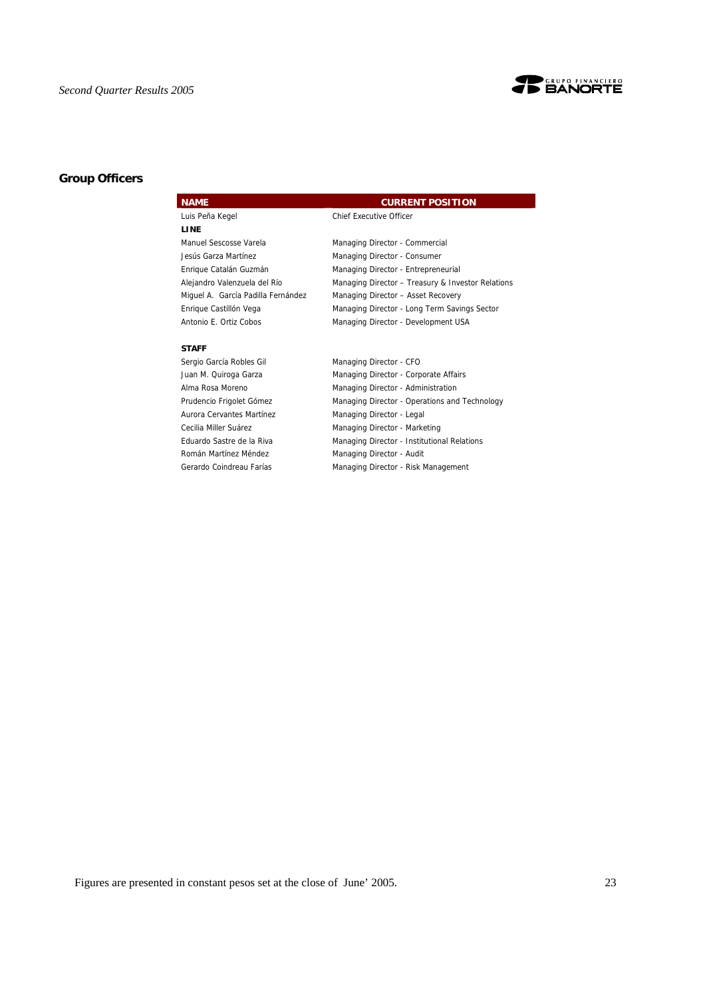

## **Group Officers**

## **NAME CURRENT POSITION**

Luis Peña Kegel Chief Executive Officer

| Manuel Sescosse Varela             | Managing Director - Commercial                    |
|------------------------------------|---------------------------------------------------|
| Jesús Garza Martínez               | Managing Director - Consumer                      |
| Enrique Catalán Guzmán             | Managing Director - Entrepreneurial               |
| Alejandro Valenzuela del Río       | Managing Director - Treasury & Investor Relations |
| Miquel A. García Padilla Fernández | Managing Director - Asset Recovery                |
| Enrique Castillón Vega             | Managing Director - Long Term Savings Sector      |
| Antonio E. Ortiz Cobos             | Managing Director - Development USA               |

#### **STAFF**

**LINE** 

Sergio García Robles Gil Managing Director - CFO Juan M. Quiroga Garza **Managing Director - Corporate Affairs** Alma Rosa Moreno **Managing Director - Administration** Prudencio Frigolet Gómez **Managing Director - Operations and Technology** Aurora Cervantes Martínez Managing Director - Legal Cecilia Miller Suárez Managing Director - Marketing Eduardo Sastre de la Riva Managing Director - Institutional Relations Román Martínez Méndez **Managing Director - Audit** Gerardo Coindreau Farías Managing Director - Risk Management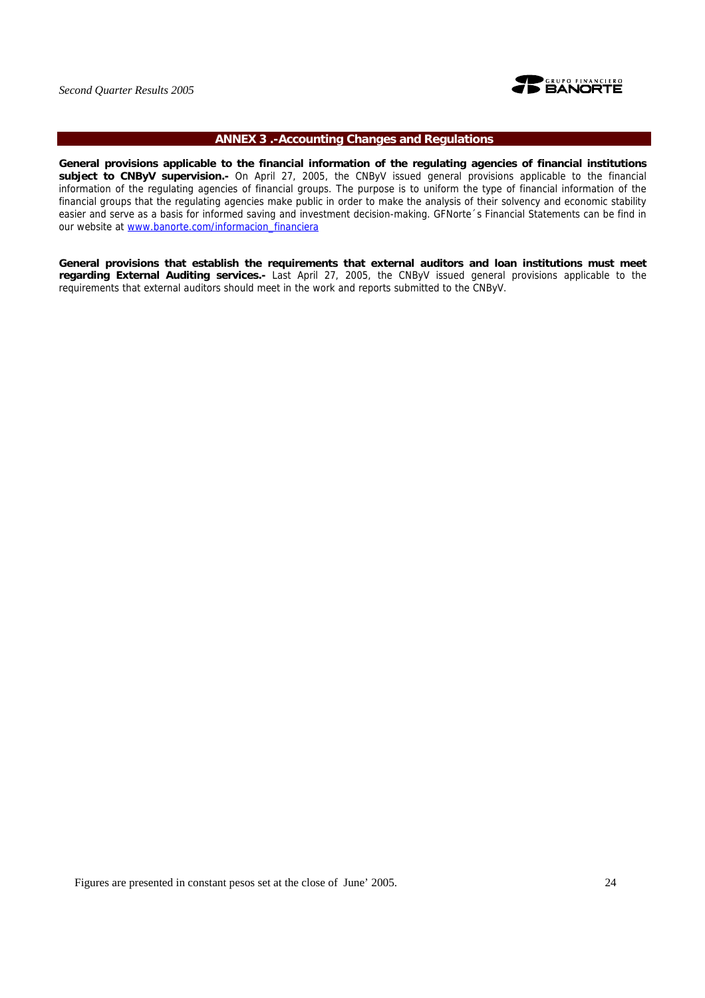

## **ANNEX 3 .-Accounting Changes and Regulations**

**General provisions applicable to the financial information of the regulating agencies of financial institutions subject to CNByV supervision.-** On April 27, 2005, the CNByV issued general provisions applicable to the financial information of the regulating agencies of financial groups. The purpose is to uniform the type of financial information of the financial groups that the regulating agencies make public in order to make the analysis of their solvency and economic stability easier and serve as a basis for informed saving and investment decision-making. GFNorte´s Financial Statements can be find in our website at www.banorte.com/informacion\_financiera

**General provisions that establish the requirements that external auditors and loan institutions must meet regarding External Auditing services.-** Last April 27, 2005, the CNByV issued general provisions applicable to the requirements that external auditors should meet in the work and reports submitted to the CNByV.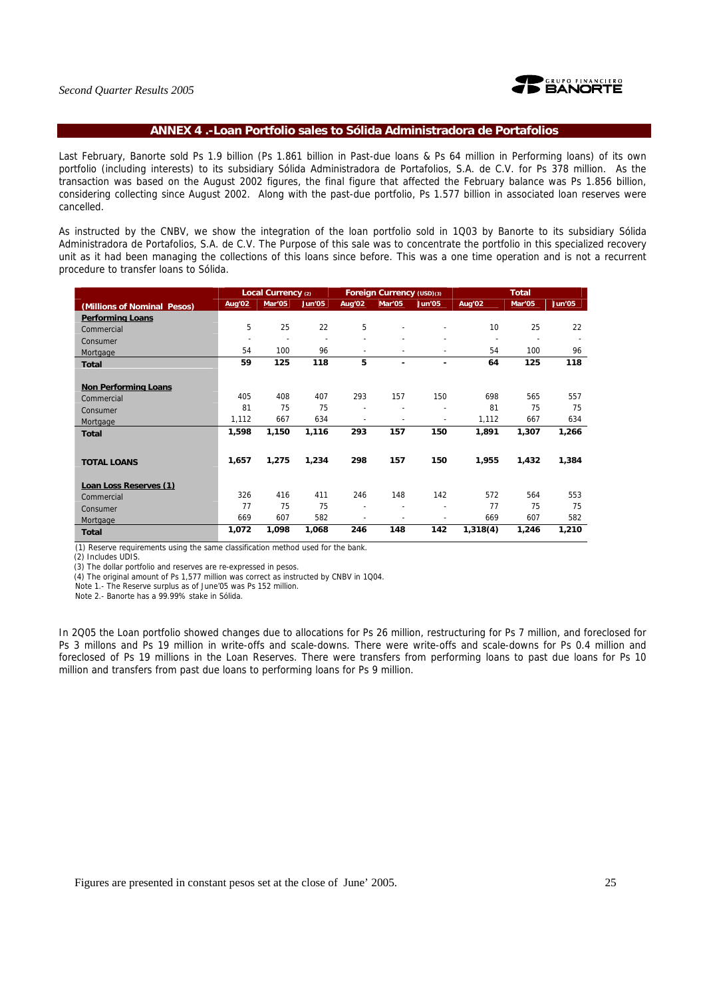

## **ANNEX 4 .-Loan Portfolio sales to Sólida Administradora de Portafolios**

Last February, Banorte sold Ps 1.9 billion (Ps 1.861 billion in Past-due loans & Ps 64 million in Performing loans) of its own portfolio (including interests) to its subsidiary Sólida Administradora de Portafolios, S.A. de C.V. for Ps 378 million. As the transaction was based on the August 2002 figures, the final figure that affected the February balance was Ps 1.856 billion, considering collecting since August 2002. Along with the past-due portfolio, Ps 1.577 billion in associated loan reserves were cancelled.

As instructed by the CNBV, we show the integration of the loan portfolio sold in 1Q03 by Banorte to its subsidiary Sólida Administradora de Portafolios, S.A. de C.V. The Purpose of this sale was to concentrate the portfolio in this specialized recovery unit as it had been managing the collections of this loans since before. This was a one time operation and is not a recurrent procedure to transfer loans to Sólida.

|                             |                          | Local Currency (2) |        |        | Foreign Currency (USD)(3) |                          |                          | <b>Total</b>   |        |  |
|-----------------------------|--------------------------|--------------------|--------|--------|---------------------------|--------------------------|--------------------------|----------------|--------|--|
| (Millions of Nominal Pesos) | Aug'02                   | Mar'05             | Jun'05 | Aug'02 | Mar'05                    | Jun'05                   | Aug'02                   | Mar'05         | Jun'05 |  |
| <b>Performing Loans</b>     |                          |                    |        |        |                           |                          |                          |                |        |  |
| Commercial                  | 5                        | 25                 | 22     | 5      |                           |                          | 10                       | 25             | 22     |  |
| Consumer                    | $\overline{\phantom{a}}$ |                    |        |        |                           |                          | $\overline{\phantom{a}}$ | $\blacksquare$ |        |  |
| Mortgage                    | 54                       | 100                | 96     | ٠      |                           | $\overline{\phantom{a}}$ | 54                       | 100            | 96     |  |
| <b>Total</b>                | 59                       | 125                | 118    | 5      |                           | ۰                        | 64                       | 125            | 118    |  |
|                             |                          |                    |        |        |                           |                          |                          |                |        |  |
| <b>Non Performing Loans</b> |                          |                    |        |        |                           |                          |                          |                |        |  |
| Commercial                  | 405                      | 408                | 407    | 293    | 157                       | 150                      | 698                      | 565            | 557    |  |
| Consumer                    | 81                       | 75                 | 75     |        |                           |                          | 81                       | 75             | 75     |  |
| Mortgage                    | 1,112                    | 667                | 634    |        |                           |                          | 1,112                    | 667            | 634    |  |
| <b>Total</b>                | 1,598                    | 1,150              | 1,116  | 293    | 157                       | 150                      | 1,891                    | 1,307          | 1,266  |  |
|                             |                          |                    |        |        |                           |                          |                          |                |        |  |
|                             | 1,657                    | 1,275              | 1,234  | 298    | 157                       | 150                      | 1,955                    | 1,432          | 1,384  |  |
| <b>TOTAL LOANS</b>          |                          |                    |        |        |                           |                          |                          |                |        |  |
| Loan Loss Reserves (1)      |                          |                    |        |        |                           |                          |                          |                |        |  |
| Commercial                  | 326                      | 416                | 411    | 246    | 148                       | 142                      | 572                      | 564            | 553    |  |
|                             | 77                       | 75                 | 75     | ٠      |                           |                          | 77                       | 75             | 75     |  |
| Consumer                    | 669                      | 607                | 582    | ٠      |                           |                          | 669                      | 607            | 582    |  |
| Mortgage                    | 1,072                    | 1,098              | 1,068  | 246    | 148                       | 142                      | 1,318(4)                 | 1,246          | 1,210  |  |
| <b>Total</b>                |                          |                    |        |        |                           |                          |                          |                |        |  |

(1) Reserve requirements using the same classification method used for the bank.

(2) Includes UDIS.

(3) The dollar portfolio and reserves are re-expressed in pesos.

(4) The original amount of Ps 1,577 million was correct as instructed by CNBV in 1Q04.

Note 1.- The Reserve surplus as of June'05 was Ps 152 million.

Note 2.- Banorte has a 99.99% stake in Sólida.

In 2Q05 the Loan portfolio showed changes due to allocations for Ps 26 million, restructuring for Ps 7 million, and foreclosed for Ps 3 millons and Ps 19 million in write-offs and scale-downs. There were write-offs and scale-downs for Ps 0.4 million and foreclosed of Ps 19 millions in the Loan Reserves. There were transfers from performing loans to past due loans for Ps 10 million and transfers from past due loans to performing loans for Ps 9 million.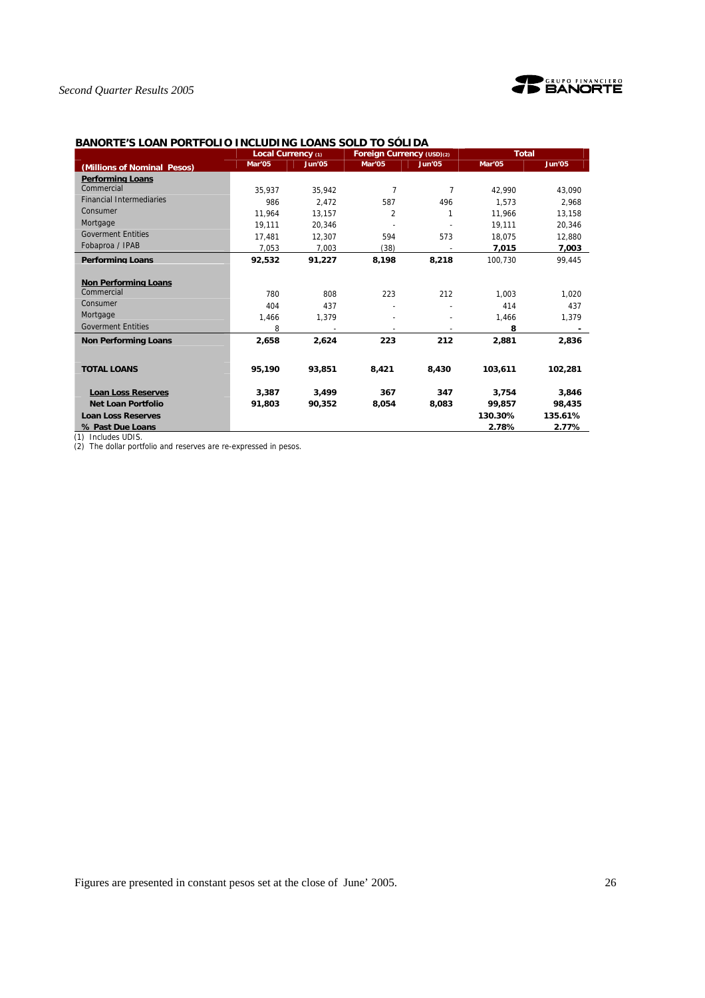



## **BANORTE'S LOAN PORTFOLIO INCLUDING LOANS SOLD TO SÓLIDA**

|                                 | Local Currency (1) |        | Foreign Currency (USD)(2) |                | <b>Total</b> |         |
|---------------------------------|--------------------|--------|---------------------------|----------------|--------------|---------|
| (Millions of Nominal Pesos)     | Mar'05             | Jun'05 | Mar'05                    | Jun'05         | Mar'05       | Jun'05  |
| <b>Performing Loans</b>         |                    |        |                           |                |              |         |
| Commercial                      | 35.937             | 35.942 | $\overline{7}$            | $\overline{7}$ | 42.990       | 43.090  |
| <b>Financial Intermediaries</b> | 986                | 2.472  | 587                       | 496            | 1.573        | 2.968   |
| Consumer                        | 11.964             | 13,157 | $\overline{2}$            | 1              | 11.966       | 13,158  |
| Mortgage                        | 19.111             | 20.346 |                           |                | 19.111       | 20,346  |
| <b>Goverment Entities</b>       | 17.481             | 12.307 | 594                       | 573            | 18.075       | 12.880  |
| Fobaproa / IPAB                 | 7,053              | 7,003  | (38)                      |                | 7,015        | 7,003   |
| <b>Performing Loans</b>         | 92.532             | 91.227 | 8.198                     | 8.218          | 100.730      | 99.445  |
|                                 |                    |        |                           |                |              |         |
| <b>Non Performing Loans</b>     |                    |        |                           |                |              |         |
| Commercial                      | 780                | 808    | 223                       | 212            | 1.003        | 1,020   |
| Consumer                        | 404                | 437    |                           |                | 414          | 437     |
| Mortgage                        | 1.466              | 1.379  |                           |                | 1.466        | 1,379   |
| <b>Goverment Entities</b>       | 8                  |        |                           |                | 8            |         |
| <b>Non Performing Loans</b>     | 2,658              | 2,624  | 223                       | 212            | 2,881        | 2,836   |
|                                 |                    |        |                           |                |              |         |
| <b>TOTAL LOANS</b>              | 95,190             | 93,851 | 8,421                     | 8,430          | 103,611      | 102,281 |
| <b>Loan Loss Reserves</b>       | 3,387              | 3,499  | 367                       | 347            | 3,754        | 3,846   |
| <b>Net Loan Portfolio</b>       | 91,803             | 90,352 | 8,054                     | 8,083          | 99,857       | 98,435  |
| <b>Loan Loss Reserves</b>       |                    |        |                           |                | 130.30%      | 135.61% |
| % Past Due Loans                |                    |        |                           |                | 2.78%        | 2.77%   |
| $(1)$ laskulas LIDIC            |                    |        |                           |                |              |         |

(1) Includes UDIS.

(2) The dollar portfolio and reserves are re-expressed in pesos.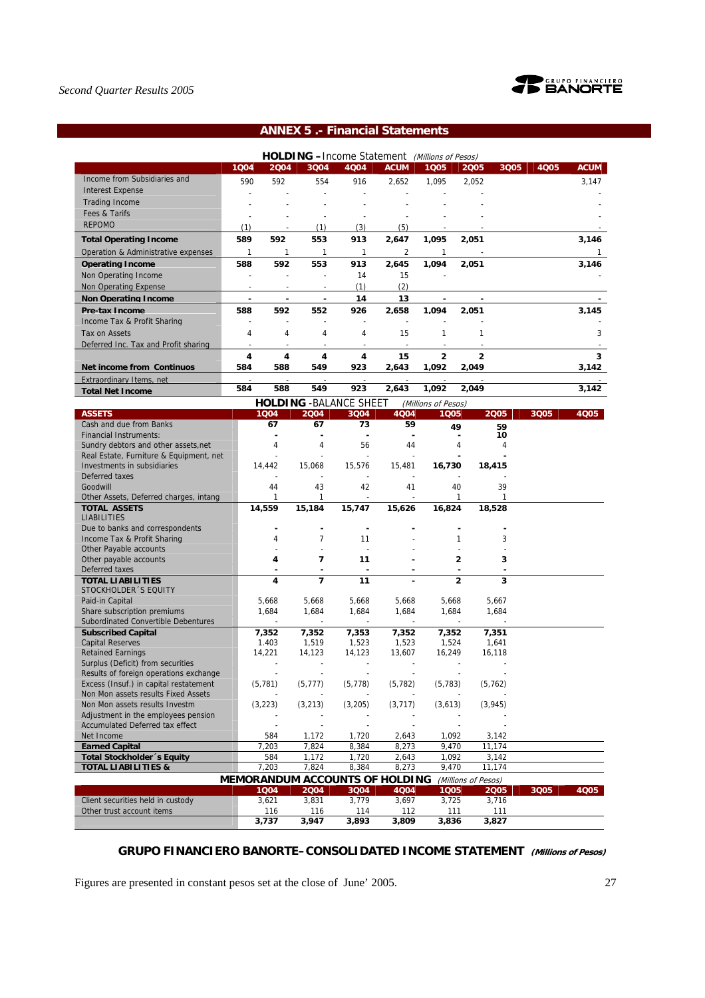

## **ANNEX 5 .- Financial Statements**

|                                                     |      |                |                          | <b>HOLDING</b> - Income Statement (Millions of Pesos) |                          |                     |                     |                 |      |              |
|-----------------------------------------------------|------|----------------|--------------------------|-------------------------------------------------------|--------------------------|---------------------|---------------------|-----------------|------|--------------|
|                                                     | 1004 | 2004           | 3Q04                     | 4004                                                  | <b>ACUM</b>              | 1Q05                | 2005                | 3Q05            | 4Q05 | <b>ACUM</b>  |
| Income from Subsidiaries and                        | 590  | 592            | 554                      | 916                                                   | 2,652                    | 1,095               | 2,052               |                 |      | 3,147        |
| <b>Interest Expense</b>                             |      |                | $\overline{\phantom{a}}$ |                                                       |                          |                     |                     |                 |      |              |
| <b>Trading Income</b>                               |      |                |                          |                                                       |                          |                     |                     |                 |      |              |
| Fees & Tarifs                                       |      |                | $\overline{\phantom{a}}$ |                                                       |                          |                     |                     |                 |      |              |
| <b>REPOMO</b>                                       | (1)  |                | (1)                      | (3)                                                   | (5)                      |                     |                     |                 |      |              |
| <b>Total Operating Income</b>                       | 589  | 592            | 553                      | 913                                                   | 2,647                    | 1,095               | 2,051               |                 |      | 3,146        |
| Operation & Administrative expenses                 | 1    | 1              | 1                        | $\mathbf{1}$                                          | $\overline{2}$           | $\mathbf{1}$        |                     |                 |      | $\mathbf{1}$ |
| <b>Operating Income</b>                             | 588  | 592            | 553                      | 913                                                   | 2.645                    | 1.094               | 2.051               |                 |      | 3.146        |
| Non Operating Income                                |      | $\overline{a}$ | $\overline{a}$           | 14                                                    | 15                       |                     |                     |                 |      |              |
| Non Operating Expense                               |      |                |                          | (1)                                                   | (2)                      |                     |                     |                 |      |              |
|                                                     |      |                |                          | 14                                                    |                          |                     |                     |                 |      |              |
| <b>Non Operating Income</b>                         |      |                |                          |                                                       | 13                       |                     |                     |                 |      |              |
| Pre-tax Income                                      | 588  | 592            | 552                      | 926                                                   | 2,658                    | 1.094               | 2,051               |                 |      | 3,145        |
| Income Tax & Profit Sharing                         | ÷,   | $\overline{a}$ | ÷,                       | ÷,                                                    | $\overline{\phantom{a}}$ |                     |                     |                 |      |              |
| Tax on Assets                                       | 4    | 4              | 4                        | 4                                                     | 15                       | 1                   | $\mathbf{1}$        |                 |      | 3            |
| Deferred Inc. Tax and Profit sharing                | ÷,   |                | ÷,                       | $\overline{\phantom{a}}$                              | $\overline{a}$           | ÷,                  |                     |                 |      |              |
|                                                     | 4    | 4              | 4                        | 4                                                     | 15                       | 2                   | 2                   |                 |      | 3            |
| Net income from Continuos                           | 584  | 588            | 549                      | 923                                                   | 2,643                    | 1,092               | 2,049               |                 |      | 3,142        |
| Extraordinary Items, net                            |      |                |                          |                                                       |                          |                     |                     |                 |      |              |
| <b>Total Net Income</b>                             | 584  | 588            | 549                      | 923                                                   | 2,643                    | 1,092               | 2,049               |                 |      | 3,142        |
|                                                     |      |                |                          | <b>HOLDING - BALANCE SHEET</b>                        |                          | (Millions of Pesos) |                     |                 |      |              |
| <b>ASSETS</b>                                       |      | 1004           | 2004                     | 3Q04                                                  | 4Q04                     | 1005                |                     | 2005            | 3Q05 | 4Q05         |
| Cash and due from Banks                             |      | 67             | 67                       | 73                                                    | 59                       |                     | 49                  | 59              |      |              |
| <b>Financial Instruments:</b>                       |      |                |                          | ä,                                                    |                          |                     |                     | 10              |      |              |
| Sundry debtors and other assets, net                |      | 4              | 4                        | 56                                                    | 44                       |                     | 4                   | 4               |      |              |
| Real Estate, Furniture & Equipment, net             |      |                |                          |                                                       |                          |                     |                     |                 |      |              |
| Investments in subsidiaries                         |      | 14,442         | 15,068                   | 15,576                                                | 15,481                   | 16,730              |                     | 18,415          |      |              |
| Deferred taxes<br>Goodwill                          |      | 44             | 43                       | 42                                                    | 41                       |                     | 40                  | 39              |      |              |
| Other Assets, Deferred charges, intang              |      | $\mathbf{1}$   | 1                        |                                                       |                          |                     | 1                   | 1               |      |              |
| <b>TOTAL ASSETS</b>                                 |      | 14,559         | 15,184                   | 15,747                                                | 15,626                   | 16,824              |                     | 18,528          |      |              |
| <b>LIABILITIES</b>                                  |      |                |                          |                                                       |                          |                     |                     |                 |      |              |
| Due to banks and correspondents                     |      |                | ٠                        | ä,                                                    |                          |                     |                     |                 |      |              |
| Income Tax & Profit Sharing                         |      | 4              | $\overline{7}$           | 11                                                    |                          |                     | 1                   | 3               |      |              |
| Other Payable accounts                              |      |                |                          | L,                                                    |                          |                     |                     |                 |      |              |
| Other payable accounts                              |      | 4              | $\overline{7}$           | 11                                                    |                          |                     | $\overline{2}$      | 3               |      |              |
| Deferred taxes                                      |      |                |                          |                                                       |                          |                     |                     |                 |      |              |
| <b>TOTAL LIABILITIES</b>                            |      | 4              | $\overline{7}$           | 11                                                    |                          |                     | $\overline{a}$      | 3               |      |              |
| STOCKHOLDER 'S EQUITY                               |      |                |                          |                                                       |                          |                     |                     |                 |      |              |
| Paid-in Capital                                     |      | 5,668          | 5,668                    | 5,668                                                 | 5,668                    | 5,668               |                     | 5,667           |      |              |
| Share subscription premiums                         |      | 1,684          | 1,684                    | 1,684                                                 | 1.684                    | 1,684               |                     | 1,684           |      |              |
| Subordinated Convertible Debentures                 |      |                |                          | $\overline{a}$                                        | $\overline{a}$           |                     |                     |                 |      |              |
| <b>Subscribed Capital</b>                           |      | 7,352<br>1.403 | 7,352                    | 7,353                                                 | 7,352                    | 7,352               |                     | 7,351           |      |              |
| <b>Capital Reserves</b><br><b>Retained Earnings</b> |      | 14,221         | 1,519                    | 1,523<br>14,123                                       | 1,523<br>13,607          | 1,524<br>16,249     |                     | 1,641<br>16,118 |      |              |
| Surplus (Deficit) from securities                   |      |                | 14,123                   |                                                       |                          |                     |                     |                 |      |              |
| Results of foreign operations exchange              |      |                |                          |                                                       |                          |                     |                     |                 |      |              |
| Excess (Insuf.) in capital restatement              |      | (5, 781)       | (5, 777)                 | (5, 778)                                              | (5, 782)                 | (5, 783)            |                     | (5, 762)        |      |              |
| Non Mon assets results Fixed Assets                 |      |                |                          |                                                       |                          |                     |                     |                 |      |              |
| Non Mon assets results Investm                      |      | (3, 223)       | (3, 213)                 | (3,205)                                               | (3, 717)                 | (3,613)             |                     | (3,945)         |      |              |
| Adjustment in the employees pension                 |      |                |                          |                                                       |                          |                     |                     |                 |      |              |
| Accumulated Deferred tax effect                     |      |                |                          |                                                       |                          |                     |                     |                 |      |              |
| Net Income                                          |      | 584            | 1,172                    | 1,720                                                 | 2,643                    | 1,092               |                     | 3,142           |      |              |
| <b>Earned Capital</b>                               |      | 7,203          | 7,824                    | 8,384                                                 | 8,273                    | 9,470               |                     | 11,174          |      |              |
| <b>Total Stockholder</b> 's Equity                  |      | 584            | 1,172                    | 1,720                                                 | 2,643                    | 1,092               |                     | 3,142           |      |              |
| <b>TOTAL LIABILITIES &amp;</b>                      |      | 7,203          | 7,824                    | 8,384                                                 | 8,273                    | 9,470               |                     | 11,174          |      |              |
|                                                     |      |                |                          | <b>MEMORANDUM ACCOUNTS OF HOLDING</b>                 |                          |                     | (Millions of Pesos) |                 |      |              |
|                                                     |      | 1004           | 2004                     | 3004                                                  | 4Q04                     | 1005                |                     | 2005            | 3Q05 | 4005         |
| Client securities held in custody                   |      | 3,621          | 3,831                    | 3,779                                                 | 3,697                    | 3,725               |                     | 3,716           |      |              |
| Other trust account items                           |      | 116            | 116                      | 114                                                   | 112                      | 111                 |                     | 111             |      |              |
|                                                     |      | 3,737          | 3,947                    | 3,893                                                 | 3,809                    | 3,836               |                     | 3,827           |      |              |

## **GRUPO FINANCIERO BANORTE–CONSOLIDATED INCOME STATEMENT (Millions of Pesos)**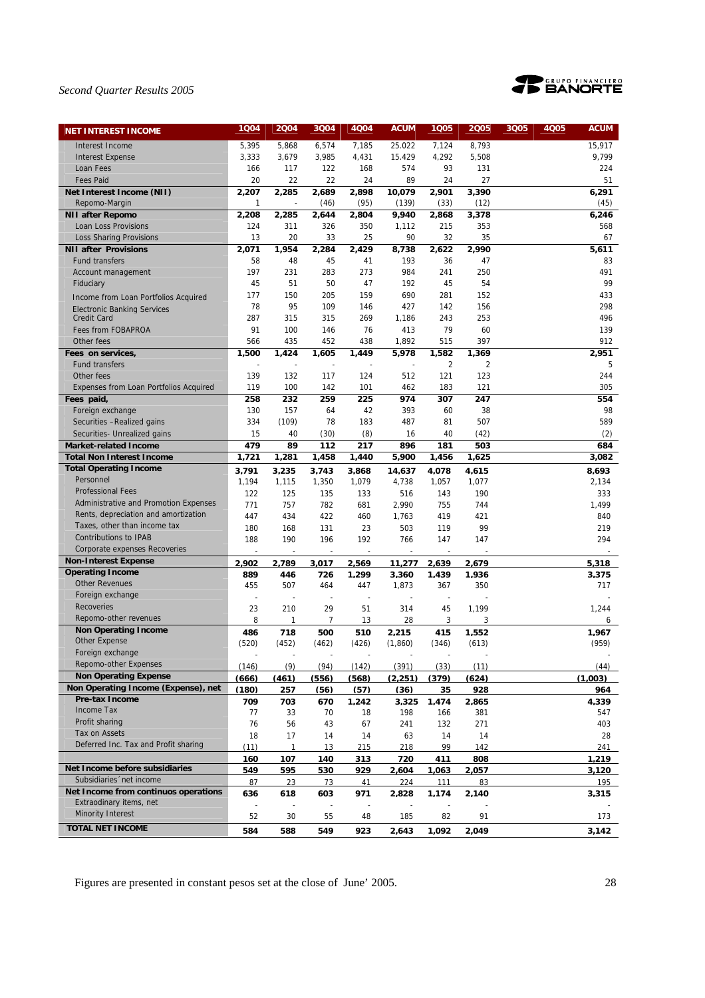

| <b>NET INTEREST INCOME</b>                                        | 1004           | 2004       | 3Q04           | 4Q04                     | <b>ACUM</b>    | 1005       | 2005       | 3Q05 | 4Q05 | <b>ACUM</b> |
|-------------------------------------------------------------------|----------------|------------|----------------|--------------------------|----------------|------------|------------|------|------|-------------|
| Interest Income                                                   | 5,395          | 5,868      | 6,574          | 7,185                    | 25.022         | 7,124      | 8,793      |      |      | 15,917      |
| <b>Interest Expense</b>                                           | 3,333          | 3,679      | 3,985          | 4,431                    | 15.429         | 4,292      | 5,508      |      |      | 9,799       |
| Loan Fees                                                         | 166            | 117        | 122            | 168                      | 574            | 93         | 131        |      |      | 224         |
| <b>Fees Paid</b>                                                  | 20             | 22         | 22             | 24                       | 89             | 24         | 27         |      |      | 51          |
| Net Interest Income (NII)                                         | 2,207          | 2,285      | 2,689          | 2,898                    | 10,079         | 2,901      | 3,390      |      |      | 6,291       |
| Repomo-Margin                                                     | $\mathbf{1}$   |            | (46)           | (95)                     | (139)          | (33)       | (12)       |      |      | (45)        |
| <b>NII after Repomo</b>                                           | 2,208          | 2,285      | 2,644          | 2,804                    | 9,940          | 2,868      | 3,378      |      |      | 6,246       |
| Loan Loss Provisions                                              | 124            | 311        | 326            | 350                      | 1,112          | 215        | 353        |      |      | 568         |
| <b>Loss Sharing Provisions</b>                                    | 13             | 20         | 33             | 25                       | 90             | 32         | 35         |      |      | 67          |
| <b>NII after Provisions</b>                                       | 2,071          | 1,954      | 2,284          | 2,429                    | 8,738          | 2.622      | 2.990      |      |      | 5,611       |
| <b>Fund transfers</b>                                             | 58             | 48         | 45             | 41                       | 193            | 36         | 47         |      |      | 83          |
| Account management                                                | 197            | 231        | 283            | 273                      | 984            | 241        | 250        |      |      | 491         |
| Fiduciary                                                         | 45             | 51         | 50             | 47                       | 192            | 45         | 54         |      |      | 99          |
| Income from Loan Portfolios Acquired                              | 177<br>78      | 150<br>95  | 205<br>109     | 159<br>146               | 690<br>427     | 281<br>142 | 152<br>156 |      |      | 433<br>298  |
| <b>Electronic Banking Services</b><br><b>Credit Card</b>          | 287            | 315        | 315            | 269                      | 1,186          | 243        | 253        |      |      | 496         |
| Fees from FOBAPROA                                                | 91             | 100        | 146            | 76                       | 413            | 79         | 60         |      |      | 139         |
| Other fees                                                        | 566            | 435        | 452            | 438                      | 1,892          | 515        | 397        |      |      | 912         |
| Fees on services,                                                 | 1,500          | 1,424      | 1,605          | 1,449                    | 5,978          | 1,582      | 1,369      |      |      | 2,951       |
| Fund transfers                                                    |                |            |                |                          |                | 2          | 2          |      |      | 5           |
| Other fees                                                        | 139            | 132        | 117            | 124                      | 512            | 121        | 123        |      |      | 244         |
| <b>Expenses from Loan Portfolios Acquired</b>                     | 119            | 100        | 142            | 101                      | 462            | 183        | 121        |      |      | 305         |
| Fees paid,                                                        | 258            | 232        | 259            | 225                      | 974            | 307        | 247        |      |      | 554         |
| Foreign exchange                                                  | 130            | 157        | 64             | 42                       | 393            | 60         | 38         |      |      | 98          |
| Securities - Realized gains                                       | 334            | (109)      | 78             | 183                      | 487            | 81         | 507        |      |      | 589         |
| Securities- Unrealized gains                                      | 15             | 40         | (30)           | (8)                      | 16             | 40         | (42)       |      |      | (2)         |
| <b>Market-related Income</b>                                      | 479            | 89         | 112            | 217                      | 896            | 181        | 503        |      |      | 684         |
| <b>Total Non Interest Income</b>                                  | 1,721          | 1,281      | 1,458          | 1,440                    | 5,900          | 1,456      | 1,625      |      |      | 3,082       |
| <b>Total Operating Income</b>                                     | 3.791          | 3.235      | 3.743          | 3.868                    | 14.637         | 4.078      | 4.615      |      |      | 8.693       |
| Personnel                                                         | 1,194          | 1,115      | 1,350          | 1,079                    | 4,738          | 1,057      | 1,077      |      |      | 2,134       |
| <b>Professional Fees</b><br>Administrative and Promotion Expenses | 122            | 125        | 135            | 133                      | 516            | 143        | 190        |      |      | 333         |
| Rents, depreciation and amortization                              | 771            | 757        | 782            | 681                      | 2,990          | 755        | 744        |      |      | 1,499       |
| Taxes, other than income tax                                      | 447            | 434        | 422            | 460                      | 1,763          | 419        | 421        |      |      | 840         |
| <b>Contributions to IPAB</b>                                      | 180<br>188     | 168<br>190 | 131<br>196     | 23<br>192                | 503<br>766     | 119<br>147 | 99<br>147  |      |      | 219<br>294  |
| Corporate expenses Recoveries                                     |                | ÷,         | $\sim$         | $\overline{a}$           | ÷,             |            |            |      |      |             |
| <b>Non-Interest Expense</b>                                       | 2.902          | 2,789      | 3,017          | 2,569                    | 11,277         | 2,639      | 2,679      |      |      | 5,318       |
| <b>Operating Income</b>                                           | 889            | 446        | 726            | 1,299                    | 3,360          | 1,439      | 1,936      |      |      | 3,375       |
| Other Revenues                                                    | 455            | 507        | 464            | 447                      | 1,873          | 367        | 350        |      |      | 717         |
| Foreign exchange                                                  | $\overline{a}$ | ÷,         | $\overline{a}$ | $\overline{\phantom{a}}$ | $\overline{a}$ |            |            |      |      |             |
| Recoveries                                                        | 23             | 210        | 29             | 51                       | 314            | 45         | 1,199      |      |      | 1,244       |
| Repomo-other revenues                                             | 8              | 1          | $\overline{7}$ | 13                       | 28             | 3          | 3          |      |      | 6           |
| <b>Non Operating Income</b>                                       | 486            | 718        | 500            | 510                      | 2,215          | 415        | 1,552      |      |      | 1,967       |
| <b>Other Expense</b>                                              | (520)          | (452)      | (462)          | (426)                    | (1,860)        | (346)      | (613)      |      |      | (959)       |
| Foreign exchange                                                  |                | ÷,         |                |                          |                |            |            |      |      |             |
| Repomo-other Expenses                                             | (146)          | (9)        | (94)           | (142)                    | (391)          | (33)       | (11)       |      |      | (44)        |
| <b>Non Operating Expense</b>                                      | (666)          | (461)      | (556)          | (568)                    | (2.251)        | (379)      | (624)      |      |      | (1.003)     |
| Non Operating Income (Expense), net<br>Pre-tax Income             | (180)          | 257        | (56)           | (57)                     | (36)           | 35         | 928        |      |      | 964         |
| <b>Income Tax</b>                                                 | 709            | 703        | 670            | 1.242                    | 3.325          | 1.474      | 2.865      |      |      | 4.339       |
| Profit sharing                                                    | 77             | 33         | 70             | 18                       | 198            | 166        | 381        |      |      | 547         |
| Tax on Assets                                                     | 76<br>18       | 56<br>17   | 43<br>14       | 67<br>14                 | 241<br>63      | 132<br>14  | 271<br>14  |      |      | 403<br>28   |
| Deferred Inc. Tax and Profit sharing                              | (11)           | 1          | 13             | 215                      | 218            | 99         | 142        |      |      | 241         |
|                                                                   | 160            | 107        | 140            | <u>313</u>               | 720            | 411        | 808        |      |      | 1,219       |
| Net Income before subsidiaries                                    | 549            | 595        | 530            | 929                      | 2,604          | 1,063      | 2,057      |      |      | 3,120       |
| Subsidiaries 'net income                                          | 87             | 23         | 73             | 41                       | 224            | 111        | 83         |      |      | 195         |
| Net Income from continuos operations                              | 636            | 618        | 603            | 971                      | 2,828          | 1,174      | 2,140      |      |      | 3,315       |
| Extraodinary items, net                                           |                |            |                |                          |                |            |            |      |      |             |
| <b>Minority Interest</b>                                          | 52             | 30         | 55             | 48                       | 185            | 82         | 91         |      |      | 173         |
| <b>TOTAL NET INCOME</b>                                           | 584            | 588        | 549            | 923                      | 2,643          | 1,092      | 2,049      |      |      | 3,142       |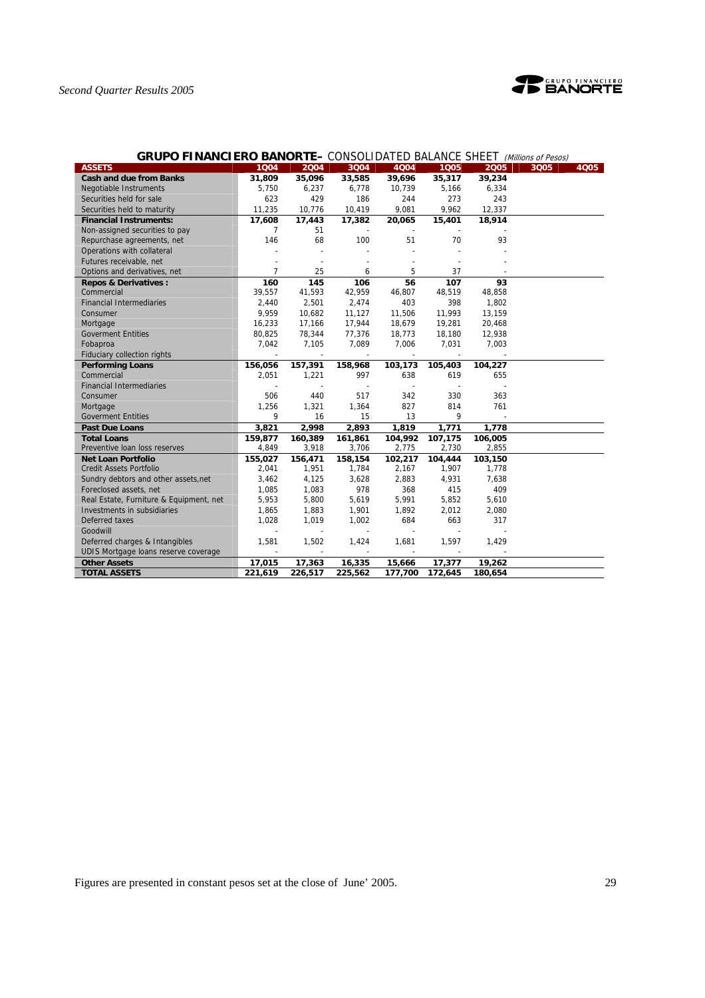

| <b>GRUPO FINANCIERO BANORIE—</b> CONSOLIDATED BALANCE SHEET <i>(Millions of Pesos)</i> |                          |                          |         |         |                |                          |      |      |
|----------------------------------------------------------------------------------------|--------------------------|--------------------------|---------|---------|----------------|--------------------------|------|------|
| <b>ASSETS</b>                                                                          | 1004                     | 2004                     | 3Q04    | 4Q04    | 1005           | 2005                     | 3Q05 | 4Q05 |
| <b>Cash and due from Banks</b>                                                         | 31,809                   | 35,096                   | 33,585  | 39,696  | 35,317         | 39,234                   |      |      |
| Negotiable Instruments                                                                 | 5,750                    | 6,237                    | 6,778   | 10,739  | 5,166          | 6,334                    |      |      |
| Securities held for sale                                                               | 623                      | 429                      | 186     | 244     | 273            | 243                      |      |      |
| Securities held to maturity                                                            | 11,235                   | 10,776                   | 10,419  | 9,081   | 9,962          | 12,337                   |      |      |
| <b>Financial Instruments:</b>                                                          | 17,608                   | 17,443                   | 17,382  | 20,065  | 15,401         | 18,914                   |      |      |
| Non-assigned securities to pay                                                         | $\overline{7}$           | 51                       |         |         |                |                          |      |      |
| Repurchase agreements, net                                                             | 146                      | 68                       | 100     | 51      | 70             | 93                       |      |      |
| Operations with collateral                                                             |                          |                          |         | $\sim$  |                |                          |      |      |
| Futures receivable, net                                                                |                          |                          |         |         |                |                          |      |      |
| Options and derivatives, net                                                           | $\overline{7}$           | 25                       | 6       | 5       | 37             |                          |      |      |
| <b>Repos &amp; Derivatives:</b>                                                        | 160                      | 145                      | 106     | 56      | 107            | 93                       |      |      |
| Commercial                                                                             | 39,557                   | 41,593                   | 42,959  | 46,807  | 48,519         | 48,858                   |      |      |
| <b>Financial Intermediaries</b>                                                        | 2.440                    | 2,501                    | 2,474   | 403     | 398            | 1,802                    |      |      |
| Consumer                                                                               | 9,959                    | 10,682                   | 11,127  | 11,506  | 11,993         | 13,159                   |      |      |
| Mortgage                                                                               | 16,233                   | 17,166                   | 17,944  | 18,679  | 19,281         | 20,468                   |      |      |
| <b>Goverment Entities</b>                                                              | 80,825                   | 78,344                   | 77,376  | 18,773  | 18,180         | 12,938                   |      |      |
| Fobaproa                                                                               | 7,042                    | 7,105                    | 7,089   | 7,006   | 7,031          | 7,003                    |      |      |
| Fiduciary collection rights                                                            | $\overline{\phantom{a}}$ | $\overline{\phantom{a}}$ | $\sim$  | $\sim$  | $\sim$         |                          |      |      |
| <b>Performing Loans</b>                                                                | 156,056                  | 157,391                  | 158,968 | 103,173 | 105,403        | 104,227                  |      |      |
| Commercial                                                                             | 2,051                    | 1,221                    | 997     | 638     | 619            | 655                      |      |      |
| <b>Financial Intermediaries</b>                                                        |                          |                          |         | $\sim$  | $\overline{a}$ |                          |      |      |
| Consumer                                                                               | 506                      | 440                      | 517     | 342     | 330            | 363                      |      |      |
| Mortgage                                                                               | 1,256                    | 1,321                    | 1,364   | 827     | 814            | 761                      |      |      |
| <b>Goverment Entities</b>                                                              | 9                        | 16                       | 15      | 13      | 9              | $\overline{\phantom{a}}$ |      |      |
| <b>Past Due Loans</b>                                                                  | 3,821                    | 2,998                    | 2,893   | 1,819   | 1,771          | 1,778                    |      |      |
| <b>Total Loans</b>                                                                     | 159,877                  | 160,389                  | 161,861 | 104,992 | 107,175        | 106,005                  |      |      |
| Preventive Ioan loss reserves                                                          | 4,849                    | 3,918                    | 3,706   | 2,775   | 2,730          | 2,855                    |      |      |
| <b>Net Loan Portfolio</b>                                                              | 155,027                  | 156,471                  | 158,154 | 102,217 | 104,444        | 103,150                  |      |      |
| <b>Credit Assets Portfolio</b>                                                         | 2,041                    | 1,951                    | 1,784   | 2,167   | 1,907          | 1,778                    |      |      |
| Sundry debtors and other assets, net                                                   | 3,462                    | 4,125                    | 3,628   | 2,883   | 4,931          | 7,638                    |      |      |
| Foreclosed assets, net                                                                 | 1,085                    | 1,083                    | 978     | 368     | 415            | 409                      |      |      |
| Real Estate, Furniture & Equipment, net                                                | 5,953                    | 5,800                    | 5,619   | 5,991   | 5,852          | 5,610                    |      |      |
| Investments in subsidiaries                                                            | 1,865                    | 1,883                    | 1,901   | 1,892   | 2,012          | 2,080                    |      |      |
| Deferred taxes                                                                         | 1,028                    | 1,019                    | 1,002   | 684     | 663            | 317                      |      |      |
| Goodwill                                                                               |                          |                          |         |         |                |                          |      |      |
| Deferred charges & Intangibles                                                         | 1,581                    | 1,502                    | 1,424   | 1,681   | 1,597          | 1,429                    |      |      |
| UDIS Mortgage loans reserve coverage                                                   |                          |                          |         |         |                |                          |      |      |
| <b>Other Assets</b>                                                                    | 17,015                   | 17,363                   | 16,335  | 15,666  | 17,377         | 19,262                   |      |      |
| <b>TOTAL ASSETS</b>                                                                    | 221,619                  | 226,517                  | 225,562 | 177,700 | 172,645        | 180,654                  |      |      |

## **GRUPO FINANCIERO BANORTE** – CONSOLIDATED BALANCE SHEET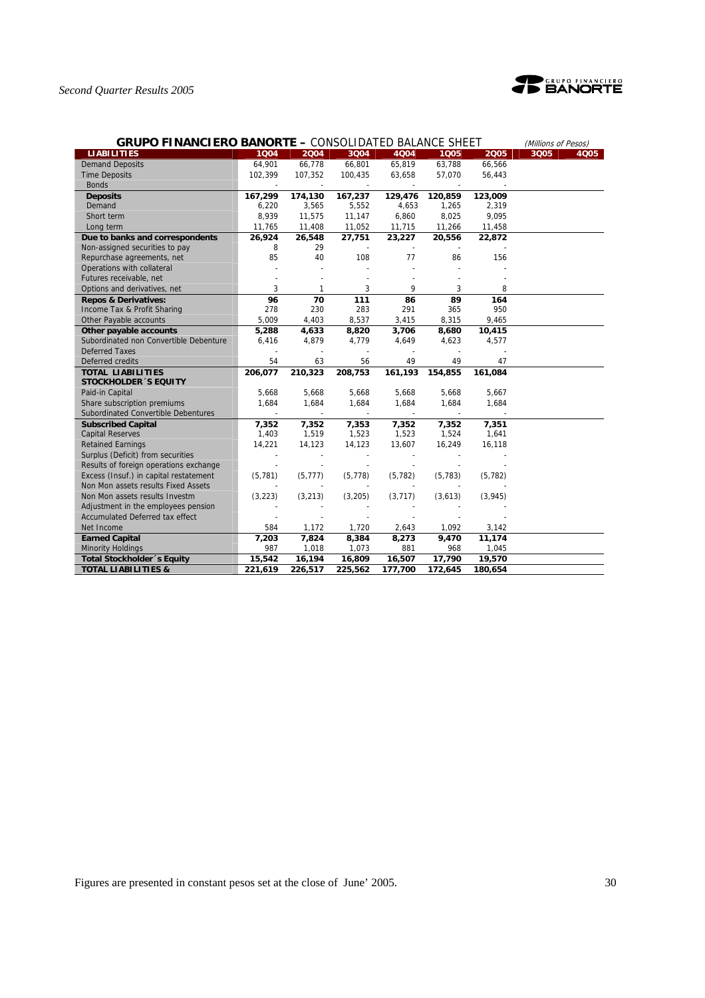

| <b>GRUPO FINANCIERO BANORTE - CONSOLIDATED BALANCE SHEET</b> |          | (Millions of Pesos) |                          |                          |          |          |      |      |
|--------------------------------------------------------------|----------|---------------------|--------------------------|--------------------------|----------|----------|------|------|
| <b>LIABILITIES</b>                                           | 1004     | 2004                | 3004                     | 4004                     | 1005     | 2005     | 3Q05 | 4Q05 |
| <b>Demand Deposits</b>                                       | 64,901   | 66,778              | 66,801                   | 65,819                   | 63,788   | 66,566   |      |      |
| <b>Time Deposits</b>                                         | 102,399  | 107,352             | 100,435                  | 63,658                   | 57,070   | 56,443   |      |      |
| <b>Bonds</b>                                                 |          |                     | $\overline{\phantom{a}}$ | $\overline{\phantom{a}}$ |          |          |      |      |
| <b>Deposits</b>                                              | 167,299  | 174,130             | 167,237                  | 129,476                  | 120,859  | 123,009  |      |      |
| Demand                                                       | 6,220    | 3,565               | 5,552                    | 4,653                    | 1,265    | 2,319    |      |      |
| Short term                                                   | 8,939    | 11,575              | 11,147                   | 6,860                    | 8,025    | 9,095    |      |      |
| Long term                                                    | 11,765   | 11,408              | 11,052                   | 11,715                   | 11,266   | 11,458   |      |      |
| Due to banks and correspondents                              | 26,924   | 26,548              | 27,751                   | 23,227                   | 20,556   | 22,872   |      |      |
| Non-assigned securities to pay                               | 8        | 29                  | $\sim$                   |                          |          |          |      |      |
| Repurchase agreements, net                                   | 85       | 40                  | 108                      | 77                       | 86       | 156      |      |      |
| Operations with collateral                                   |          |                     |                          |                          |          |          |      |      |
| Futures receivable, net                                      |          |                     |                          |                          |          |          |      |      |
| Options and derivatives, net                                 | 3        | 1                   | 3                        | 9                        | 3        | 8        |      |      |
| <b>Repos &amp; Derivatives:</b>                              | 96       | 70                  | 111                      | 86                       | 89       | 164      |      |      |
| Income Tax & Profit Sharing                                  | 278      | 230                 | 283                      | 291                      | 365      | 950      |      |      |
| Other Payable accounts                                       | 5,009    | 4,403               | 8,537                    | 3,415                    | 8,315    | 9,465    |      |      |
| Other payable accounts                                       | 5,288    | 4,633               | 8,820                    | 3,706                    | 8,680    | 10,415   |      |      |
| Subordinated non Convertible Debenture                       | 6,416    | 4,879               | 4,779                    | 4,649                    | 4,623    | 4,577    |      |      |
| <b>Deferred Taxes</b>                                        |          |                     |                          |                          |          |          |      |      |
| Deferred credits                                             | 54       | 63                  | 56                       | 49                       | 49       | 47       |      |      |
| <b>TOTAL LIABILITIES</b>                                     | 206,077  | 210,323             | 208,753                  | 161,193                  | 154,855  | 161,084  |      |      |
| <b>STOCKHOLDER 'S EQUITY</b>                                 |          |                     |                          |                          |          |          |      |      |
| Paid-in Capital                                              | 5,668    | 5,668               | 5,668                    | 5,668                    | 5,668    | 5,667    |      |      |
| Share subscription premiums                                  | 1,684    | 1,684               | 1,684                    | 1,684                    | 1,684    | 1,684    |      |      |
| Subordinated Convertible Debentures                          |          |                     |                          |                          |          |          |      |      |
| <b>Subscribed Capital</b>                                    | 7,352    | 7,352               | 7,353                    | 7,352                    | 7,352    | 7,351    |      |      |
| <b>Capital Reserves</b>                                      | 1,403    | 1,519               | 1,523                    | 1,523                    | 1,524    | 1,641    |      |      |
| <b>Retained Earnings</b>                                     | 14,221   | 14,123              | 14,123                   | 13,607                   | 16,249   | 16,118   |      |      |
| Surplus (Deficit) from securities                            |          |                     | $\overline{\phantom{a}}$ |                          |          |          |      |      |
| Results of foreign operations exchange                       |          |                     |                          |                          |          |          |      |      |
| Excess (Insuf.) in capital restatement                       | (5, 781) | (5, 777)            | (5, 778)                 | (5, 782)                 | (5, 783) | (5, 782) |      |      |
| Non Mon assets results Fixed Assets                          |          |                     |                          |                          |          |          |      |      |
| Non Mon assets results Investm                               | (3, 223) | (3, 213)            | (3,205)                  | (3, 717)                 | (3,613)  | (3,945)  |      |      |
| Adjustment in the employees pension                          |          |                     |                          |                          |          |          |      |      |
| Accumulated Deferred tax effect                              |          |                     |                          |                          |          |          |      |      |
| Net Income                                                   | 584      | 1,172               | 1,720                    | 2,643                    | 1,092    | 3,142    |      |      |
| <b>Earned Capital</b>                                        | 7,203    | 7,824               | 8,384                    | 8,273                    | 9,470    | 11,174   |      |      |
| <b>Minority Holdings</b>                                     | 987      | 1,018               | 1,073                    | 881                      | 968      | 1,045    |      |      |
| Total Stockholder 's Equity                                  | 15,542   | 16,194              | 16,809                   | 16,507                   | 17,790   | 19,570   |      |      |
| <b>TOTAL LIABILITIES &amp;</b>                               | 221,619  | 226,517             | 225,562                  | 177,700                  | 172,645  | 180,654  |      |      |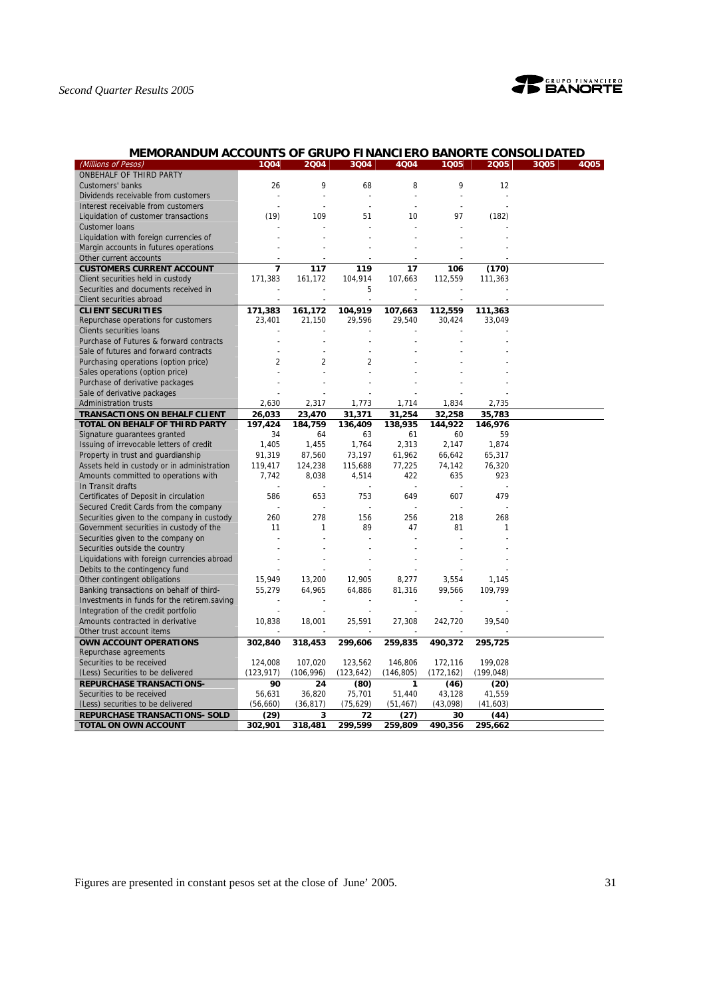

| MEMORANDUM ACCOUNTS OF GRUPO FINANCIERO BANORTE CONSOLIDATED |                |                |                          |                |                |            |      |      |
|--------------------------------------------------------------|----------------|----------------|--------------------------|----------------|----------------|------------|------|------|
| (Millions of Pesos)                                          | 1004           | 2004           | 3004                     | 4004           | 1005           | 2005       | 3Q05 | 4Q05 |
| ONBEHALF OF THIRD PARTY                                      |                |                |                          |                |                |            |      |      |
| Customers' banks                                             | 26             | 9              | 68                       | 8              | 9              | 12         |      |      |
| Dividends receivable from customers                          |                |                | ÷,                       | $\overline{a}$ |                |            |      |      |
| Interest receivable from customers                           | $\overline{a}$ | $\overline{a}$ | $\overline{\phantom{a}}$ | ÷              |                |            |      |      |
| Liquidation of customer transactions                         | (19)           | 109            | 51                       | 10             | 97             | (182)      |      |      |
| <b>Customer loans</b>                                        |                |                |                          |                |                |            |      |      |
| Liquidation with foreign currencies of                       |                |                |                          |                |                |            |      |      |
| Margin accounts in futures operations                        |                |                |                          |                |                |            |      |      |
| Other current accounts                                       |                |                |                          |                |                |            |      |      |
| <b>CUSTOMERS CURRENT ACCOUNT</b>                             | $\overline{7}$ | 117            | 119                      | 17             | 106            | (170)      |      |      |
| Client securities held in custody                            | 171,383        | 161,172        | 104,914                  | 107,663        | 112,559        | 111,363    |      |      |
| Securities and documents received in                         |                | ÷,             | 5                        |                |                |            |      |      |
| Client securities abroad                                     |                | $\overline{a}$ |                          |                |                |            |      |      |
| <b>CLIENT SECURITIES</b>                                     | 171,383        | 161,172        | 104,919                  | 107,663        | 112,559        | 111,363    |      |      |
| Repurchase operations for customers                          | 23,401         | 21,150         | 29,596                   | 29,540         | 30,424         | 33,049     |      |      |
| Clients securities loans                                     |                |                |                          |                |                |            |      |      |
| Purchase of Futures & forward contracts                      |                |                |                          |                |                |            |      |      |
| Sale of futures and forward contracts                        |                |                |                          |                |                |            |      |      |
| Purchasing operations (option price)                         | 2              | $\overline{2}$ | $\overline{2}$           |                |                |            |      |      |
| Sales operations (option price)                              |                |                |                          |                |                |            |      |      |
| Purchase of derivative packages                              |                |                |                          |                |                |            |      |      |
| Sale of derivative packages                                  |                |                |                          |                |                |            |      |      |
| Administration trusts                                        | 2,630          | 2,317          | 1,773                    | 1,714          | 1,834          | 2,735      |      |      |
| <b>TRANSACTIONS ON BEHALF CLIENT</b>                         | 26,033         | 23,470         | 31,371                   | 31,254         | 32,258         | 35,783     |      |      |
| <b>TOTAL ON BEHALF OF THIRD PARTY</b>                        | 197,424        | 184,759        | 136,409                  | 138,935        | 144,922        | 146.976    |      |      |
| Signature guarantees granted                                 | 34             | 64             | 63                       | 61             | 60             | 59         |      |      |
| Issuing of irrevocable letters of credit                     | 1,405          | 1,455          | 1,764                    | 2,313          | 2,147          | 1,874      |      |      |
| Property in trust and guardianship                           | 91,319         | 87,560         | 73,197                   | 61,962         | 66,642         | 65,317     |      |      |
| Assets held in custody or in administration                  | 119,417        | 124,238        | 115,688                  | 77,225         | 74,142         | 76,320     |      |      |
| Amounts committed to operations with                         | 7,742          | 8,038          | 4,514                    | 422            | 635            | 923        |      |      |
| In Transit drafts                                            |                | $\overline{a}$ |                          |                | $\overline{a}$ |            |      |      |
| Certificates of Deposit in circulation                       | 586            | 653            | 753                      | 649            | 607            | 479        |      |      |
| Secured Credit Cards from the company                        |                | $\overline{a}$ | $\overline{a}$           |                |                |            |      |      |
| Securities given to the company in custody                   | 260            | 278            | 156                      | 256            | 218            | 268        |      |      |
| Government securities in custody of the                      | 11             | 1              | 89                       | 47             | 81             | 1          |      |      |
| Securities given to the company on                           |                |                |                          |                |                |            |      |      |
| Securities outside the country                               |                |                |                          |                |                |            |      |      |
| Liquidations with foreign currencies abroad                  |                |                |                          |                |                |            |      |      |
| Debits to the contingency fund                               |                |                |                          |                |                |            |      |      |
| Other contingent obligations                                 | 15,949         | 13,200         | 12,905                   | 8,277          | 3,554          | 1,145      |      |      |
| Banking transactions on behalf of third-                     | 55,279         | 64,965         | 64,886                   | 81,316         | 99,566         | 109,799    |      |      |
| Investments in funds for the retirem saving                  |                |                |                          |                |                |            |      |      |
| Integration of the credit portfolio                          |                |                |                          |                |                |            |      |      |
| Amounts contracted in derivative                             | 10,838         | 18,001         | 25,591                   | 27,308         | 242,720        | 39,540     |      |      |
| Other trust account items                                    |                |                |                          |                |                |            |      |      |
| OWN ACCOUNT OPERATIONS                                       | 302,840        | 318,453        | 299,606                  | 259,835        | 490,372        | 295,725    |      |      |
| Repurchase agreements                                        |                |                |                          |                |                |            |      |      |
| Securities to be received                                    | 124,008        | 107,020        | 123,562                  | 146,806        | 172,116        | 199,028    |      |      |
| (Less) Securities to be delivered                            | (123, 917)     | (106, 996)     | (123, 642)               | (146, 805)     | (172, 162)     | (199, 048) |      |      |
| <b>REPURCHASE TRANSACTIONS-</b>                              | 90             | 24             | (80)                     | $\mathbf{1}$   | (46)           | (20)       |      |      |
| Securities to be received                                    | 56,631         | 36,820         | 75,701                   | 51,440         | 43,128         | 41,559     |      |      |
| (Less) securities to be delivered                            | (56, 660)      | (36, 817)      | (75, 629)                | (51, 467)      | (43,098)       | (41, 603)  |      |      |
| <b>REPURCHASE TRANSACTIONS- SOLD</b>                         | (29)           | 3              | 72                       | (27)           | 30             | (44)       |      |      |
| TOTAL ON OWN ACCOUNT                                         | 302,901        | 318,481        | 299,599                  | 259,809        | 490,356        | 295,662    |      |      |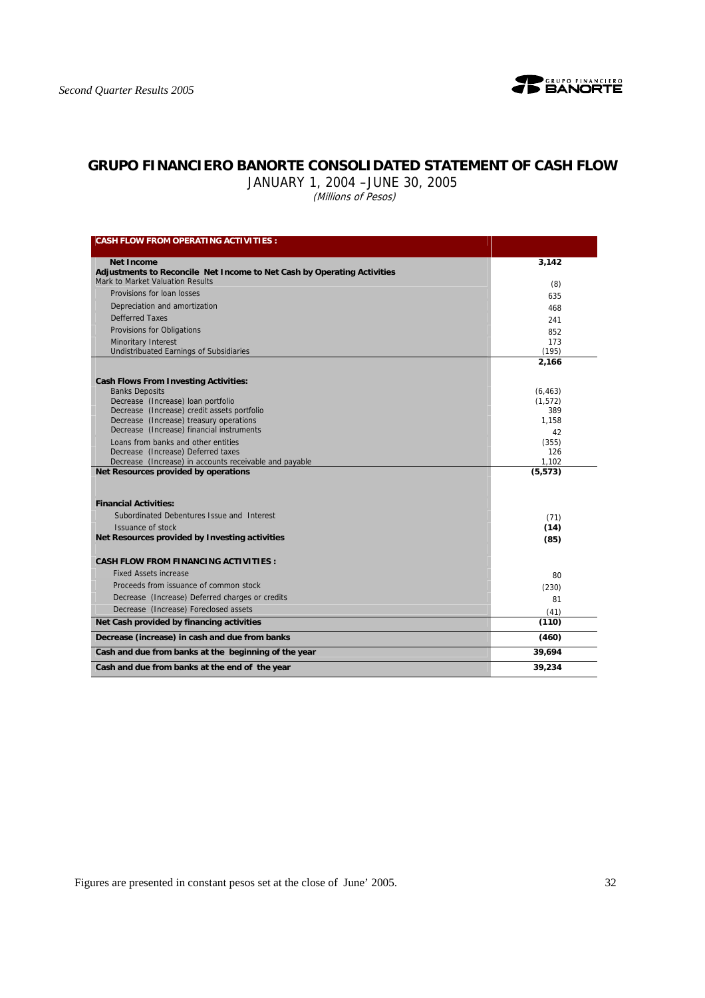

## **GRUPO FINANCIERO BANORTE CONSOLIDATED STATEMENT OF CASH FLOW**

JANUARY 1, 2004 –JUNE 30, 2005

(Millions of Pesos)

| <b>CASH FLOW FROM OPERATING ACTIVITIES :</b>                            |          |
|-------------------------------------------------------------------------|----------|
| <b>Net Income</b>                                                       | 3.142    |
| Adjustments to Reconcile Net Income to Net Cash by Operating Activities |          |
| Mark to Market Valuation Results                                        | (8)      |
| Provisions for loan losses                                              | 635      |
| Depreciation and amortization                                           | 468      |
| <b>Defferred Taxes</b>                                                  | 241      |
| Provisions for Obligations                                              | 852      |
| <b>Minoritary Interest</b>                                              | 173      |
| <b>Undistribuated Earnings of Subsidiaries</b>                          | (195)    |
|                                                                         | 2,166    |
| <b>Cash Flows From Investing Activities:</b>                            |          |
| <b>Banks Deposits</b>                                                   | (6, 463) |
| Decrease (Increase) loan portfolio                                      | (1, 572) |
| Decrease (Increase) credit assets portfolio                             | 389      |
| Decrease (Increase) treasury operations                                 | 1.158    |
| Decrease (Increase) financial instruments                               | 42       |
| Loans from banks and other entities                                     | (355)    |
| Decrease (Increase) Deferred taxes                                      | 126      |
| Decrease (Increase) in accounts receivable and payable                  | 1,102    |
| Net Resources provided by operations                                    | (5, 573) |
| <b>Financial Activities:</b>                                            |          |
| Subordinated Debentures Issue and Interest                              | (71)     |
| Issuance of stock                                                       | (14)     |
| Net Resources provided by Investing activities                          | (85)     |
| <b>CASH FLOW FROM FINANCING ACTIVITIES:</b>                             |          |
| <b>Fixed Assets increase</b>                                            | 80       |
| Proceeds from issuance of common stock                                  | (230)    |
| Decrease (Increase) Deferred charges or credits                         | 81       |
| Decrease (Increase) Foreclosed assets                                   | (41)     |
| Net Cash provided by financing activities                               | (110)    |
| Decrease (increase) in cash and due from banks                          | (460)    |
| Cash and due from banks at the beginning of the year                    | 39,694   |
| Cash and due from banks at the end of the year                          | 39,234   |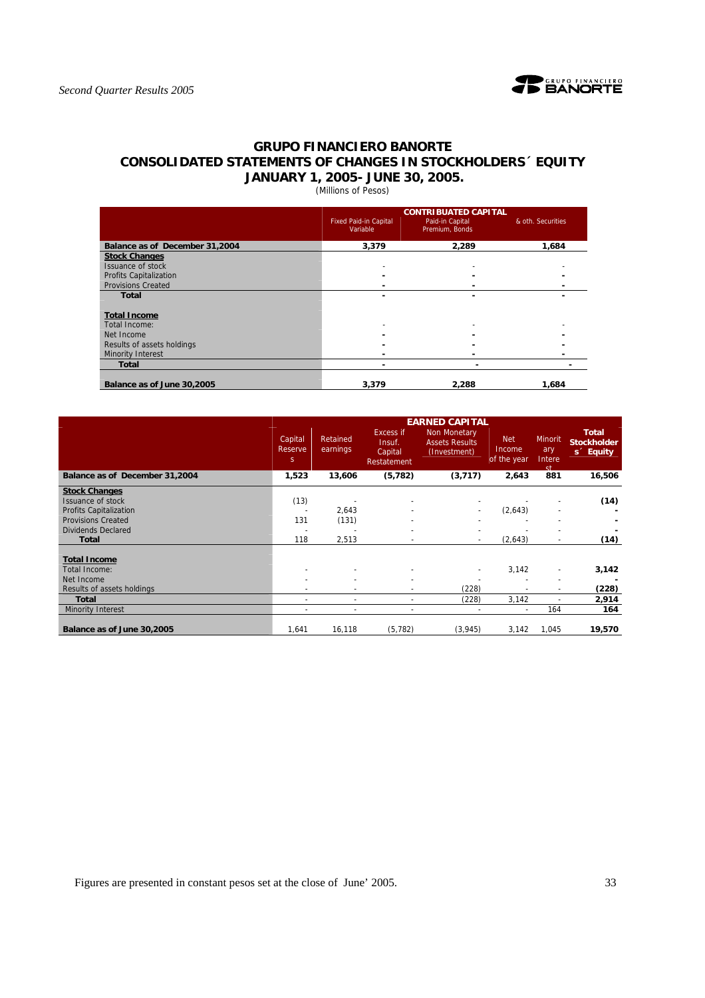

## **GRUPO FINANCIERO BANORTE CONSOLIDATED STATEMENTS OF CHANGES IN STOCKHOLDERS´ EQUITY JANUARY 1, 2005- JUNE 30, 2005.**

(Millions of Pesos)

|                                |                                          | <b>CONTRIBUATED CAPITAL</b>       |                   |
|--------------------------------|------------------------------------------|-----------------------------------|-------------------|
|                                | <b>Fixed Paid-in Capital</b><br>Variable | Paid-in Capital<br>Premium, Bonds | & oth. Securities |
| Balance as of December 31,2004 | 3,379                                    | 2.289                             | 1,684             |
| <b>Stock Changes</b>           |                                          |                                   |                   |
| Issuance of stock              |                                          | ٠                                 |                   |
| Profits Capitalization         |                                          |                                   |                   |
| <b>Provisions Created</b>      |                                          |                                   |                   |
| <b>Total</b>                   |                                          |                                   |                   |
| <b>Total Income</b>            |                                          |                                   |                   |
| Total Income:                  | $\overline{\phantom{a}}$                 |                                   |                   |
| Net Income                     |                                          |                                   |                   |
| Results of assets holdings     |                                          |                                   |                   |
| <b>Minority Interest</b>       |                                          |                                   |                   |
| <b>Total</b>                   | -                                        |                                   |                   |
| Balance as of June 30,2005     | 3.379                                    | 2.288                             | 1.684             |

|                                                                                                                                      |                                    |                      |                                                      | <b>EARNED CAPITAL</b>                                 |                                     |                                    |                                                             |
|--------------------------------------------------------------------------------------------------------------------------------------|------------------------------------|----------------------|------------------------------------------------------|-------------------------------------------------------|-------------------------------------|------------------------------------|-------------------------------------------------------------|
|                                                                                                                                      | Capital<br>Reserve<br><sub>S</sub> | Retained<br>earnings | <b>Excess if</b><br>Insuf.<br>Capital<br>Restatement | Non Monetary<br><b>Assets Results</b><br>(Investment) | <b>Net</b><br>Income<br>of the year | Minorit<br>ary<br>Intere<br>st     | <b>Total</b><br><b>Stockholder</b><br>s <sup>c</sup> Equity |
| Balance as of December 31,2004                                                                                                       | 1,523                              | 13,606               | (5, 782)                                             | (3,717)                                               | 2,643                               | 881                                | 16,506                                                      |
| <b>Stock Changes</b><br>Issuance of stock<br><b>Profits Capitalization</b><br><b>Provisions Created</b><br><b>Dividends Declared</b> | (13)<br>131                        | 2,643<br>(131)       |                                                      |                                                       | (2,643)                             |                                    | (14)                                                        |
| <b>Total</b>                                                                                                                         | 118                                | 2,513                |                                                      | $\overline{\phantom{a}}$                              | (2,643)                             | $\overline{\phantom{a}}$           | (14)                                                        |
| <b>Total Income</b><br>Total Income:<br>Net Income<br>Results of assets holdings                                                     |                                    |                      |                                                      | (228)                                                 | 3,142                               | $\overline{\phantom{0}}$<br>٠<br>٠ | 3,142<br>(228)                                              |
| <b>Total</b>                                                                                                                         |                                    | ٠                    |                                                      | (228)                                                 | 3,142                               | $\blacksquare$                     | 2,914                                                       |
| <b>Minority Interest</b>                                                                                                             | $\overline{\phantom{a}}$           | ٠                    | $\overline{\phantom{a}}$                             |                                                       | ٠                                   | 164                                | 164                                                         |
| Balance as of June 30,2005                                                                                                           | 1,641                              | 16,118               | (5, 782)                                             | (3, 945)                                              | 3,142                               | 1,045                              | 19,570                                                      |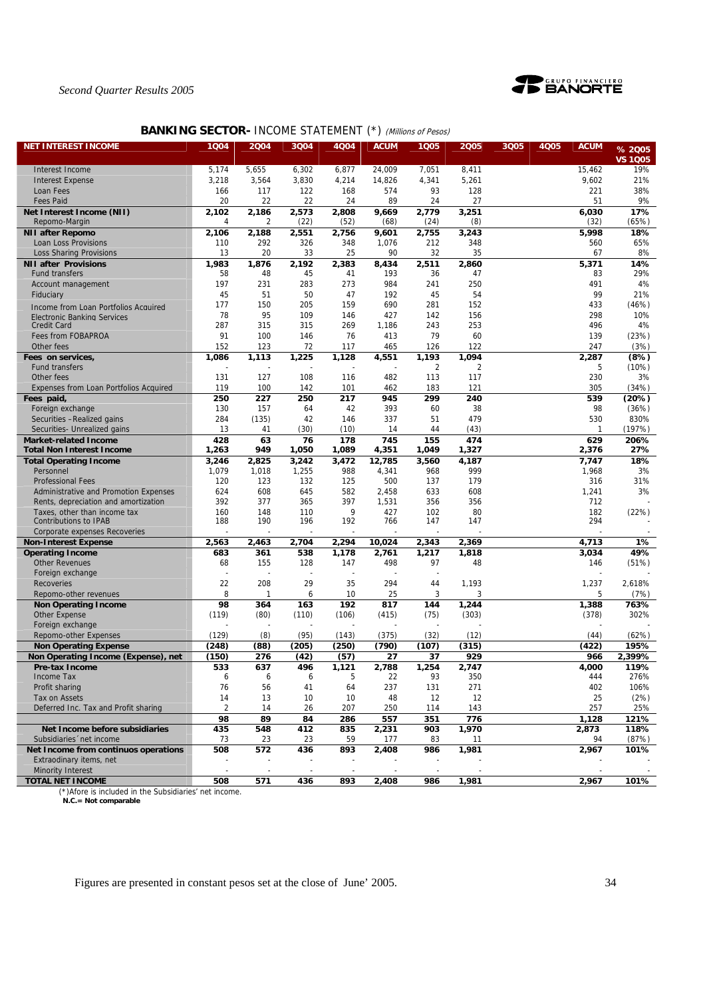

## **BANKING SECTOR- INCOME STATEMENT (\*) (Millions of Pesos)**

| <b>NET INTEREST INCOME</b>                           | 1004           | 2004      | 3Q04         | 4Q04         | <b>ACUM</b>  | 1005                    | 2005           | 3Q05 | <b>4Q05</b> | <b>ACUM</b>    | % 2005         |
|------------------------------------------------------|----------------|-----------|--------------|--------------|--------------|-------------------------|----------------|------|-------------|----------------|----------------|
|                                                      |                |           |              |              |              |                         |                |      |             |                | <b>VS 1Q05</b> |
| Interest Income                                      | 5,174          | 5,655     | 6,302        | 6,877        | 24,009       | 7,051                   | 8,411          |      |             | 15,462         | 19%            |
| <b>Interest Expense</b>                              | 3,218          | 3,564     | 3,830        | 4,214        | 14,826       | 4,341                   | 5,261          |      |             | 9,602          | 21%            |
| Loan Fees                                            | 166            | 117       | 122          | 168          | 574          | 93                      | 128            |      |             | 221            | 38%            |
| <b>Fees Paid</b>                                     | 20             | 22        | 22           | 24           | 89           | 24                      | 27             |      |             | 51             | 9%             |
| Net Interest Income (NII)                            | 2,102          | 2,186     | 2,573        | 2,808        | 9,669        | 2,779                   | 3,251          |      |             | 6,030          | 17%            |
| Repomo-Margin                                        | 4              | 2         | (22)         | (52)         | (68)         | (24)                    | (8)            |      |             | (32)           | (65%)          |
| <b>NII after Repomo</b>                              | 2,106          | 2,188     | 2,551        | 2,756        | 9,601        | 2,755                   | 3,243          |      |             | 5,998          | 18%            |
| Loan Loss Provisions                                 | 110            | 292       | 326          | 348          | 1,076        | 212                     | 348            |      |             | 560            | 65%            |
| Loss Sharing Provisions                              | 13             | 20        | 33           | 25           | 90           | 32                      | 35             |      |             | 67             | 8%             |
| <b>NII after Provisions</b>                          | 1,983          | 1,876     | 2,192        | 2,383        | 8,434        | 2,511                   | 2,860          |      |             | 5,371          | 14%            |
| <b>Fund transfers</b>                                | 58             | 48        | 45           | 41           | 193          | 36                      | 47             |      |             | 83             | 29%            |
| Account management                                   | 197            | 231       | 283          | 273          | 984          | 241                     | 250            |      |             | 491            | 4%             |
| Fiduciary                                            | 45             | 51        | 50           | 47           | 192          | 45                      | 54             |      |             | 99             | 21%            |
| Income from Loan Portfolios Acquired                 | 177            | 150<br>95 | 205          | 159          | 690          | 281                     | 152            |      |             | 433            | (46%)<br>10%   |
| Electronic Banking Services                          | 78<br>287      | 315       | 109<br>315   | 146<br>269   | 427          | 142<br>243              | 156<br>253     |      |             | 298            | 4%             |
| <b>Credit Card</b><br>Fees from FOBAPROA             | 91             | 100       | 146          | 76           | 1,186<br>413 | 79                      | 60             |      |             | 496<br>139     |                |
| Other fees                                           | 152            | 123       | 72           | 117          |              | 126                     | 122            |      |             | 247            | (23%)<br>(3%)  |
|                                                      |                |           |              |              | 465          |                         | 1,094          |      |             |                |                |
| Fees on services,<br>Fund transfers                  | 1,086          | 1,113     | 1,225        | 1,128        | 4,551        | 1,193<br>$\overline{2}$ | $\overline{2}$ |      |             | 2,287<br>5     | (8%)<br>(10%)  |
| Other fees                                           | 131            | 127       | 108          | 116          | 482          | 113                     | 117            |      |             | 230            | 3%             |
|                                                      | 119            | 100       | 142          | 101          | 462          | 183                     | 121            |      |             | 305            | (34%)          |
| Expenses from Loan Portfolios Acquired<br>Fees paid, | 250            | 227       | 250          | 217          | 945          | 299                     | 240            |      |             | 539            | (20%)          |
| Foreign exchange                                     | 130            | 157       | 64           | 42           | 393          | 60                      | 38             |      |             | 98             | (36%)          |
| Securities - Realized gains                          | 284            | (135)     | 42           | 146          | 337          | 51                      | 479            |      |             | 530            | 830%           |
| Securities- Unrealized gains                         | 13             | 41        | (30)         | (10)         | 14           | 44                      | (43)           |      |             | $\mathbf{1}$   | (197%)         |
| <b>Market-related Income</b>                         | 428            | 63        | 76           | 178          | 745          | 155                     | 474            |      |             | 629            | 206%           |
| <b>Total Non Interest Income</b>                     | 1,263          | 949       | 1,050        | 1,089        | 4,351        | 1,049                   | 1,327          |      |             | 2,376          | 27%            |
| <b>Total Operating Income</b>                        | 3,246          | 2,825     | 3,242        | 3.472        | 12,785       | 3,560                   | 4,187          |      |             | 7,747          | 18%            |
| Personnel                                            | 1,079          | 1,018     | 1,255        | 988          | 4,341        | 968                     | 999            |      |             | 1,968          | 3%             |
| <b>Professional Fees</b>                             | 120            | 123       | 132          | 125          | 500          | 137                     | 179            |      |             | 316            | 31%            |
| Administrative and Promotion Expenses                | 624            | 608       | 645          | 582          | 2,458        | 633                     | 608            |      |             | 1,241          | 3%             |
| Rents, depreciation and amortization                 | 392            | 377       | 365          | 397          | 1,531        | 356                     | 356            |      |             | 712            |                |
| Taxes, other than income tax                         | 160            | 148       | 110          | 9            | 427          | 102                     | 80             |      |             | 182            | (22%)          |
| Contributions to IPAB                                | 188            | 190       | 196          | 192          | 766          | 147                     | 147            |      |             | 294            |                |
| Corporate expenses Recoveries                        |                |           |              |              |              |                         |                |      |             |                |                |
| <b>Non-Interest Expense</b>                          | 2,563          | 2,463     | 2,704        | 2,294        | 10,024       | 2,343                   | 2,369          |      |             | 4,713          | 1%             |
| <b>Operating Income</b>                              | 683            | 361       | 538          | 1,178        | 2,761        | 1,217                   | 1,818          |      |             | 3,034          | 49%            |
| <b>Other Revenues</b>                                | 68             | 155       | 128          | 147          | 498          | 97                      | 48             |      |             | 146            | (51%)          |
| Foreign exchange                                     |                |           |              |              |              |                         |                |      |             |                |                |
| <b>Recoveries</b>                                    | 22             | 208       | 29           | 35           | 294          | 44                      | 1,193          |      |             | 1,237          | 2,618%         |
| Repomo-other revenues                                | 8              | 1         | 6            | 10           | 25           | 3                       | 3              |      |             | 5              | (7%)           |
| <b>Non Operating Income</b>                          | 98<br>(119)    | 364       | 163<br>(110) | 192<br>(106) | 817<br>(415) | 144                     | 1,244<br>(303) |      |             | 1,388<br>(378) | 763%<br>302%   |
| Other Expense<br>Foreign exchange                    |                | (80)      |              |              |              | (75)                    |                |      |             |                |                |
| Repomo-other Expenses                                | (129)          | (8)       | (95)         | (143)        | (375)        | (32)                    | (12)           |      |             | (44)           | (62%)          |
| <b>Non Operating Expense</b>                         | (248)          | (88)      | (205)        | (250)        | (790)        | (107)                   | (315)          |      |             | (422)          | 195%           |
| Non Operating Income (Expense), net                  | (150)          | 276       | (42)         | (57)         | 27           | 37                      | 929            |      |             | 966            | 2,399%         |
| Pre-tax Income                                       | 533            | 637       | 496          | 1,121        | 2,788        | 1,254                   | 2,747          |      |             | 4,000          | 119%           |
| <b>Income Tax</b>                                    | 6              | 6         | 6            | 5            | 22           | 93                      | 350            |      |             | 444            | 276%           |
| Profit sharing                                       | 76             | 56        | 41           | 64           | 237          | 131                     | 271            |      |             | 402            | 106%           |
| Tax on Assets                                        | 14             | 13        | 10           | 10           | 48           | 12                      | 12             |      |             | 25             | (2%)           |
| Deferred Inc. Tax and Profit sharing                 | $\overline{2}$ | 14        | 26           | 207          | 250          | 114                     | 143            |      |             | 257            | 25%            |
|                                                      | 98             | 89        | 84           | 286          | 557          | 351                     | 776            |      |             | 1,128          | 121%           |
| Net Income before subsidiaries                       | 435            | 548       | 412          | 835          | 2,231        | 903                     | 1,970          |      |             | 2,873          | 118%           |
| Subsidiaries 'net income                             | 73             | 23        | 23           | 59           | 177          | 83                      | 11             |      |             | 94             | (87%)          |
| Net Income from continuos operations                 | 508            | 572       | 436          | 893          | 2,408        | 986                     | 1,981          |      |             | 2,967          | 101%           |
| Extraodinary items, net                              |                |           |              |              |              |                         |                |      |             |                |                |
| <b>Minority Interest</b>                             |                |           |              |              |              |                         |                |      |             |                |                |
| <b>TOTAL NET INCOME</b>                              | 508            | 571       | 436          | 893          | 2,408        | 986                     | 1,981          |      |             | 2,967          | 101%           |

(\*)Afore is included in the Subsidiaries' net income.  **N.C.= Not comparable**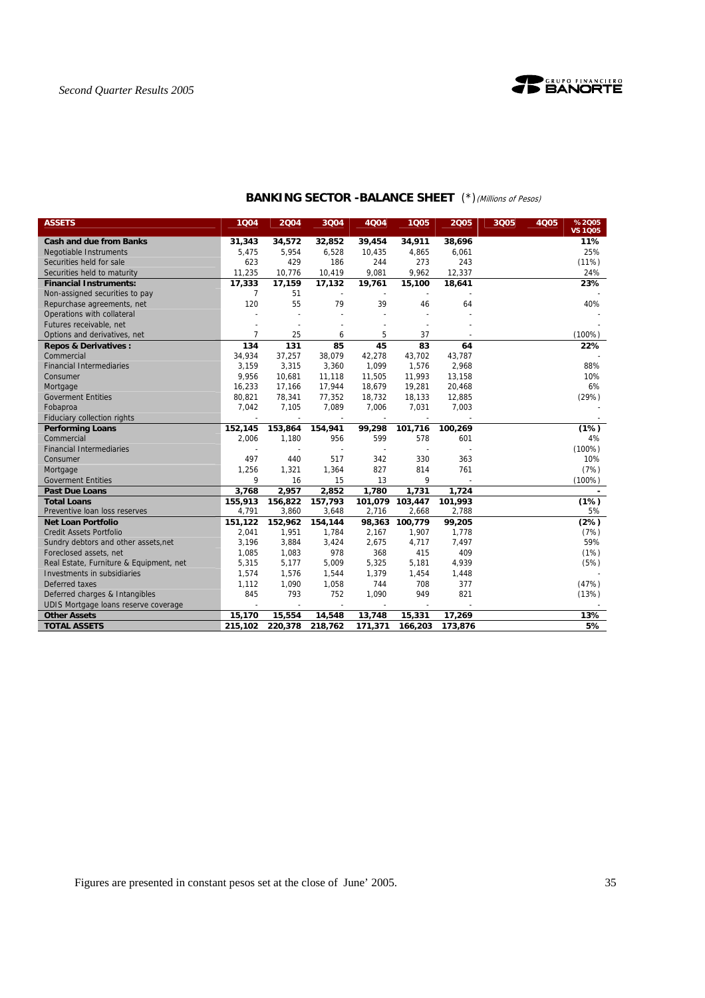

| <b>ASSETS</b>                           | 1Q04           | 2004    | 3Q04    | 4Q04    | 1Q05            | 2005    | 3Q05 | 4Q05 | %2005<br><b>VS 1Q05</b> |
|-----------------------------------------|----------------|---------|---------|---------|-----------------|---------|------|------|-------------------------|
| <b>Cash and due from Banks</b>          | 31,343         | 34,572  | 32,852  | 39,454  | 34,911          | 38,696  |      |      | 11%                     |
| <b>Negotiable Instruments</b>           | 5,475          | 5,954   | 6,528   | 10,435  | 4,865           | 6,061   |      |      | 25%                     |
| Securities held for sale                | 623            | 429     | 186     | 244     | 273             | 243     |      |      | (11%)                   |
| Securities held to maturity             | 11,235         | 10,776  | 10,419  | 9,081   | 9,962           | 12,337  |      |      | 24%                     |
| <b>Financial Instruments:</b>           | 17,333         | 17,159  | 17,132  | 19,761  | 15,100          | 18,641  |      |      | 23%                     |
| Non-assigned securities to pay          | 7              | 51      |         |         |                 |         |      |      |                         |
| Repurchase agreements, net              | 120            | 55      | 79      | 39      | 46              | 64      |      |      | 40%                     |
| Operations with collateral              |                |         |         |         |                 |         |      |      |                         |
| Futures receivable, net                 |                |         |         |         |                 |         |      |      |                         |
| Options and derivatives, net            | $\overline{7}$ | 25      | 6       | 5       | 37              |         |      |      | (100%)                  |
| <b>Repos &amp; Derivatives:</b>         | 134            | 131     | 85      | 45      | 83              | 64      |      |      | 22%                     |
| Commercial                              | 34,934         | 37,257  | 38,079  | 42,278  | 43,702          | 43,787  |      |      |                         |
| <b>Financial Intermediaries</b>         | 3,159          | 3,315   | 3,360   | 1,099   | 1,576           | 2,968   |      |      | 88%                     |
| Consumer                                | 9,956          | 10,681  | 11,118  | 11,505  | 11,993          | 13,158  |      |      | 10%                     |
| Mortgage                                | 16,233         | 17,166  | 17,944  | 18,679  | 19,281          | 20,468  |      |      | 6%                      |
| <b>Goverment Entities</b>               | 80,821         | 78,341  | 77,352  | 18,732  | 18,133          | 12,885  |      |      | (29%)                   |
| Fobaproa                                | 7,042          | 7,105   | 7,089   | 7,006   | 7,031           | 7,003   |      |      |                         |
| Fiduciary collection rights             |                |         |         |         |                 |         |      |      |                         |
| <b>Performing Loans</b>                 | 152,145        | 153,864 | 154,941 | 99,298  | 101,716         | 100,269 |      |      | (1%)                    |
| Commercial                              | 2,006          | 1,180   | 956     | 599     | 578             | 601     |      |      | 4%                      |
| <b>Financial Intermediaries</b>         |                |         |         |         | $\sim$          |         |      |      | $(100\%)$               |
| Consumer                                | 497            | 440     | 517     | 342     | 330             | 363     |      |      | 10%                     |
| Mortgage                                | 1,256          | 1,321   | 1,364   | 827     | 814             | 761     |      |      | (7%)                    |
| <b>Goverment Entities</b>               | 9              | 16      | 15      | 13      | 9               |         |      |      | $(100\%)$               |
| <b>Past Due Loans</b>                   | 3,768          | 2,957   | 2,852   | 1,780   | 1,731           | 1,724   |      |      |                         |
| <b>Total Loans</b>                      | 155,913        | 156,822 | 157,793 |         | 101,079 103,447 | 101,993 |      |      | (1%)                    |
| Preventive loan loss reserves           | 4,791          | 3,860   | 3,648   | 2,716   | 2,668           | 2,788   |      |      | 5%                      |
| Net Loan Portfolio                      | 151,122        | 152.962 | 154,144 |         | 98,363 100,779  | 99,205  |      |      | (2%)                    |
| <b>Credit Assets Portfolio</b>          | 2,041          | 1,951   | 1,784   | 2,167   | 1,907           | 1,778   |      |      | (7%)                    |
| Sundry debtors and other assets, net    | 3,196          | 3,884   | 3,424   | 2,675   | 4,717           | 7,497   |      |      | 59%                     |
| Foreclosed assets, net                  | 1,085          | 1,083   | 978     | 368     | 415             | 409     |      |      | (1%)                    |
| Real Estate, Furniture & Equipment, net | 5,315          | 5,177   | 5,009   | 5,325   | 5,181           | 4,939   |      |      | (5%)                    |
| Investments in subsidiaries             | 1,574          | 1,576   | 1,544   | 1,379   | 1,454           | 1,448   |      |      |                         |
| Deferred taxes                          | 1,112          | 1,090   | 1,058   | 744     | 708             | 377     |      |      | (47%)                   |
| Deferred charges & Intangibles          | 845            | 793     | 752     | 1,090   | 949             | 821     |      |      | (13%)                   |
| UDIS Mortgage loans reserve coverage    | $\blacksquare$ |         |         |         |                 |         |      |      |                         |
| <b>Other Assets</b>                     | 15,170         | 15,554  | 14,548  | 13,748  | 15,331          | 17,269  |      |      | 13%                     |
| <b>TOTAL ASSETS</b>                     | 215,102        | 220,378 | 218,762 | 171,371 | 166,203         | 173,876 |      |      | 5%                      |

## **BANKING SECTOR -BALANCE SHEET** (\*)(Millions of Pesos)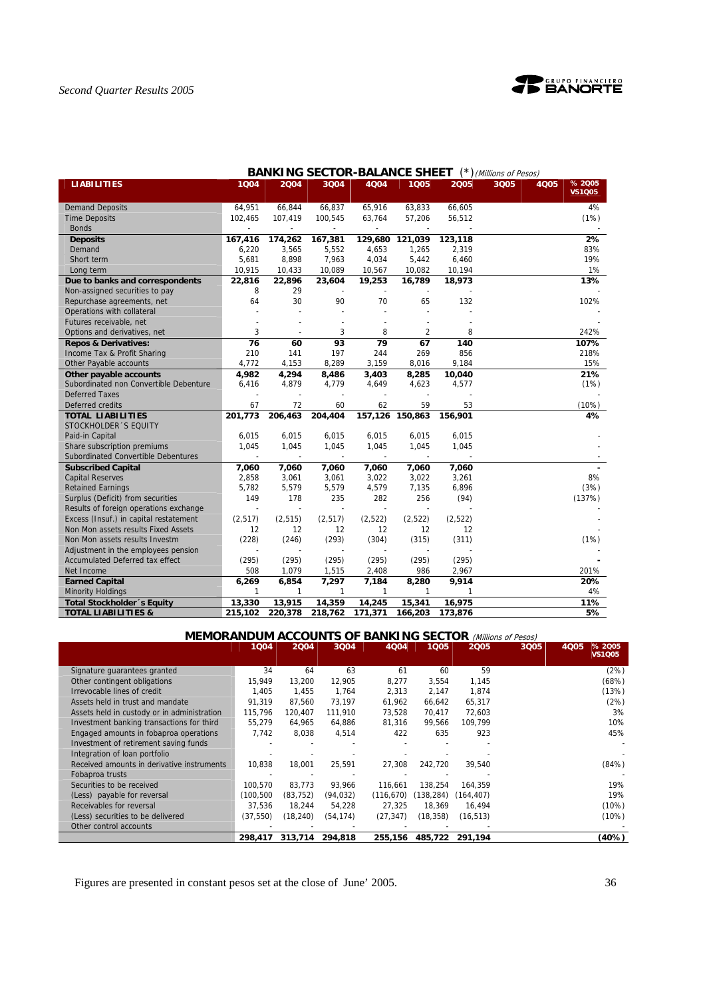

| <b>LIABILITIES</b>                     | 1Q04           | 2004     | 3Q04         | 4004    | 1005    | 2005    | 3Q05 | <b>4Q05</b> | % 2005        |
|----------------------------------------|----------------|----------|--------------|---------|---------|---------|------|-------------|---------------|
|                                        |                |          |              |         |         |         |      |             | <b>VS1Q05</b> |
| <b>Demand Deposits</b>                 | 64,951         | 66.844   | 66.837       | 65,916  | 63,833  | 66,605  |      |             | 4%            |
| <b>Time Deposits</b>                   | 102,465        | 107,419  | 100,545      | 63,764  | 57,206  | 56,512  |      |             | (1%)          |
| <b>Bonds</b>                           |                |          |              |         |         |         |      |             |               |
| <b>Deposits</b>                        | 167,416        | 174,262  | 167,381      | 129,680 | 121,039 | 123,118 |      |             | 2%            |
| Demand                                 | 6,220          | 3,565    | 5,552        | 4,653   | 1,265   | 2,319   |      |             | 83%           |
| Short term                             | 5,681          | 8,898    | 7,963        | 4,034   | 5,442   | 6,460   |      |             | 19%           |
| Long term                              | 10,915         | 10,433   | 10,089       | 10,567  | 10,082  | 10,194  |      |             | 1%            |
| Due to banks and correspondents        | 22,816         | 22,896   | 23,604       | 19,253  | 16,789  | 18,973  |      |             | 13%           |
| Non-assigned securities to pay         | 8              | 29       |              |         |         |         |      |             |               |
| Repurchase agreements, net             | 64             | 30       | 90           | 70      | 65      | 132     |      |             | 102%          |
| Operations with collateral             |                |          |              |         |         |         |      |             |               |
| Futures receivable, net                |                |          |              |         |         |         |      |             |               |
| Options and derivatives, net           | 3              |          | 3            | 8       | 2       | 8       |      |             | 242%          |
| <b>Repos &amp; Derivatives:</b>        | 76             | 60       | 93           | 79      | 67      | 140     |      |             | 107%          |
| Income Tax & Profit Sharing            | 210            | 141      | 197          | 244     | 269     | 856     |      |             | 218%          |
| Other Payable accounts                 | 4,772          | 4,153    | 8,289        | 3,159   | 8,016   | 9,184   |      |             | 15%           |
| Other payable accounts                 | 4,982          | 4,294    | 8,486        | 3,403   | 8,285   | 10,040  |      |             | 21%           |
| Subordinated non Convertible Debenture | 6,416          | 4,879    | 4,779        | 4,649   | 4,623   | 4,577   |      |             | (1%)          |
| <b>Deferred Taxes</b>                  |                |          |              |         |         |         |      |             |               |
| Deferred credits                       | 67             | 72       | 60           | 62      | 59      | 53      |      |             | (10%)         |
| <b>TOTAL LIABILITIES</b>               | 201,773        | 206,463  | 204,404      | 157,126 | 150,863 | 156,901 |      |             | 4%            |
| STOCKHOLDER 'S EQUITY                  |                |          |              |         |         |         |      |             |               |
| Paid-in Capital                        | 6,015          | 6,015    | 6,015        | 6,015   | 6,015   | 6,015   |      |             |               |
| Share subscription premiums            | 1,045          | 1,045    | 1,045        | 1,045   | 1,045   | 1,045   |      |             |               |
| Subordinated Convertible Debentures    |                |          |              |         |         |         |      |             |               |
| <b>Subscribed Capital</b>              | 7,060          | 7,060    | 7,060        | 7,060   | 7,060   | 7,060   |      |             |               |
| <b>Capital Reserves</b>                | 2,858          | 3,061    | 3,061        | 3,022   | 3,022   | 3,261   |      |             | 8%            |
| <b>Retained Earnings</b>               | 5,782          | 5,579    | 5,579        | 4,579   | 7,135   | 6,896   |      |             | (3%)          |
| Surplus (Deficit) from securities      | 149            | 178      | 235          | 282     | 256     | (94)    |      |             | (137%)        |
| Results of foreign operations exchange | $\overline{a}$ |          |              |         |         |         |      |             |               |
| Excess (Insuf.) in capital restatement | (2, 517)       | (2, 515) | (2, 517)     | (2,522) | (2,522) | (2,522) |      |             |               |
| Non Mon assets results Fixed Assets    | 12             | 12       | 12           | 12      | 12      | 12      |      |             |               |
| Non Mon assets results Investm         | (228)          | (246)    | (293)        | (304)   | (315)   | (311)   |      |             | (1%)          |
| Adjustment in the employees pension    |                |          |              |         |         |         |      |             |               |
| Accumulated Deferred tax effect        | (295)          | (295)    | (295)        | (295)   | (295)   | (295)   |      |             |               |
| Net Income                             | 508            | 1,079    | 1,515        | 2,408   | 986     | 2,967   |      |             | 201%          |
| <b>Earned Capital</b>                  | 6,269          | 6,854    | 7,297        | 7,184   | 8,280   | 9,914   |      |             | 20%           |
| <b>Minority Holdings</b>               | 1              | 1        | $\mathbf{1}$ | 1       | 1       | 1       |      |             | 4%            |
| Total Stockholder 's Equity            | 13,330         | 13,915   | 14,359       | 14,245  | 15,341  | 16,975  |      |             | 11%           |
| <b>TOTAL LIABILITIES &amp;</b>         | 215,102        | 220,378  | 218,762      | 171,371 | 166,203 | 173,876 |      |             | 5%            |

## **BANKING SECTOR-BALANCE SHEET** (\*)(Millions of Pesos)

## **MEMORANDUM ACCOUNTS OF BANKING SECTOR** (Millions of Pesos)

|                                             | 1Q04      | 2004      | 3004      | 4004       | 1005       | 2005      | 3Q05 | % 2005<br>4Q05<br><b>VS1Q05</b> |
|---------------------------------------------|-----------|-----------|-----------|------------|------------|-----------|------|---------------------------------|
| Signature quarantees granted                | 34        | 64        | 63        | 61         | 60         | 59        |      | (2%)                            |
| Other contingent obligations                | 15,949    | 13,200    | 12,905    | 8,277      | 3,554      | 1,145     |      | (68%)                           |
| Irrevocable lines of credit                 | 1.405     | 1.455     | 1.764     | 2,313      | 2,147      | 1,874     |      | (13%)                           |
| Assets held in trust and mandate            | 91.319    | 87.560    | 73,197    | 61,962     | 66,642     | 65,317    |      | (2%)                            |
| Assets held in custody or in administration | 115.796   | 120,407   | 111,910   | 73,528     | 70.417     | 72,603    |      | 3%                              |
| Investment banking transactions for third   | 55.279    | 64.965    | 64,886    | 81,316     | 99,566     | 109,799   |      | 10%                             |
| Engaged amounts in fobaproa operations      | 7.742     | 8,038     | 4,514     | 422        | 635        | 923       |      | 45%                             |
| Investment of retirement saving funds       |           |           |           |            |            |           |      |                                 |
| Integration of loan portfolio               |           |           |           |            |            |           |      |                                 |
| Received amounts in derivative instruments  | 10,838    | 18,001    | 25,591    | 27,308     | 242,720    | 39,540    |      | (84%)                           |
| Fobaproa trusts                             |           |           |           |            |            |           |      |                                 |
| Securities to be received                   | 100,570   | 83.773    | 93.966    | 116.661    | 138,254    | 164,359   |      | 19%                             |
| (Less) payable for reversal                 | (100,500  | (83, 752) | (94, 032) | (116, 670) | (138, 284) | (164.407) |      | 19%                             |
| Receivables for reversal                    | 37,536    | 18,244    | 54,228    | 27,325     | 18.369     | 16,494    |      | (10%)                           |
| (Less) securities to be delivered           | (37, 550) | (18,240)  | (54, 174) | (27, 347)  | (18,358)   | (16, 513) |      | (10%)                           |
| Other control accounts                      |           |           |           |            |            |           |      |                                 |
|                                             | 298.417   | 313,714   | 294.818   | 255,156    | 485,722    | 291,194   |      | (40%)                           |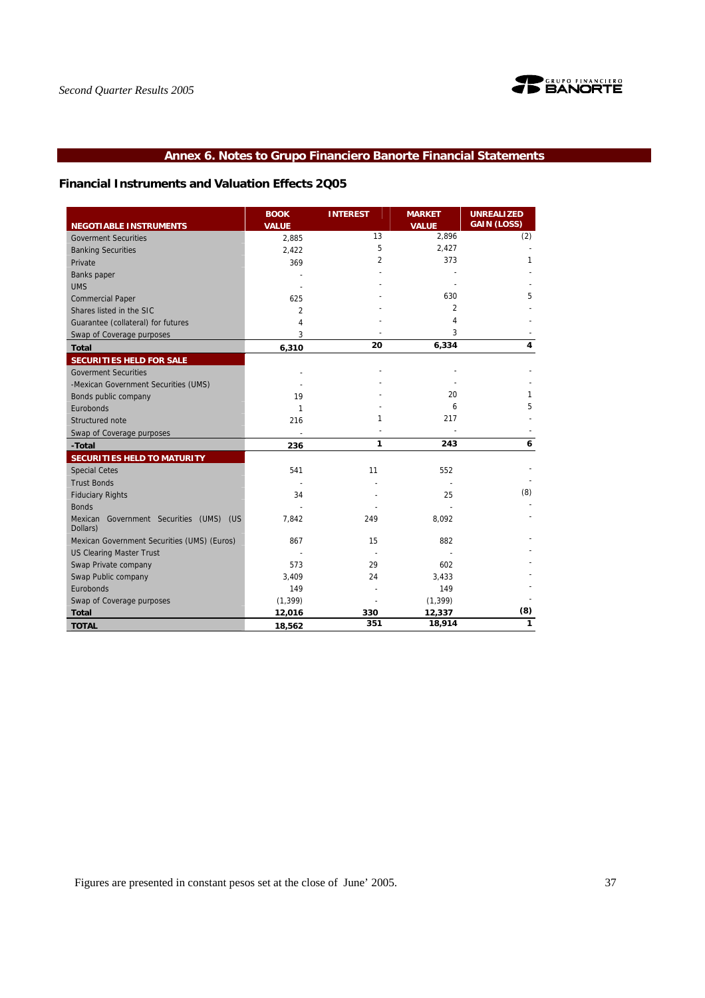

## **Annex 6. Notes to Grupo Financiero Banorte Financial Statements**

## **Financial Instruments and Valuation Effects 2Q05**

|                                                              | <b>BOOK</b>           | <b>INTEREST</b> | <b>MARKET</b>         | <b>UNREALIZED</b><br><b>GAIN (LOSS)</b> |
|--------------------------------------------------------------|-----------------------|-----------------|-----------------------|-----------------------------------------|
| <b>NEGOTIABLE INSTRUMENTS</b><br><b>Goverment Securities</b> | <b>VALUE</b><br>2,885 | 13              | <b>VALUE</b><br>2,896 | (2)                                     |
| <b>Banking Securities</b>                                    | 2,422                 | 5               | 2,427                 |                                         |
| Private                                                      | 369                   | 2               | 373                   | 1                                       |
| <b>Banks</b> paper                                           |                       |                 |                       |                                         |
| <b>UMS</b>                                                   |                       |                 |                       |                                         |
| <b>Commercial Paper</b>                                      | 625                   |                 | 630                   | 5                                       |
| Shares listed in the SIC                                     | $\overline{2}$        |                 | $\overline{2}$        |                                         |
| Guarantee (collateral) for futures                           | 4                     |                 | 4                     |                                         |
| Swap of Coverage purposes                                    | 3                     |                 | 3                     |                                         |
| <b>Total</b>                                                 | 6,310                 | 20              | 6,334                 | 4                                       |
| SECURITIES HELD FOR SALE                                     |                       |                 |                       |                                         |
| <b>Goverment Securities</b>                                  |                       |                 |                       |                                         |
| -Mexican Government Securities (UMS)                         |                       |                 |                       |                                         |
| Bonds public company                                         | 19                    |                 | 20                    | 1                                       |
| Eurobonds                                                    | 1                     |                 | 6                     | 5                                       |
| Structured note                                              | 216                   | 1               | 217                   |                                         |
| Swap of Coverage purposes                                    |                       |                 |                       |                                         |
| -Total                                                       | 236                   | 1               | 243                   | 6                                       |
| <b>SECURITIES HELD TO MATURITY</b>                           |                       |                 |                       |                                         |
| <b>Special Cetes</b>                                         | 541                   | 11              | 552                   |                                         |
| <b>Trust Bonds</b>                                           |                       |                 |                       |                                         |
| <b>Fiduciary Rights</b>                                      | 34                    |                 | 25                    | (8)                                     |
| <b>Bonds</b>                                                 |                       |                 |                       |                                         |
| Mexican Government Securities (UMS) (US<br>Dollars)          | 7,842                 | 249             | 8,092                 |                                         |
| Mexican Government Securities (UMS) (Euros)                  | 867                   | 15              | 882                   |                                         |
| <b>US Clearing Master Trust</b>                              |                       |                 |                       |                                         |
| Swap Private company                                         | 573                   | 29              | 602                   |                                         |
| Swap Public company                                          | 3,409                 | 24              | 3,433                 |                                         |
| Eurobonds                                                    | 149                   |                 | 149                   |                                         |
| Swap of Coverage purposes                                    | (1, 399)              |                 | (1, 399)              |                                         |
| <b>Total</b>                                                 | 12,016                | 330             | 12,337                | (8)                                     |
| <b>TOTAL</b>                                                 | 18,562                | 351             | 18,914                | 1                                       |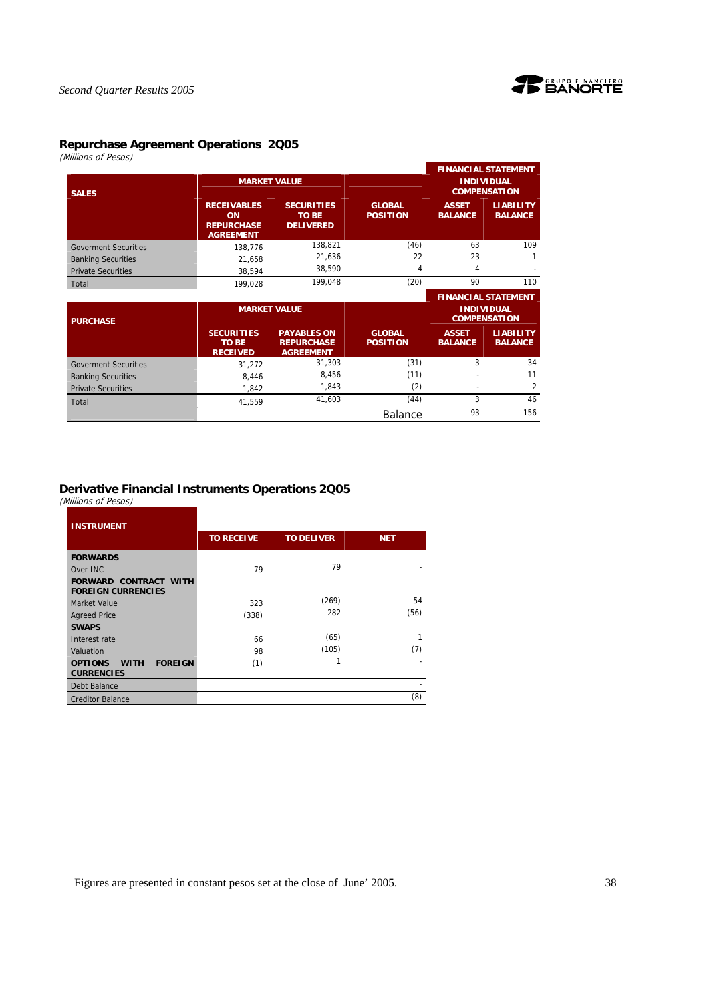

## **Repurchase Agreement Operations 2Q05**

(Millions of Pesos)

|                             |                                                                   |                                                             |                                  |                                          | <b>FINANCIAL STATEMENT</b>               |  |  |
|-----------------------------|-------------------------------------------------------------------|-------------------------------------------------------------|----------------------------------|------------------------------------------|------------------------------------------|--|--|
| <b>SALES</b>                |                                                                   | <b>MARKET VALUE</b>                                         |                                  | <b>INDIVIDUAL</b><br><b>COMPENSATION</b> |                                          |  |  |
|                             | <b>RECEIVABLES</b><br>ON<br><b>REPURCHASE</b><br><b>AGREEMENT</b> | <b>SECURITIES</b><br><b>TO BE</b><br><b>DELIVERED</b>       | <b>GLOBAL</b><br><b>POSITION</b> | <b>ASSET</b><br><b>BALANCE</b>           | <b>LIABILITY</b><br><b>BALANCE</b>       |  |  |
| <b>Goverment Securities</b> | 138,776                                                           | 138,821                                                     | (46)                             | 63                                       | 109                                      |  |  |
| <b>Banking Securities</b>   | 21,658                                                            | 21,636                                                      | 22                               | 23                                       |                                          |  |  |
| <b>Private Securities</b>   | 38,594                                                            | 38,590                                                      | 4                                | 4                                        |                                          |  |  |
| Total                       | 199,028                                                           | 199,048                                                     | (20)                             | 90                                       | 110                                      |  |  |
|                             |                                                                   |                                                             |                                  |                                          |                                          |  |  |
|                             |                                                                   |                                                             |                                  |                                          | <b>FINANCIAL STATEMENT</b>               |  |  |
| <b>PURCHASE</b>             |                                                                   | <b>MARKET VALUE</b>                                         |                                  |                                          | <b>INDIVIDUAL</b><br><b>COMPENSATION</b> |  |  |
|                             | <b>SECURITIES</b><br><b>TO BE</b><br><b>RECEIVED</b>              | <b>PAYABLES ON</b><br><b>REPURCHASE</b><br><b>AGREEMENT</b> | <b>GLOBAL</b><br><b>POSITION</b> | <b>ASSET</b><br><b>BALANCE</b>           | <b>LIABILITY</b><br><b>BALANCE</b>       |  |  |
| <b>Goverment Securities</b> | 31,272                                                            | 31,303                                                      | (31)                             | 3                                        | 34                                       |  |  |
| <b>Banking Securities</b>   | 8,446                                                             | 8,456                                                       | (11)                             |                                          | 11                                       |  |  |
| <b>Private Securities</b>   | 1,842                                                             | 1,843                                                       | (2)                              |                                          | 2                                        |  |  |
| Total                       | 41,559                                                            | 41,603                                                      | (44)                             | 3                                        | 46                                       |  |  |

## **Derivative Financial Instruments Operations 2Q05**

(Millions of Pesos)

| <b>INSTRUMENT</b>                                                    |                   |                   |            |
|----------------------------------------------------------------------|-------------------|-------------------|------------|
|                                                                      | <b>TO RECEIVE</b> | <b>TO DELIVER</b> | <b>NET</b> |
| <b>FORWARDS</b>                                                      |                   |                   |            |
| Over INC                                                             | 79                | 79                |            |
| <b>FORWARD CONTRACT WITH</b><br><b>FOREIGN CURRENCIES</b>            |                   |                   |            |
| Market Value                                                         | 323               | (269)             | 54         |
| <b>Agreed Price</b>                                                  | (338)             | 282               | (56)       |
| <b>SWAPS</b>                                                         |                   |                   |            |
| Interest rate                                                        | 66                | (65)              | 1          |
| Valuation                                                            | 98                | (105)             | (7)        |
| <b>FOREIGN</b><br><b>OPTIONS</b><br><b>WITH</b><br><b>CURRENCIES</b> | (1)               | 1                 |            |
| Debt Balance                                                         |                   |                   |            |
| <b>Creditor Balance</b>                                              |                   |                   | (8)        |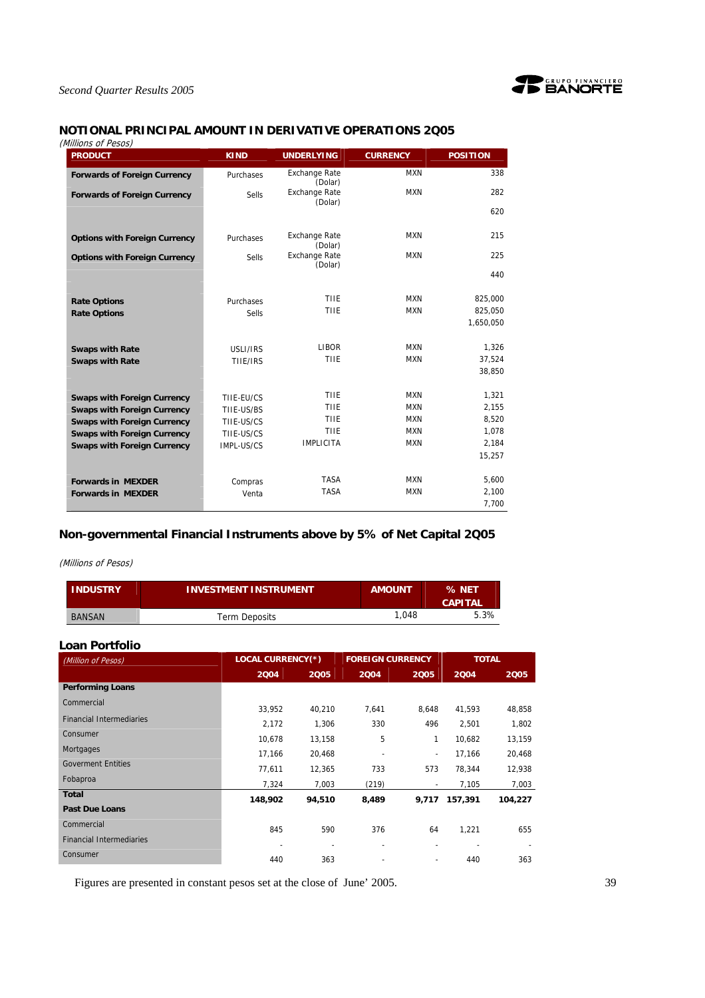

## **NOTIONAL PRINCIPAL AMOUNT IN DERIVATIVE OPERATIONS 2Q05**

| <b>PRODUCT</b>                       | <b>KIND</b>  | <b>UNDERLYING</b>               | <b>CURRENCY</b> | <b>POSITION</b> |
|--------------------------------------|--------------|---------------------------------|-----------------|-----------------|
| <b>Forwards of Foreign Currency</b>  | Purchases    | <b>Exchange Rate</b><br>(Dolar) | <b>MXN</b>      | 338             |
| <b>Forwards of Foreign Currency</b>  | <b>Sells</b> | <b>Exchange Rate</b><br>(Dolar) | <b>MXN</b>      | 282             |
|                                      |              |                                 |                 | 620             |
| <b>Options with Foreign Currency</b> | Purchases    | <b>Exchange Rate</b>            | <b>MXN</b>      | 215             |
| <b>Options with Foreign Currency</b> | <b>Sells</b> | (Dolar)<br><b>Exchange Rate</b> | <b>MXN</b>      | 225             |
|                                      |              | (Dolar)                         |                 | 440             |
| <b>Rate Options</b>                  | Purchases    | THE                             | <b>MXN</b>      | 825,000         |
| <b>Rate Options</b>                  | <b>Sells</b> | THE                             | <b>MXN</b>      | 825,050         |
|                                      |              |                                 |                 | 1,650,050       |
| <b>Swaps with Rate</b>               | USLI/IRS     | <b>LIBOR</b>                    | <b>MXN</b>      | 1,326           |
| <b>Swaps with Rate</b>               | THE/IRS      | THE                             | <b>MXN</b>      | 37,524          |
|                                      |              |                                 |                 | 38,850          |
| <b>Swaps with Foreign Currency</b>   | TIIE-EU/CS   | THE                             | <b>MXN</b>      | 1,321           |
| <b>Swaps with Foreign Currency</b>   | TIIE-US/BS   | TIIE                            | <b>MXN</b>      | 2,155           |
| <b>Swaps with Foreign Currency</b>   | TIIE-US/CS   | TIIE                            | <b>MXN</b>      | 8,520           |
| <b>Swaps with Foreign Currency</b>   | TIIE-US/CS   | TIIE                            | <b>MXN</b>      | 1,078           |
| <b>Swaps with Foreign Currency</b>   | IMPL-US/CS   | <b>IMPLICITA</b>                | <b>MXN</b>      | 2,184           |
|                                      |              |                                 |                 | 15,257          |
| <b>Forwards in MEXDER</b>            | Compras      | <b>TASA</b>                     | <b>MXN</b>      | 5,600           |
| <b>Forwards in MEXDER</b>            | Venta        | <b>TASA</b>                     | <b>MXN</b>      | 2,100           |
|                                      |              |                                 |                 | 7,700           |

## **Non-governmental Financial Instruments above by 5% of Net Capital 2Q05**

#### (Millions of Pesos)

| <b>INDUSTRY</b> | <b>INVESTMENT INSTRUMENT</b> | <b>AMOUNT</b> | % NET<br><b>CAPITAL</b> |
|-----------------|------------------------------|---------------|-------------------------|
| <b>BANSAN</b>   | Term Deposits                | 1.048         | 5.3%                    |

| Loan Portfolio                  |         |                          |                          |                          |         |              |  |
|---------------------------------|---------|--------------------------|--------------------------|--------------------------|---------|--------------|--|
| (Million of Pesos)              |         | <b>LOCAL CURRENCY(*)</b> |                          | <b>FOREIGN CURRENCY</b>  |         | <b>TOTAL</b> |  |
|                                 | 2004    | 2005                     | 2004                     | 2005                     | 2004    | 2005         |  |
| <b>Performing Loans</b>         |         |                          |                          |                          |         |              |  |
| Commercial                      | 33.952  | 40.210                   | 7.641                    | 8.648                    | 41,593  | 48,858       |  |
| <b>Financial Intermediaries</b> | 2,172   | 1,306                    | 330                      | 496                      | 2,501   | 1,802        |  |
| Consumer                        | 10,678  | 13,158                   | 5                        | 1                        | 10,682  | 13,159       |  |
| Mortgages                       | 17,166  | 20,468                   | $\overline{\phantom{a}}$ | $\overline{\phantom{a}}$ | 17,166  | 20,468       |  |
| <b>Goverment Entities</b>       | 77,611  | 12,365                   | 733                      | 573                      | 78,344  | 12,938       |  |
| Fobaproa                        | 7,324   | 7,003                    | (219)                    |                          | 7,105   | 7,003        |  |
| <b>Total</b>                    | 148,902 | 94,510                   | 8,489                    | 9,717                    | 157,391 | 104,227      |  |
| <b>Past Due Loans</b>           |         |                          |                          |                          |         |              |  |
| Commercial                      | 845     | 590                      | 376                      | 64                       | 1,221   | 655          |  |
| <b>Financial Intermediaries</b> |         |                          |                          | ٠                        |         |              |  |
| Consumer                        | 440     | 363                      |                          |                          | 440     | 363          |  |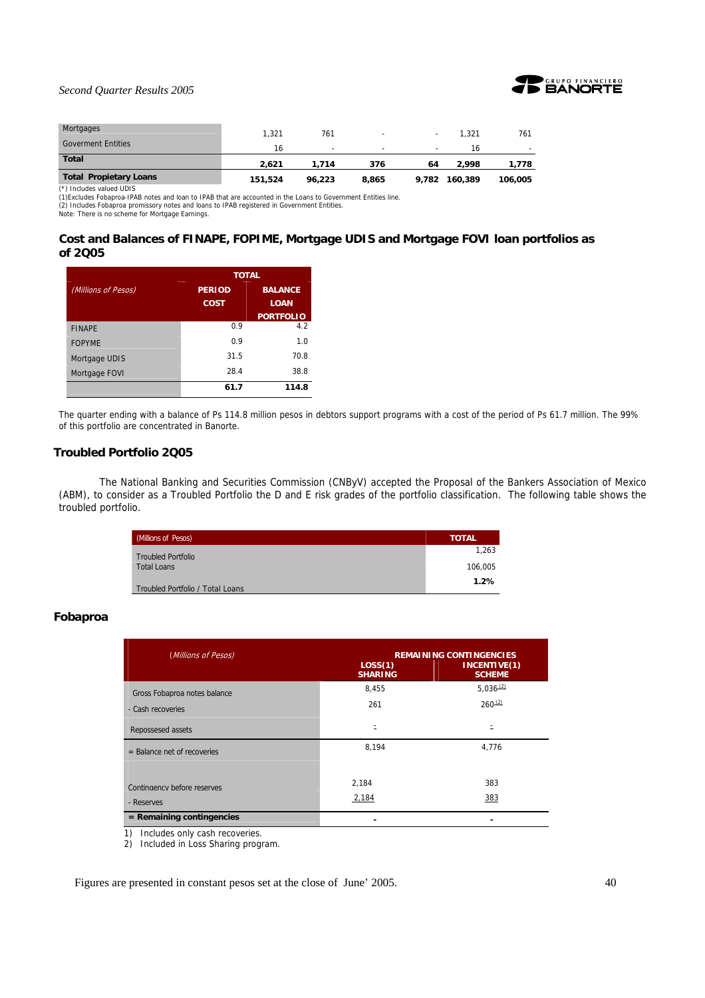

| Mortgages                     | 1.321   | 761    | $\overline{\phantom{a}}$ |                          | 1.321   | 761     |
|-------------------------------|---------|--------|--------------------------|--------------------------|---------|---------|
| <b>Goverment Entities</b>     | 16      | -      | -                        | $\overline{\phantom{a}}$ | 16      | $\sim$  |
| <b>Total</b>                  | 2.621   | 1.714  | 376                      | 64                       | 2.998   | 1.778   |
| <b>Total Propietary Loans</b> | 151,524 | 96.223 | 8,865                    | 9,782                    | 160,389 | 106,005 |

(\*) Includes valued UDIS

(1)Excludes Fobaproa-IPAB notes and loan to IPAB that are accounted in the Loans to Government Entities line.

(2) Includes Fobaproa promissory notes and loans to IPAB registered in Government Entities. Note: There is no scheme for Mortgage Earnings.

## **Cost and Balances of FINAPE, FOPIME, Mortgage UDIS and Mortgage FOVI loan portfolios as of 2Q05**

|                     | <b>TOTAL</b>                    |                  |  |  |  |
|---------------------|---------------------------------|------------------|--|--|--|
| (Millions of Pesos) | <b>BALANCE</b><br><b>PERIOD</b> |                  |  |  |  |
|                     | <b>COST</b>                     | <b>LOAN</b>      |  |  |  |
|                     |                                 | <b>PORTFOLIO</b> |  |  |  |
| <b>FINAPE</b>       | 0.9                             | 4.2              |  |  |  |
| <b>FOPYME</b>       | 0 Q                             | 1.0              |  |  |  |
| Mortgage UDIS       | 31.5                            | 70.8             |  |  |  |
| Mortgage FOVI       | 28.4                            | 38.8             |  |  |  |
|                     | 61.7                            | 114.8            |  |  |  |

The quarter ending with a balance of Ps 114.8 million pesos in debtors support programs with a cost of the period of Ps 61.7 million. The 99% of this portfolio are concentrated in Banorte.

## **Troubled Portfolio 2Q05**

 The National Banking and Securities Commission (CNByV) accepted the Proposal of the Bankers Association of Mexico (ABM), to consider as a Troubled Portfolio the D and E risk grades of the portfolio classification. The following table shows the troubled portfolio.

| (Millions of Pesos)              | <b>TOTAL</b> |
|----------------------------------|--------------|
| <b>Troubled Portfolio</b>        | 1,263        |
| <b>Total Loans</b>               | 106.005      |
| Troubled Portfolio / Total Loans | 1.2%         |

## **Fobaproa**

| (Millions of Pesos)           | LOS(1)<br><b>SHARING</b> | <b>REMAINING CONTINGENCIES</b><br>INCENTIVE(1)<br><b>SCHEME</b> |
|-------------------------------|--------------------------|-----------------------------------------------------------------|
| Gross Fobaproa notes balance  | 8,455                    | $5,036^{(2)}$                                                   |
| - Cash recoveries             | 261                      | $260^{(2)}$                                                     |
| Repossesed assets             |                          |                                                                 |
| $=$ Balance net of recoveries | 8,194                    | 4,776                                                           |
|                               | 2,184                    | 383                                                             |
| Contingency before reserves   | 2,184                    | 383                                                             |
| - Reserves                    |                          |                                                                 |
| $=$ Remaining contingencies   |                          |                                                                 |

1) Includes only cash recoveries.

2) Included in Loss Sharing program.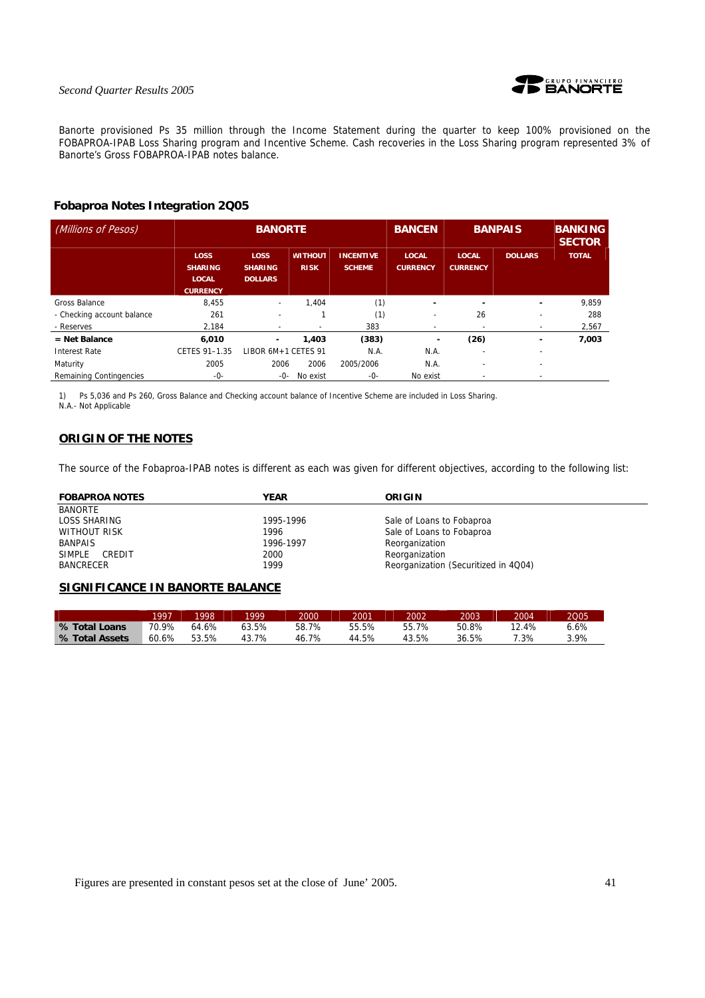

Banorte provisioned Ps 35 million through the Income Statement during the quarter to keep 100% provisioned on the FOBAPROA-IPAB Loss Sharing program and Incentive Scheme. Cash recoveries in the Loss Sharing program represented 3% of Banorte's Gross FOBAPROA-IPAB notes balance.

## **Fobaproa Notes Integration 2Q05**

| (Millions of Pesos)        | <b>BANORTE</b>                                                   |                                                 |                               |                                   | <b>BANCEN</b>                   | <b>BANPAIS</b>                  |                          | <b>BANKING</b><br><b>SECTOR</b> |
|----------------------------|------------------------------------------------------------------|-------------------------------------------------|-------------------------------|-----------------------------------|---------------------------------|---------------------------------|--------------------------|---------------------------------|
|                            | <b>LOSS</b><br><b>SHARING</b><br><b>LOCAL</b><br><b>CURRENCY</b> | <b>LOSS</b><br><b>SHARING</b><br><b>DOLLARS</b> | <b>WITHOUT</b><br><b>RISK</b> | <b>INCENTIVE</b><br><b>SCHEME</b> | <b>LOCAL</b><br><b>CURRENCY</b> | <b>LOCAL</b><br><b>CURRENCY</b> | <b>DOLLARS</b>           | <b>TOTAL</b>                    |
| <b>Gross Balance</b>       | 8.455                                                            | $\overline{\phantom{a}}$                        | 1.404                         | (1)                               | $\overline{\phantom{0}}$        |                                 | $\blacksquare$           | 9,859                           |
| - Checking account balance | 261                                                              | $\overline{\phantom{0}}$                        |                               | (1)                               | ٠                               | 26                              | ۰                        | 288                             |
| - Reserves                 | 2.184                                                            | $\overline{\phantom{a}}$                        | $\overline{\phantom{a}}$      | 383                               | $\overline{\phantom{a}}$        | ۰                               | $\overline{\phantom{a}}$ | 2,567                           |
| $=$ Net Balance            | 6,010                                                            | ٠                                               | 1,403                         | (383)                             | ۰                               | (26)                            |                          | 7,003                           |
| <b>Interest Rate</b>       | CETES 91-1.35                                                    | LIBOR 6M+1 CETES 91                             |                               | N.A.                              | N.A.                            |                                 | ۰                        |                                 |
| Maturity                   | 2005                                                             | 2006                                            | 2006                          | 2005/2006                         | N.A.                            | $\overline{\phantom{a}}$        | $\overline{\phantom{a}}$ |                                 |
| Remaining Contingencies    | -0-                                                              | -0-                                             | No exist                      | -0-                               | No exist                        |                                 |                          |                                 |

1) Ps 5,036 and Ps 260, Gross Balance and Checking account balance of Incentive Scheme are included in Loss Sharing. N.A.- Not Applicable

## **ORIGIN OF THE NOTES**

The source of the Fobaproa-IPAB notes is different as each was given for different objectives, according to the following list:

| <b>FOBAPROA NOTES</b>   | <b>YEAR</b> | ORIGIN                               |
|-------------------------|-------------|--------------------------------------|
| <b>BANORTE</b>          |             |                                      |
| LOSS SHARING            | 1995-1996   | Sale of Loans to Fobaproa            |
| <b>WITHOUT RISK</b>     | 1996        | Sale of Loans to Fobaproa            |
| <b>BANPAIS</b>          | 1996-1997   | Reorganization                       |
| <b>SIMPLE</b><br>CREDIT | 2000        | Reorganization                       |
| <b>BANCRECER</b>        | 1999        | Reorganization (Securitized in 4Q04) |

## **SIGNIFICANCE IN BANORTE BALANCE**

|                | 1997  | 1998  | 1999  | 2000  | 2001  | 2002  | 2003  | 2004  | 2005 |
|----------------|-------|-------|-------|-------|-------|-------|-------|-------|------|
| % Total Loans  | 70.9% | 64.6% | 53.5% | 58.7% | 55.5% | 55.7% | 50.8% | 12.4% | .6%  |
| % Total Assets | 60.6% | 53.5% | 43.7% | 46.7% | 44.5% | 43.5% | 36.5% | .3%   | 3.9% |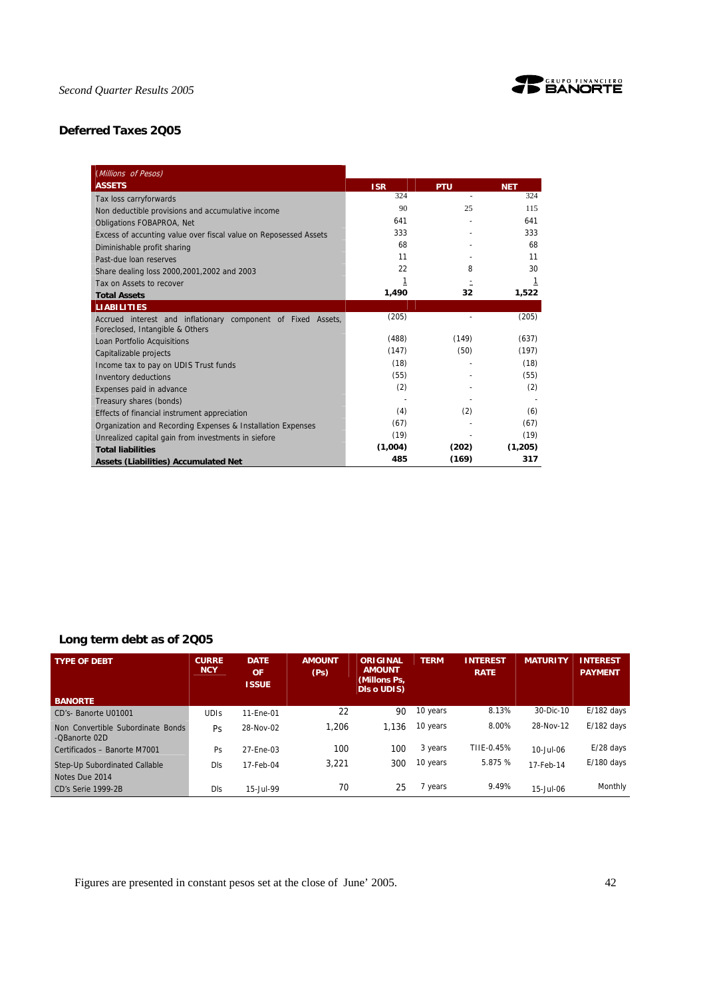

## **Deferred Taxes 2Q05**

| (Millions of Pesos)                                                                             |            |            |            |
|-------------------------------------------------------------------------------------------------|------------|------------|------------|
| <b>ASSETS</b>                                                                                   | <b>ISR</b> | <b>PTU</b> | <b>NET</b> |
| Tax loss carryforwards                                                                          | 324        |            | 324        |
| Non deductible provisions and accumulative income                                               | 90         | 25         | 115        |
| <b>Obligations FOBAPROA, Net</b>                                                                | 641        |            | 641        |
| Excess of accunting value over fiscal value on Reposessed Assets                                | 333        |            | 333        |
| Diminishable profit sharing                                                                     | 68         |            | 68         |
| Past-due loan reserves                                                                          | 11         |            | 11         |
| Share dealing loss 2000, 2001, 2002 and 2003                                                    | 22         | 8          | 30         |
| Tax on Assets to recover                                                                        | 1          |            | 1          |
| <b>Total Assets</b>                                                                             | 1,490      | 32         | 1,522      |
| <b>LIABILITIES</b>                                                                              |            |            |            |
| Accrued interest and inflationary component of Fixed Assets,<br>Foreclosed, Intangible & Others | (205)      |            | (205)      |
| Loan Portfolio Acquisitions                                                                     | (488)      | (149)      | (637)      |
| Capitalizable projects                                                                          | (147)      | (50)       | (197)      |
| Income tax to pay on UDIS Trust funds                                                           | (18)       |            | (18)       |
| <b>Inventory deductions</b>                                                                     | (55)       |            | (55)       |
| Expenses paid in advance                                                                        | (2)        |            | (2)        |
| Treasury shares (bonds)                                                                         |            |            |            |
| Effects of financial instrument appreciation                                                    | (4)        | (2)        | (6)        |
| Organization and Recording Expenses & Installation Expenses                                     | (67)       |            | (67)       |
| Unrealized capital gain from investments in siefore                                             | (19)       |            | (19)       |
| <b>Total liabilities</b>                                                                        | (1,004)    | (202)      | (1,205)    |
| <b>Assets (Liabilities) Accumulated Net</b>                                                     | 485        | (169)      | 317        |

## **Long term debt as of 2Q05**

| <b>TYPE OF DEBT</b>                                | <b>CURRE</b><br><b>NCY</b> | <b>DATE</b><br>OF<br><b>ISSUE</b> | <b>AMOUNT</b><br>(P <sub>S</sub> ) | ORIGINAL<br><b>AMOUNT</b><br>(Millons Ps.<br><b>DIs o UDIS)</b> | <b>TERM</b> | <b>INTEREST</b><br><b>RATE</b> | <b>MATURITY</b> | <b>INTEREST</b><br><b>PAYMENT</b> |
|----------------------------------------------------|----------------------------|-----------------------------------|------------------------------------|-----------------------------------------------------------------|-------------|--------------------------------|-----------------|-----------------------------------|
| <b>BANORTE</b>                                     |                            |                                   |                                    |                                                                 |             |                                |                 |                                   |
| CD's- Banorte U01001                               | <b>UDIS</b>                | 11-Ene-01                         | 22                                 | 90                                                              | 10 years    | 8.13%                          | 30-Dic-10       | $E/182$ days                      |
| Non Convertible Subordinate Bonds<br>-OBanorte 02D | <b>Ps</b>                  | 28-Nov-02                         | 1.206                              | 1.136                                                           | 10 years    | 8.00%                          | 28-Nov-12       | $E/182$ days                      |
| Certificados - Banorte M7001                       | Ps                         | 27-Ene-03                         | 100                                | 100                                                             | 3 years     | TIIE-0.45%                     | 10-Jul-06       | $E/28$ days                       |
| Step-Up Subordinated Callable<br>Notes Due 2014    | Dls                        | 17-Feb-04                         | 3.221                              | 300                                                             | 10 years    | 5.875 %                        | 17-Feb-14       | $E/180$ days                      |
| CD's Serie 1999-2B                                 | Dls                        | 15-Jul-99                         | 70                                 | 25                                                              | 7 years     | 9.49%                          | 15-Jul-06       | Monthly                           |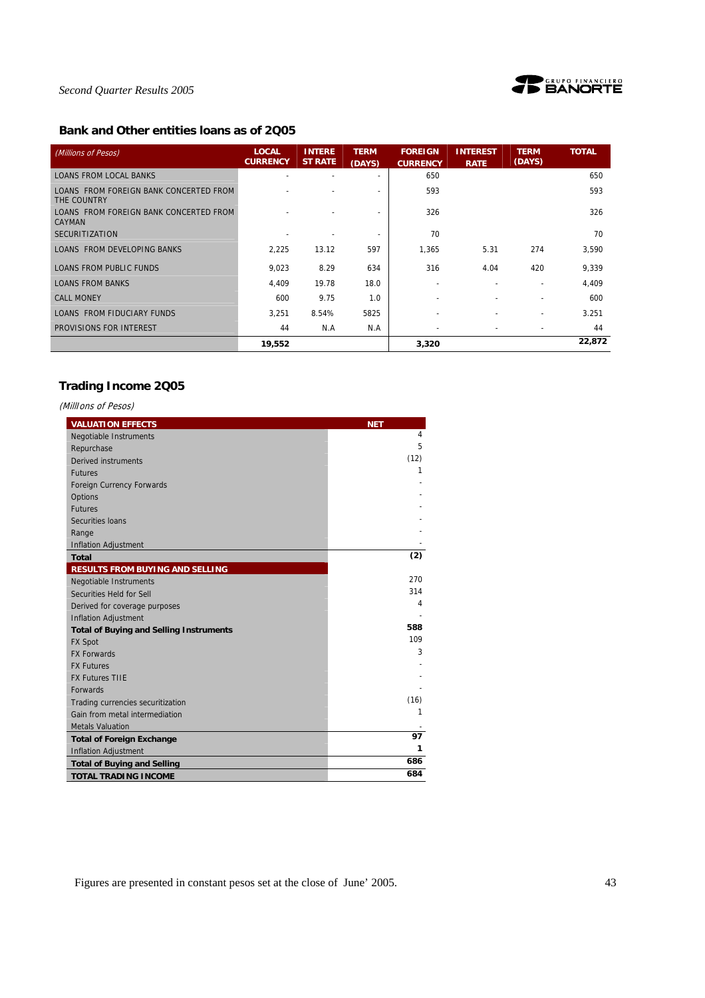

## **Bank and Other entities loans as of 2Q05**

| (Millions of Pesos)                                     | <b>LOCAL</b><br><b>CURRENCY</b> | <b>INTERE</b><br><b>ST RATE</b> | <b>TERM</b><br>(DAYS) | <b>FOREIGN</b><br><b>CURRENCY</b> | <b>INTEREST</b><br><b>RATE</b> | <b>TERM</b><br>(DAYS)    | <b>TOTAL</b> |
|---------------------------------------------------------|---------------------------------|---------------------------------|-----------------------|-----------------------------------|--------------------------------|--------------------------|--------------|
| <b>LOANS FROM LOCAL BANKS</b>                           |                                 |                                 |                       | 650                               |                                |                          | 650          |
| LOANS FROM FOREIGN BANK CONCERTED FROM<br>THE COUNTRY   |                                 |                                 | ٠                     | 593                               |                                |                          | 593          |
| LOANS FROM FOREIGN BANK CONCERTED FROM<br><b>CAYMAN</b> |                                 |                                 | ٠                     | 326                               |                                |                          | 326          |
| <b>SECURITIZATION</b>                                   |                                 |                                 | ٠                     | 70                                |                                |                          | 70           |
| LOANS FROM DEVELOPING BANKS                             | 2,225                           | 13.12                           | 597                   | 1.365                             | 5.31                           | 274                      | 3,590        |
| LOANS FROM PUBLIC FUNDS                                 | 9,023                           | 8.29                            | 634                   | 316                               | 4.04                           | 420                      | 9,339        |
| <b>LOANS FROM BANKS</b>                                 | 4,409                           | 19.78                           | 18.0                  | $\overline{\phantom{0}}$          |                                |                          | 4,409        |
| <b>CALL MONEY</b>                                       | 600                             | 9.75                            | 1.0                   |                                   |                                |                          | 600          |
| <b>LOANS FROM FIDUCIARY FUNDS</b>                       | 3.251                           | 8.54%                           | 5825                  |                                   |                                |                          | 3.251        |
| PROVISIONS FOR INTEREST                                 | 44                              | N.A                             | N.A                   | $\overline{\phantom{a}}$          |                                | $\overline{\phantom{a}}$ | 44           |
|                                                         | 19,552                          |                                 |                       | 3,320                             |                                |                          | 22,872       |

## **Trading Income 2Q05**

| (MillIons of Pesos)                            |            |
|------------------------------------------------|------------|
| <b>VALUATION EFFECTS</b>                       | <b>NET</b> |
| <b>Negotiable Instruments</b>                  | 4          |
| Repurchase                                     | 5          |
| <b>Derived instruments</b>                     | (12)       |
| <b>Futures</b>                                 | 1          |
| Foreign Currency Forwards                      |            |
| Options                                        |            |
| <b>Futures</b>                                 |            |
| Securities Ioans                               |            |
| Range                                          |            |
| <b>Inflation Adjustment</b>                    |            |
| <b>Total</b>                                   | (2)        |
| <b>RESULTS FROM BUYING AND SELLING</b>         |            |
| <b>Negotiable Instruments</b>                  | 270        |
| Securities Held for Sell                       | 314        |
| Derived for coverage purposes                  | 4          |
| <b>Inflation Adjustment</b>                    |            |
| <b>Total of Buying and Selling Instruments</b> | 588        |
| <b>FX Spot</b>                                 | 109        |
| <b>FX Forwards</b>                             | 3          |
| <b>FX Futures</b>                              |            |
| <b>FX Futures TIIE</b>                         |            |
| <b>Forwards</b>                                |            |
| Trading currencies securitization              | (16)       |
| Gain from metal intermediation                 | 1          |
| <b>Metals Valuation</b>                        |            |
| <b>Total of Foreign Exchange</b>               | 97         |
| <b>Inflation Adjustment</b>                    | 1          |
| <b>Total of Buying and Selling</b>             | 686        |
| <b>TOTAL TRADING INCOME</b>                    | 684        |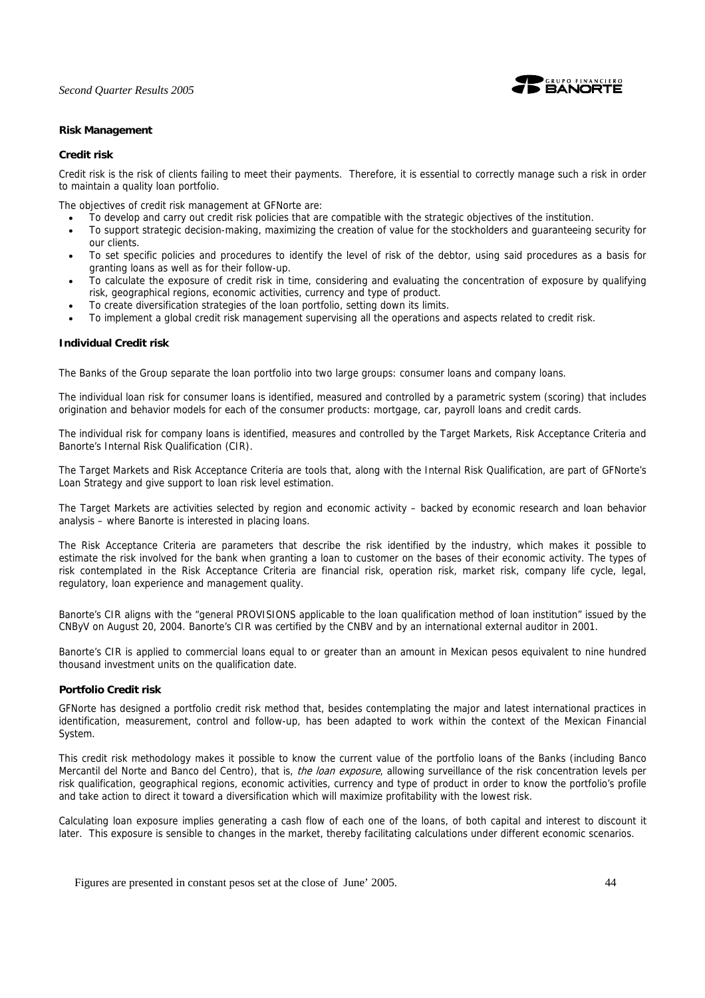

## **Risk Management**

## **Credit risk**

Credit risk is the risk of clients failing to meet their payments. Therefore, it is essential to correctly manage such a risk in order to maintain a quality loan portfolio.

The objectives of credit risk management at GFNorte are:

- To develop and carry out credit risk policies that are compatible with the strategic objectives of the institution.
- To support strategic decision-making, maximizing the creation of value for the stockholders and guaranteeing security for our clients.
- To set specific policies and procedures to identify the level of risk of the debtor, using said procedures as a basis for granting loans as well as for their follow-up.
- To calculate the exposure of credit risk in time, considering and evaluating the concentration of exposure by qualifying risk, geographical regions, economic activities, currency and type of product.
- To create diversification strategies of the loan portfolio, setting down its limits.
- To implement a global credit risk management supervising all the operations and aspects related to credit risk.

## **Individual Credit risk**

The Banks of the Group separate the loan portfolio into two large groups: consumer loans and company loans.

The individual loan risk for consumer loans is identified, measured and controlled by a parametric system (scoring) that includes origination and behavior models for each of the consumer products: mortgage, car, payroll loans and credit cards.

The individual risk for company loans is identified, measures and controlled by the Target Markets, Risk Acceptance Criteria and Banorte's Internal Risk Qualification (CIR).

The Target Markets and Risk Acceptance Criteria are tools that, along with the Internal Risk Qualification, are part of GFNorte's Loan Strategy and give support to loan risk level estimation.

The Target Markets are activities selected by region and economic activity – backed by economic research and loan behavior analysis – where Banorte is interested in placing loans.

The Risk Acceptance Criteria are parameters that describe the risk identified by the industry, which makes it possible to estimate the risk involved for the bank when granting a loan to customer on the bases of their economic activity. The types of risk contemplated in the Risk Acceptance Criteria are financial risk, operation risk, market risk, company life cycle, legal, regulatory, loan experience and management quality.

Banorte's CIR aligns with the "general PROVISIONS applicable to the loan qualification method of loan institution" issued by the CNByV on August 20, 2004. Banorte's CIR was certified by the CNBV and by an international external auditor in 2001.

Banorte's CIR is applied to commercial loans equal to or greater than an amount in Mexican pesos equivalent to nine hundred thousand investment units on the qualification date.

## **Portfolio Credit risk**

GFNorte has designed a portfolio credit risk method that, besides contemplating the major and latest international practices in identification, measurement, control and follow-up, has been adapted to work within the context of the Mexican Financial System.

This credit risk methodology makes it possible to know the current value of the portfolio loans of the Banks (including Banco Mercantil del Norte and Banco del Centro), that is, the loan exposure, allowing surveillance of the risk concentration levels per risk qualification, geographical regions, economic activities, currency and type of product in order to know the portfolio's profile and take action to direct it toward a diversification which will maximize profitability with the lowest risk.

Calculating loan exposure implies generating a cash flow of each one of the loans, of both capital and interest to discount it later. This exposure is sensible to changes in the market, thereby facilitating calculations under different economic scenarios.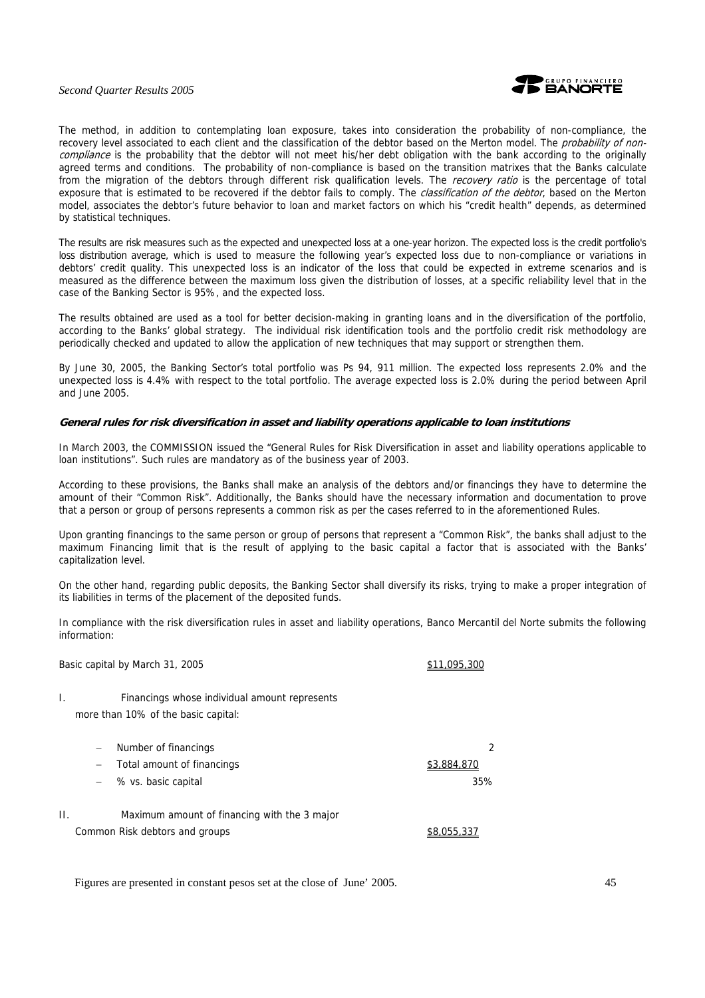

The method, in addition to contemplating loan exposure, takes into consideration the probability of non-compliance, the recovery level associated to each client and the classification of the debtor based on the Merton model. The *probability of non*compliance is the probability that the debtor will not meet his/her debt obligation with the bank according to the originally agreed terms and conditions. The probability of non-compliance is based on the transition matrixes that the Banks calculate from the migration of the debtors through different risk qualification levels. The recovery ratio is the percentage of total exposure that is estimated to be recovered if the debtor fails to comply. The *classification of the debtor*, based on the Merton model, associates the debtor's future behavior to loan and market factors on which his "credit health" depends, as determined by statistical techniques.

The results are risk measures such as the expected and unexpected loss at a one-year horizon. The expected loss is the credit portfolio's loss distribution average, which is used to measure the following year's expected loss due to non-compliance or variations in debtors' credit quality. This unexpected loss is an indicator of the loss that could be expected in extreme scenarios and is measured as the difference between the maximum loss given the distribution of losses, at a specific reliability level that in the case of the Banking Sector is 95%, and the expected loss.

The results obtained are used as a tool for better decision-making in granting loans and in the diversification of the portfolio, according to the Banks' global strategy. The individual risk identification tools and the portfolio credit risk methodology are periodically checked and updated to allow the application of new techniques that may support or strengthen them.

By June 30, 2005, the Banking Sector's total portfolio was Ps 94, 911 million. The expected loss represents 2.0% and the unexpected loss is 4.4% with respect to the total portfolio. The average expected loss is 2.0% during the period between April and June 2005.

#### **General rules for risk diversification in asset and liability operations applicable to loan institutions**

In March 2003, the COMMISSION issued the "General Rules for Risk Diversification in asset and liability operations applicable to loan institutions". Such rules are mandatory as of the business year of 2003.

According to these provisions, the Banks shall make an analysis of the debtors and/or financings they have to determine the amount of their "Common Risk". Additionally, the Banks should have the necessary information and documentation to prove that a person or group of persons represents a common risk as per the cases referred to in the aforementioned Rules.

Upon granting financings to the same person or group of persons that represent a "Common Risk", the banks shall adjust to the maximum Financing limit that is the result of applying to the basic capital a factor that is associated with the Banks' capitalization level.

On the other hand, regarding public deposits, the Banking Sector shall diversify its risks, trying to make a proper integration of its liabilities in terms of the placement of the deposited funds.

In compliance with the risk diversification rules in asset and liability operations, Banco Mercantil del Norte submits the following information:

Basic capital by March 31, 2005 **\$11,095,300** 

I. Financings whose individual amount represents more than 10% of the basic capital:

|    | Number of financings                         |             |
|----|----------------------------------------------|-------------|
|    | Total amount of financings<br>$-$            | \$3,884,870 |
|    | $-$ % vs. basic capital                      | 35%         |
| Н. | Maximum amount of financing with the 3 major |             |
|    | Common Risk debtors and groups               | \$8.055.337 |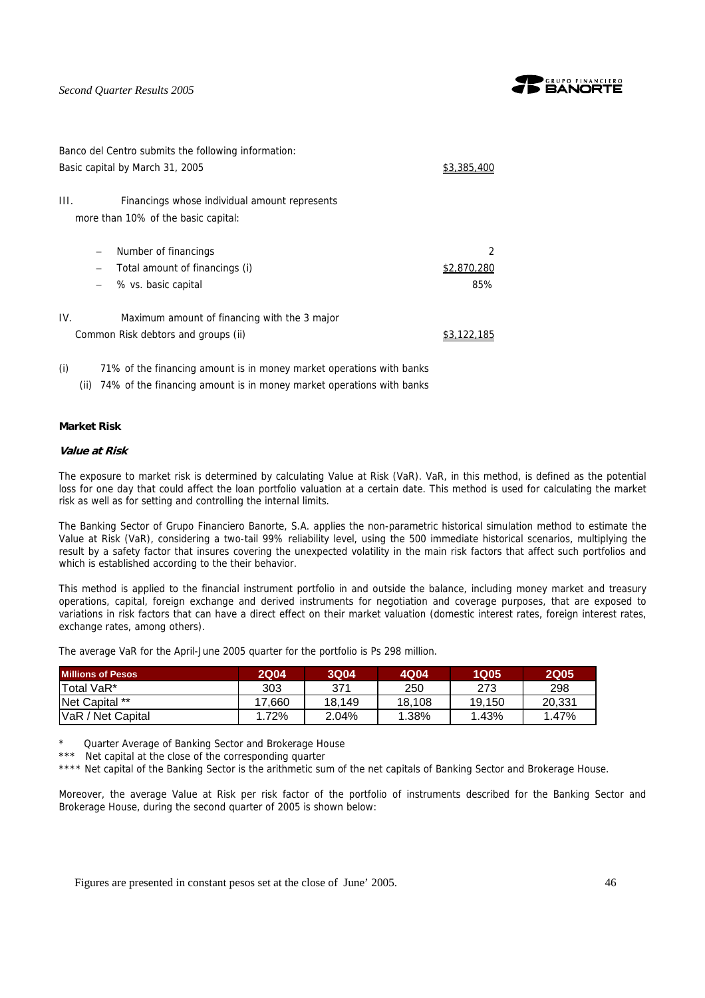

| Banco del Centro submits the following information:                                                                            |                       |
|--------------------------------------------------------------------------------------------------------------------------------|-----------------------|
| Basic capital by March 31, 2005                                                                                                | \$3.385.4             |
| III.<br>Financings whose individual amount represents<br>more than 10% of the basic capital:                                   |                       |
| Number of financings<br>$\overline{\phantom{m}}$<br>Total amount of financings (i)<br>$\qquad \qquad -$<br>% vs. basic capital | $\mathfrak{p}$<br>85% |
| IV.<br>Maximum amount of financing with the 3 major<br>Common Risk debtors and groups (ii)                                     | \$3,122,185           |

(i) 71% of the financing amount is in money market operations with banks (ii) 74% of the financing amount is in money market operations with banks

## **Market Risk**

## **Value at Risk**

The exposure to market risk is determined by calculating Value at Risk (VaR). VaR, in this method, is defined as the potential loss for one day that could affect the loan portfolio valuation at a certain date. This method is used for calculating the market risk as well as for setting and controlling the internal limits.

The Banking Sector of Grupo Financiero Banorte, S.A. applies the non-parametric historical simulation method to estimate the Value at Risk (VaR), considering a two-tail 99% reliability level, using the 500 immediate historical scenarios, multiplying the result by a safety factor that insures covering the unexpected volatility in the main risk factors that affect such portfolios and which is established according to the their behavior.

This method is applied to the financial instrument portfolio in and outside the balance, including money market and treasury operations, capital, foreign exchange and derived instruments for negotiation and coverage purposes, that are exposed to variations in risk factors that can have a direct effect on their market valuation (domestic interest rates, foreign interest rates, exchange rates, among others).

The average VaR for the April-June 2005 quarter for the portfolio is Ps 298 million.

| <b>Millions of Pesos</b> | <b>2Q04</b> | <b>3Q04</b> | 4Q04   | 1Q05   | <b>2Q05</b> |
|--------------------------|-------------|-------------|--------|--------|-------------|
| Total VaR*               | 303         | 371         | 250    | 273    | 298         |
| Net Capital **           | 7.660       | 18.149      | 18.108 | 19.150 | 20.331      |
| VaR / Net Capital        | 1.72%       | 2.04%       | 1.38%  | .43%   | 1.47%       |

Quarter Average of Banking Sector and Brokerage House

\*\*\* Net capital at the close of the corresponding quarter

\*\*\*\* Net capital of the Banking Sector is the arithmetic sum of the net capitals of Banking Sector and Brokerage House.

Moreover, the average Value at Risk per risk factor of the portfolio of instruments described for the Banking Sector and Brokerage House, during the second quarter of 2005 is shown below: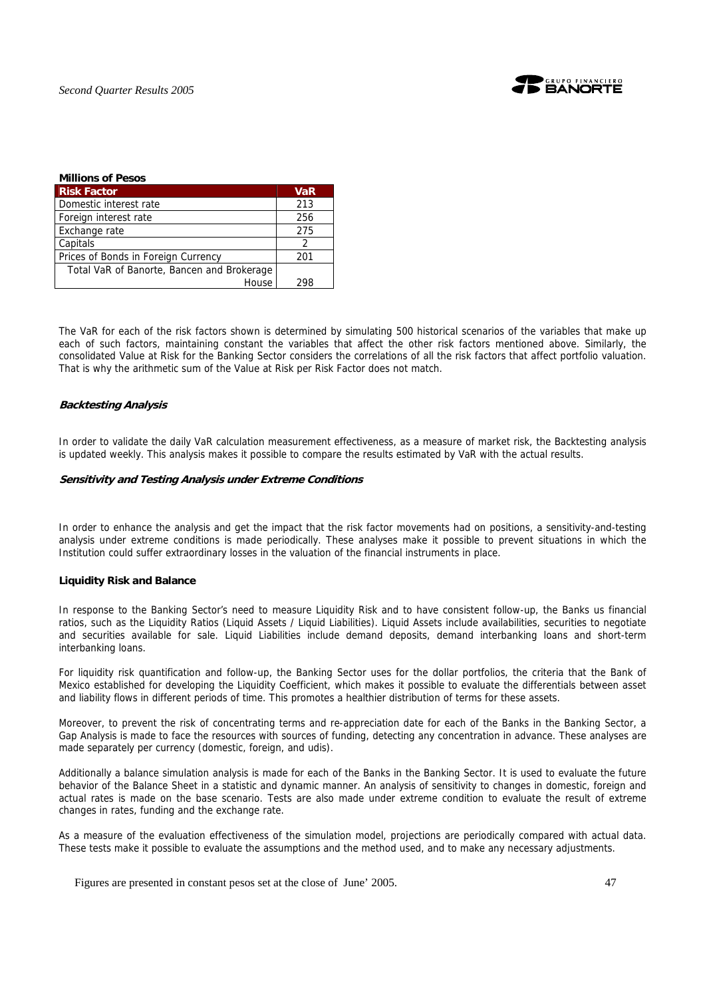

| <b>Millions of Pesos</b>                   |            |
|--------------------------------------------|------------|
| <b>Risk Factor</b>                         | <b>VaR</b> |
| Domestic interest rate                     | 213        |
| Foreign interest rate                      | 256        |
| Exchange rate                              | 275        |
| Capitals                                   |            |
| Prices of Bonds in Foreign Currency        | 201        |
| Total VaR of Banorte, Bancen and Brokerage |            |
| House                                      |            |

The VaR for each of the risk factors shown is determined by simulating 500 historical scenarios of the variables that make up each of such factors, maintaining constant the variables that affect the other risk factors mentioned above. Similarly, the consolidated Value at Risk for the Banking Sector considers the correlations of all the risk factors that affect portfolio valuation. That is why the arithmetic sum of the Value at Risk per Risk Factor does not match.

## **Backtesting Analysis**

In order to validate the daily VaR calculation measurement effectiveness, as a measure of market risk, the Backtesting analysis is updated weekly. This analysis makes it possible to compare the results estimated by VaR with the actual results.

#### **Sensitivity and Testing Analysis under Extreme Conditions**

In order to enhance the analysis and get the impact that the risk factor movements had on positions, a sensitivity-and-testing analysis under extreme conditions is made periodically. These analyses make it possible to prevent situations in which the Institution could suffer extraordinary losses in the valuation of the financial instruments in place.

## **Liquidity Risk and Balance**

In response to the Banking Sector's need to measure Liquidity Risk and to have consistent follow-up, the Banks us financial ratios, such as the Liquidity Ratios (Liquid Assets / Liquid Liabilities). Liquid Assets include availabilities, securities to negotiate and securities available for sale. Liquid Liabilities include demand deposits, demand interbanking loans and short-term interbanking loans.

For liquidity risk quantification and follow-up, the Banking Sector uses for the dollar portfolios, the criteria that the Bank of Mexico established for developing the Liquidity Coefficient, which makes it possible to evaluate the differentials between asset and liability flows in different periods of time. This promotes a healthier distribution of terms for these assets.

Moreover, to prevent the risk of concentrating terms and re-appreciation date for each of the Banks in the Banking Sector, a Gap Analysis is made to face the resources with sources of funding, detecting any concentration in advance. These analyses are made separately per currency (domestic, foreign, and udis).

Additionally a balance simulation analysis is made for each of the Banks in the Banking Sector. It is used to evaluate the future behavior of the Balance Sheet in a statistic and dynamic manner. An analysis of sensitivity to changes in domestic, foreign and actual rates is made on the base scenario. Tests are also made under extreme condition to evaluate the result of extreme changes in rates, funding and the exchange rate.

As a measure of the evaluation effectiveness of the simulation model, projections are periodically compared with actual data. These tests make it possible to evaluate the assumptions and the method used, and to make any necessary adjustments.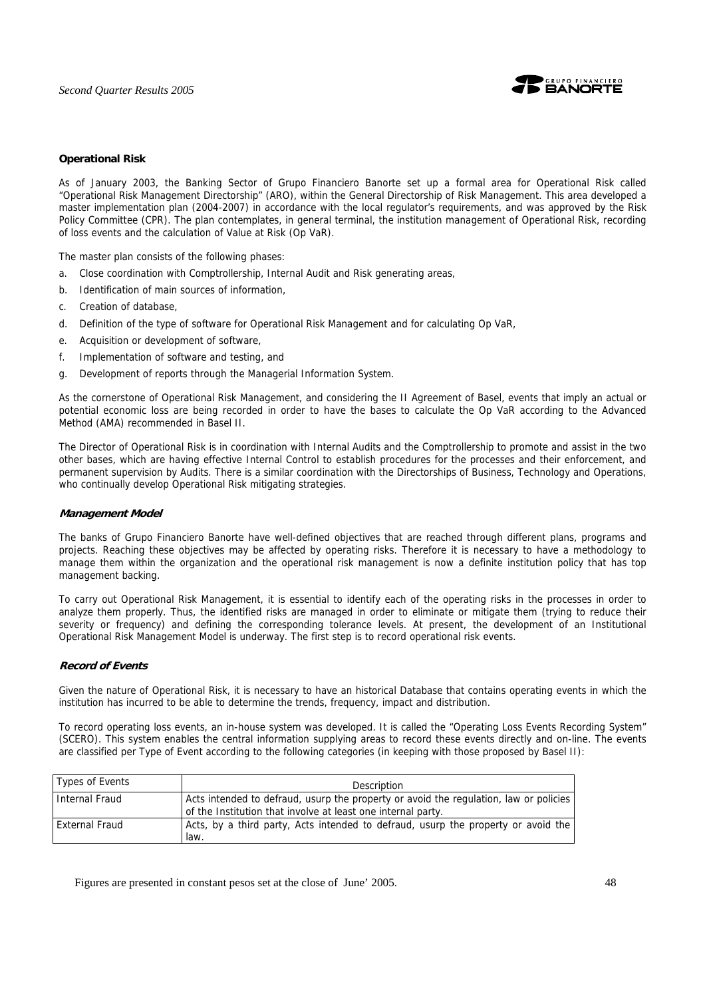

## **Operational Risk**

As of January 2003, the Banking Sector of Grupo Financiero Banorte set up a formal area for Operational Risk called "Operational Risk Management Directorship" (ARO), within the General Directorship of Risk Management. This area developed a master implementation plan (2004-2007) in accordance with the local regulator's requirements, and was approved by the Risk Policy Committee (CPR). The plan contemplates, in general terminal, the institution management of Operational Risk, recording of loss events and the calculation of Value at Risk (Op VaR).

The master plan consists of the following phases:

- a. Close coordination with Comptrollership, Internal Audit and Risk generating areas,
- b. Identification of main sources of information,
- c. Creation of database,
- d. Definition of the type of software for Operational Risk Management and for calculating Op VaR,
- e. Acquisition or development of software,
- f. Implementation of software and testing, and
- g. Development of reports through the Managerial Information System.

As the cornerstone of Operational Risk Management, and considering the II Agreement of Basel, events that imply an actual or potential economic loss are being recorded in order to have the bases to calculate the Op VaR according to the Advanced Method (AMA) recommended in Basel II.

The Director of Operational Risk is in coordination with Internal Audits and the Comptrollership to promote and assist in the two other bases, which are having effective Internal Control to establish procedures for the processes and their enforcement, and permanent supervision by Audits. There is a similar coordination with the Directorships of Business, Technology and Operations, who continually develop Operational Risk mitigating strategies.

#### **Management Model**

The banks of Grupo Financiero Banorte have well-defined objectives that are reached through different plans, programs and projects. Reaching these objectives may be affected by operating risks. Therefore it is necessary to have a methodology to manage them within the organization and the operational risk management is now a definite institution policy that has top management backing.

To carry out Operational Risk Management, it is essential to identify each of the operating risks in the processes in order to analyze them properly. Thus, the identified risks are managed in order to eliminate or mitigate them (trying to reduce their severity or frequency) and defining the corresponding tolerance levels. At present, the development of an Institutional Operational Risk Management Model is underway. The first step is to record operational risk events.

## **Record of Events**

Given the nature of Operational Risk, it is necessary to have an historical Database that contains operating events in which the institution has incurred to be able to determine the trends, frequency, impact and distribution.

To record operating loss events, an in-house system was developed. It is called the "Operating Loss Events Recording System" (SCERO). This system enables the central information supplying areas to record these events directly and on-line. The events are classified per Type of Event according to the following categories (in keeping with those proposed by Basel II):

| Types of Events | <b>Description</b>                                                                                                                                    |
|-----------------|-------------------------------------------------------------------------------------------------------------------------------------------------------|
| Internal Fraud  | Acts intended to defraud, usurp the property or avoid the regulation, law or policies<br>of the Institution that involve at least one internal party. |
| External Fraud  | Acts, by a third party, Acts intended to defraud, usurp the property or avoid the<br>law.                                                             |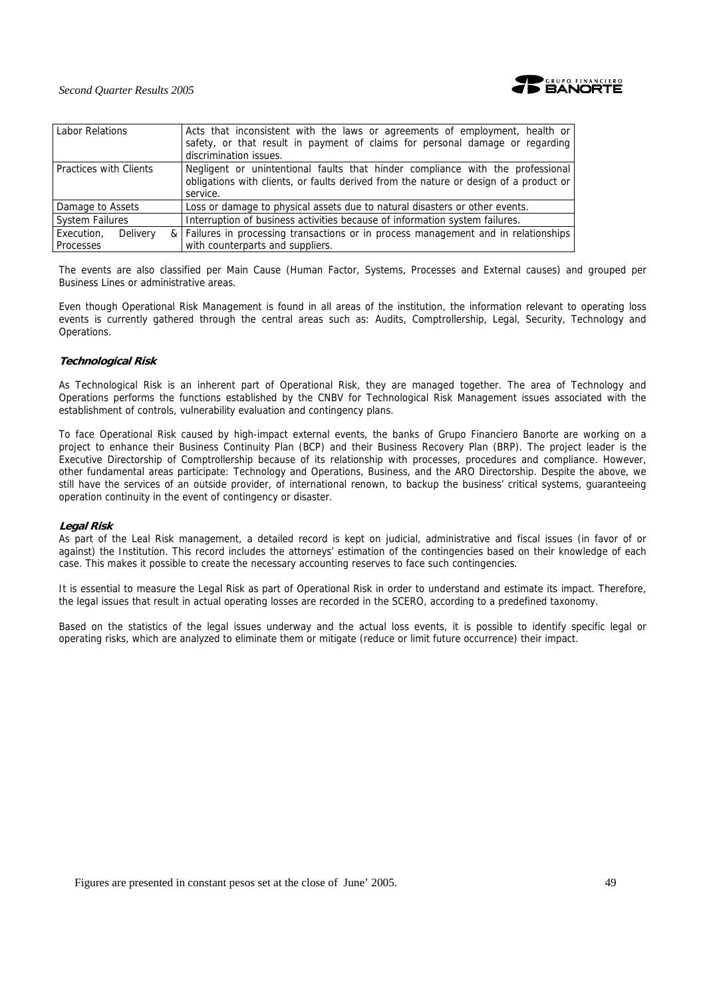

| Acts that inconsistent with the laws or agreements of employment, health or<br>safety, or that result in payment of claims for personal damage or regarding<br>discrimination issues. |  |  |  |  |
|---------------------------------------------------------------------------------------------------------------------------------------------------------------------------------------|--|--|--|--|
| Negligent or unintentional faults that hinder compliance with the professional<br>obligations with clients, or faults derived from the nature or design of a product or<br>service.   |  |  |  |  |
| Loss or damage to physical assets due to natural disasters or other events.<br>Damage to Assets                                                                                       |  |  |  |  |
| <b>System Failures</b><br>Interruption of business activities because of information system failures.                                                                                 |  |  |  |  |
| & Failures in processing transactions or in process management and in relationships<br>with counterparts and suppliers.                                                               |  |  |  |  |
|                                                                                                                                                                                       |  |  |  |  |

The events are also classified per Main Cause (Human Factor, Systems, Processes and External causes) and grouped per Business Lines or administrative areas.

Even though Operational Risk Management is found in all areas of the institution, the information relevant to operating loss events is currently gathered through the central areas such as: Audits, Comptrollership, Legal, Security, Technology and Operations.

## **Technological Risk**

As Technological Risk is an inherent part of Operational Risk, they are managed together. The area of Technology and Operations performs the functions established by the CNBV for Technological Risk Management issues associated with the establishment of controls, vulnerability evaluation and contingency plans.

To face Operational Risk caused by high-impact external events, the banks of Grupo Financiero Banorte are working on a project to enhance their Business Continuity Plan (BCP) and their Business Recovery Plan (BRP). The project leader is the Executive Directorship of Comptrollership because of its relationship with processes, procedures and compliance. However, other fundamental areas participate: Technology and Operations, Business, and the ARO Directorship. Despite the above, we still have the services of an outside provider, of international renown, to backup the business' critical systems, guaranteeing operation continuity in the event of contingency or disaster.

## **Legal Risk**

As part of the Leal Risk management, a detailed record is kept on judicial, administrative and fiscal issues (in favor of or against) the Institution. This record includes the attorneys' estimation of the contingencies based on their knowledge of each case. This makes it possible to create the necessary accounting reserves to face such contingencies.

It is essential to measure the Legal Risk as part of Operational Risk in order to understand and estimate its impact. Therefore, the legal issues that result in actual operating losses are recorded in the SCERO, according to a predefined taxonomy.

Based on the statistics of the legal issues underway and the actual loss events, it is possible to identify specific legal or operating risks, which are analyzed to eliminate them or mitigate (reduce or limit future occurrence) their impact.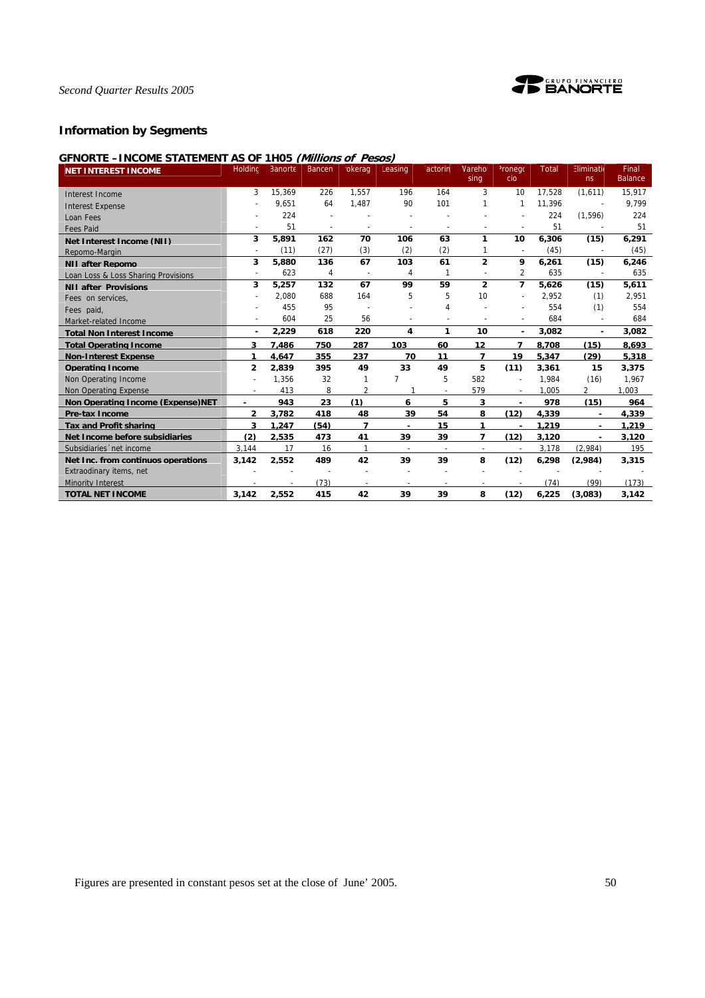

## **Information by Segments**

## **GFNORTE –INCOME STATEMENT AS OF 1H05 (Millions of Pesos)**

| <b>NET INTEREST INCOME</b>               | Holdinc               | Banorte | Bancen | okerag                  | Leasing                  | <sup>:</sup> actorin     | Vareho                   | <sup>2</sup> ronego      | Total  | Eliminatio     | Final          |
|------------------------------------------|-----------------------|---------|--------|-------------------------|--------------------------|--------------------------|--------------------------|--------------------------|--------|----------------|----------------|
|                                          |                       |         |        |                         |                          |                          | sing                     | cio                      |        | ns             | <b>Balance</b> |
| Interest Income                          | 3                     | 15,369  | 226    | 1.557                   | 196                      | 164                      | 3                        | 10                       | 17.528 | (1,611)        | 15,917         |
| <b>Interest Expense</b>                  |                       | 9,651   | 64     | 1,487                   | 90                       | 101                      | 1                        | $\mathbf{1}$             | 11.396 | $\overline{a}$ | 9,799          |
| Loan Fees                                |                       | 224     |        |                         |                          |                          |                          |                          | 224    | (1,596)        | 224            |
| <b>Fees Paid</b>                         |                       | 51      |        |                         |                          |                          |                          |                          | 51     |                | 51             |
| Net Interest Income (NII)                | 3                     | 5,891   | 162    | 70                      | 106                      | 63                       | 1                        | 10                       | 6,306  | (15)           | 6,291          |
| Repomo-Margin                            |                       | (11)    | (27)   | (3)                     | (2)                      | (2)                      |                          | $\overline{a}$           | (45)   |                | (45)           |
| <b>NII after Repomo</b>                  | 3                     | 5,880   | 136    | 67                      | 103                      | 61                       | $\overline{2}$           | 9                        | 6,261  | (15)           | 6,246          |
| Loan Loss & Loss Sharing Provisions      | ٠                     | 623     | 4      |                         | 4                        | 1                        |                          | $\overline{2}$           | 635    |                | 635            |
| <b>NII after Provisions</b>              | 3                     | 5,257   | 132    | 67                      | 99                       | 59                       | $\overline{2}$           | $\overline{7}$           | 5,626  | (15)           | 5,611          |
| Fees on services.                        |                       | 2.080   | 688    | 164                     | 5                        | 5                        | 10                       |                          | 2,952  | (1)            | 2,951          |
| Fees paid,                               |                       | 455     | 95     |                         |                          | 4                        |                          |                          | 554    | (1)            | 554            |
| Market-related Income                    |                       | 604     | 25     | 56                      | $\overline{\phantom{a}}$ |                          |                          | $\overline{\phantom{a}}$ | 684    | $\overline{a}$ | 684            |
| <b>Total Non Interest Income</b>         | ۰.                    | 2,229   | 618    | 220                     | 4                        | 1                        | 10                       | $\overline{\phantom{a}}$ | 3,082  | ٠              | 3,082          |
| <b>Total Operating Income</b>            | 3                     | 7.486   | 750    | 287                     | 103                      | 60                       | 12                       | 7                        | 8.708  | (15)           | 8,693          |
| <b>Non-Interest Expense</b>              | 1                     | 4.647   | 355    | 237                     | 70                       | 11                       | 7                        | 19                       | 5.347  | (29)           | 5,318          |
| <b>Operating Income</b>                  | $\mathbf{2}$          | 2.839   | 395    | 49                      | 33                       | 49                       | 5                        | (11)                     | 3.361  | 15             | 3.375          |
| Non Operating Income                     |                       | 1,356   | 32     | 1                       | $\overline{7}$           | 5                        | 582                      |                          | 1.984  | (16)           | 1,967          |
| Non Operating Expense                    | $\tilde{\phantom{a}}$ | 413     | 8      | $\overline{\mathbf{c}}$ |                          | $\overline{\phantom{a}}$ | 579                      | $\overline{\phantom{a}}$ | 1.005  | 2              | 1.003          |
| <b>Non Operating Income (Expense)NET</b> | ٠                     | 943     | 23     | (1)                     | 6                        | 5                        | 3                        | ٠                        | 978    | (15)           | 964            |
| <b>Pre-tax Income</b>                    | $\overline{2}$        | 3.782   | 418    | 48                      | 39                       | 54                       | 8                        | (12)                     | 4.339  | ٠              | 4.339          |
| <b>Tax and Profit sharing</b>            | 3                     | 1.247   | (54)   | 7                       | $\overline{\phantom{a}}$ | 15                       | 1                        | $\overline{\phantom{a}}$ | 1.219  | ٠              | 1.219          |
| Net Income before subsidiaries           | (2)                   | 2.535   | 473    | 41                      | 39                       | 39                       | 7                        | (12)                     | 3.120  | ٠              | 3.120          |
| Subsidiaries 'net income                 | 3.144                 | 17      | 16     | $\mathbf{1}$            | $\sim$                   | $\overline{\phantom{a}}$ | $\overline{\phantom{a}}$ | $\sim$                   | 3.178  | (2.984)        | 195            |
| Net Inc. from continuos operations       | 3.142                 | 2.552   | 489    | 42                      | 39                       | 39                       | 8                        | (12)                     | 6.298  | (2.984)        | 3.315          |
| Extraodinary items, net                  |                       |         |        |                         |                          |                          |                          |                          |        |                |                |
| <b>Minority Interest</b>                 |                       |         | (73)   |                         |                          |                          |                          |                          | (74)   | (99)           | (173)          |
| <b>TOTAL NET INCOME</b>                  | 3,142                 | 2,552   | 415    | 42                      | 39                       | 39                       | 8                        | (12)                     | 6,225  | (3,083)        | 3,142          |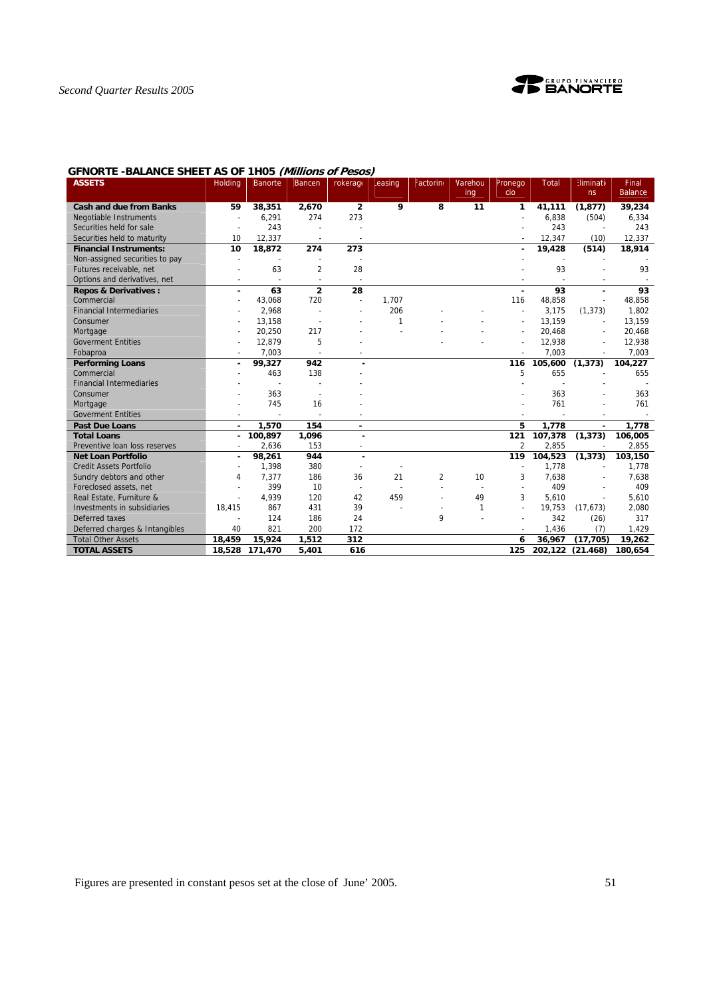

## **GFNORTE -BALANCE SHEET AS OF 1H05 (Millions of Pesos)**

| <b>ASSETS</b>                   | <b>Holding</b> | <b>Banorte</b> | Bancen         | rokerage       | easing | Factorin       | Varehou | Pronego                  | <b>Total</b> | <b>Eliminati</b>         | Final          |
|---------------------------------|----------------|----------------|----------------|----------------|--------|----------------|---------|--------------------------|--------------|--------------------------|----------------|
|                                 |                |                |                |                |        |                | ing     | cio                      |              | ns                       | <b>Balance</b> |
| <b>Cash and due from Banks</b>  | 59             | 38,351         | 2,670          | $\overline{2}$ | 9      | 8              | 11      | 1                        | 41.111       | (1, 877)                 | 39,234         |
| Negotiable Instruments          |                | 6,291          | 274            | 273            |        |                |         |                          | 6,838        | (504)                    | 6,334          |
| Securities held for sale        |                | 243            |                |                |        |                |         |                          | 243          |                          | 243            |
| Securities held to maturity     | 10             | 12,337         |                |                |        |                |         |                          | 12,347       | (10)                     | 12,337         |
| <b>Financial Instruments:</b>   | 10             | 18,872         | 274            | 273            |        |                |         |                          | 19,428       | (514)                    | 18,914         |
| Non-assigned securities to pay  |                |                |                |                |        |                |         |                          |              |                          |                |
| Futures receivable, net         |                | 63             | $\overline{2}$ | 28             |        |                |         |                          | 93           |                          | 93             |
| Options and derivatives, net    |                |                | $\sim$         | $\sim$         |        |                |         |                          |              |                          |                |
| <b>Repos &amp; Derivatives:</b> | ٠              | 63             | $\overline{2}$ | 28             |        |                |         | ٠                        | 93           | $\blacksquare$           | 93             |
| Commercial                      |                | 43.068         | 720            | $\overline{a}$ | 1.707  |                |         | 116                      | 48,858       |                          | 48,858         |
| <b>Financial Intermediaries</b> |                | 2,968          |                |                | 206    |                |         |                          | 3.175        | (1, 373)                 | 1,802          |
| Consumer                        |                | 13,158         |                |                | 1      |                |         |                          | 13,159       | $\overline{\phantom{a}}$ | 13,159         |
| Mortgage                        |                | 20,250         | 217            |                |        |                |         |                          | 20,468       |                          | 20,468         |
| <b>Goverment Entities</b>       |                | 12,879         | 5              |                |        |                |         |                          | 12,938       |                          | 12,938         |
| Fobaproa                        |                | 7,003          |                |                |        |                |         |                          | 7,003        |                          | 7,003          |
| <b>Performing Loans</b>         |                | 99,327         | 942            |                |        |                |         | 116                      | 105,600      | (1, 373)                 | 104,227        |
| Commercial                      |                | 463            | 138            |                |        |                |         | 5                        | 655          |                          | 655            |
| <b>Financial Intermediaries</b> |                |                |                |                |        |                |         |                          |              |                          |                |
| Consumer                        |                | 363            |                |                |        |                |         |                          | 363          |                          | 363            |
| Mortgage                        |                | 745            | 16             |                |        |                |         |                          | 761          |                          | 761            |
| <b>Goverment Entities</b>       |                |                |                |                |        |                |         |                          |              |                          |                |
| <b>Past Due Loans</b>           |                | 1.570          | 154            |                |        |                |         | 5                        | 1,778        |                          | 1.778          |
| <b>Total Loans</b>              |                | 100,897        | 1,096          |                |        |                |         | 121                      | 107,378      | (1, 373)                 | 106,005        |
| Preventive loan loss reserves   |                | 2,636          | 153            |                |        |                |         | $\overline{2}$           | 2,855        |                          | 2,855          |
| <b>Net Loan Portfolio</b>       |                | 98,261         | 944            | $\blacksquare$ |        |                |         | 119                      | 104,523      | (1, 373)                 | 103,150        |
| <b>Credit Assets Portfolio</b>  |                | 1,398          | 380            |                |        |                |         |                          | 1.778        |                          | 1,778          |
| Sundry debtors and other        | 4              | 7.377          | 186            | 36             | 21     | $\overline{2}$ | 10      | 3                        | 7,638        |                          | 7,638          |
| Foreclosed assets, net          |                | 399            | 10             | $\sim$         |        |                |         | $\overline{\phantom{a}}$ | 409          |                          | 409            |
| Real Estate, Furniture &        |                | 4,939          | 120            | 42             | 459    |                | 49      | 3                        | 5,610        |                          | 5,610          |
| Investments in subsidiaries     | 18,415         | 867            | 431            | 39             |        | $\blacksquare$ | 1       | $\overline{a}$           | 19,753       | (17, 673)                | 2,080          |
| Deferred taxes                  |                | 124            | 186            | 24             |        | 9              |         |                          | 342          | (26)                     | 317            |
| Deferred charges & Intangibles  | 40             | 821            | 200            | 172            |        |                |         |                          | 1,436        | (7)                      | 1,429          |
| <b>Total Other Assets</b>       | 18,459         | 15,924         | 1,512          | 312            |        |                |         | 6                        | 36,967       | (17, 705)                | 19,262         |
| <b>TOTAL ASSETS</b>             | 18,528         | 171,470        | 5,401          | 616            |        |                |         | 125                      | 202,122      | (21.468)                 | 180,654        |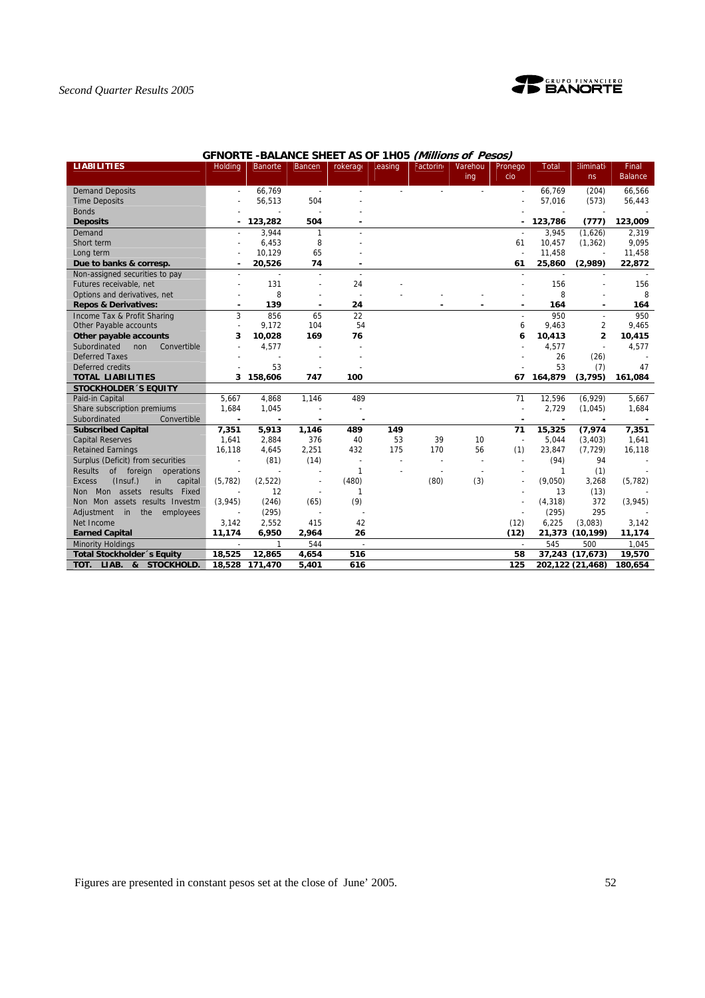

## **GFNORTE -BALANCE SHEET AS OF 1H05 (Millions of Pesos)**

| <b>LIABILITIES</b>                         | <b>Holding</b> | <b>Banorte</b> | <b>Bancen</b>            | rokerage        | easing         | Factorin | Varehou<br>ing | Pronego<br>cio | <b>Total</b> | Eliminatio<br>ns         | Final<br><b>Balance</b> |
|--------------------------------------------|----------------|----------------|--------------------------|-----------------|----------------|----------|----------------|----------------|--------------|--------------------------|-------------------------|
| <b>Demand Deposits</b>                     |                | 66.769         | $\overline{\phantom{a}}$ |                 |                |          |                |                | 66.769       | (204)                    | 66,566                  |
| <b>Time Deposits</b>                       |                | 56,513         | 504                      |                 |                |          |                |                | 57,016       | (573)                    | 56,443                  |
| <b>Bonds</b>                               |                |                |                          |                 |                |          |                |                |              |                          |                         |
| <b>Deposits</b>                            |                | 123,282        | 504                      |                 |                |          |                |                | 123,786      | (777)                    | 123,009                 |
| Demand                                     |                | 3,944          | 1                        |                 |                |          |                |                | 3,945        | (1,626)                  | 2,319                   |
| Short term                                 |                | 6,453          | 8                        |                 |                |          |                | 61             | 10,457       | (1, 362)                 | 9,095                   |
| Long term                                  |                | 10,129         | 65                       |                 |                |          |                |                | 11,458       |                          | 11,458                  |
| Due to banks & corresp.                    |                | 20,526         | 74                       |                 |                |          |                | 61             | 25,860       | (2,989)                  | 22,872                  |
| Non-assigned securities to pay             |                | $\overline{a}$ | $\overline{a}$           | $\overline{a}$  |                |          |                |                |              |                          |                         |
| Futures receivable, net                    |                | 131            |                          | 24              |                |          |                |                | 156          |                          | 156                     |
| Options and derivatives, net               |                | 8              |                          |                 |                |          |                |                | 8            |                          | 8                       |
| <b>Repos &amp; Derivatives:</b>            |                | 139            | ٠                        | 24              |                |          |                | ٠              | 164          |                          | 164                     |
| Income Tax & Profit Sharing                | 3              | 856            | 65                       | $\overline{22}$ |                |          |                | $\overline{a}$ | 950          |                          | 950                     |
| Other Payable accounts                     |                | 9,172          | 104                      | 54              |                |          |                | 6              | 9,463        | $\overline{2}$           | 9,465                   |
| Other payable accounts                     | 3              | 10,028         | 169                      | 76              |                |          |                | 6              | 10,413       | $\overline{\mathbf{c}}$  | 10,415                  |
| Subordinated<br>non<br>Convertible         |                | 4,577          |                          |                 |                |          |                |                | 4,577        | $\overline{\phantom{a}}$ | 4,577                   |
| <b>Deferred Taxes</b>                      |                |                |                          |                 |                |          |                |                | 26           | (26)                     |                         |
| Deferred credits                           |                | 53             |                          |                 |                |          |                |                | 53           | (7)                      | 47                      |
| <b>TOTAL LIABILITIES</b>                   | 3              | 158,606        | 747                      | 100             |                |          |                | 67             | 164,879      | (3, 795)                 | 161,084                 |
| <b>STOCKHOLDER 'S EQUITY</b>               |                |                |                          |                 |                |          |                |                |              |                          |                         |
| Paid-in Capital                            | 5,667          | 4,868          | 1,146                    | 489             |                |          |                | 71             | 12,596       | (6,929)                  | 5,667                   |
| Share subscription premiums                | 1,684          | 1,045          |                          |                 |                |          |                |                | 2,729        | (1,045)                  | 1,684                   |
| Convertible<br>Subordinated                |                |                |                          |                 |                |          |                |                |              |                          |                         |
| <b>Subscribed Capital</b>                  | 7,351          | 5,913          | 1,146                    | 489             | 149            |          |                | 71             | 15,325       | (7, 974)                 | 7,351                   |
| <b>Capital Reserves</b>                    | 1,641          | 2,884          | 376                      | 40              | 53             | 39       | 10             | $\sim$         | 5,044        | (3,403)                  | 1,641                   |
| <b>Retained Earnings</b>                   | 16,118         | 4,645          | 2,251                    | 432             | 175            | 170      | 56             | (1)            | 23,847       | (7, 729)                 | 16,118                  |
| Surplus (Deficit) from securities          |                | (81)           | (14)                     |                 | $\overline{a}$ |          |                |                | (94)         | 94                       |                         |
| of foreign operations<br>Results           |                |                | ÷,                       | $\mathbf{1}$    |                |          |                |                | 1            | (1)                      |                         |
| (Insuf.)<br>capital<br><b>Excess</b><br>in | (5, 782)       | (2,522)        |                          | (480)           |                | (80)     | (3)            |                | (9,050)      | 3,268                    | (5, 782)                |
| Mon<br>assets results Fixed<br>Non         |                | 12             |                          | 1               |                |          |                |                | 13           | (13)                     |                         |
| Mon assets results Investm<br>Non.         | (3,945)        | (246)          | (65)                     | (9)             |                |          |                |                | (4, 318)     | 372                      | (3, 945)                |
| the<br>Adjustment<br>in<br>employees       |                | (295)          |                          |                 |                |          |                |                | (295)        | 295                      |                         |
| Net Income                                 | 3,142          | 2,552          | 415                      | 42              |                |          |                | (12)           | 6,225        | (3,083)                  | 3,142                   |
| <b>Earned Capital</b>                      | 11,174         | 6,950          | 2,964                    | 26              |                |          |                | (12)           |              | 21,373 (10,199)          | 11,174                  |
| <b>Minority Holdings</b>                   | $\sim$         | 1              | 544                      | $\sim$          |                |          |                | $\sim$         | 545          | 500                      | 1,045                   |
| Total Stockholder's Equity                 | 18,525         | 12,865         | 4,654                    | 516             |                |          |                | 58             |              | 37,243 (17,673)          | 19,570                  |
| TOT. LIAB. & STOCKHOLD.                    | 18,528         | 171,470        | 5,401                    | 616             |                |          |                | 125            |              | 202,122 (21,468)         | 180,654                 |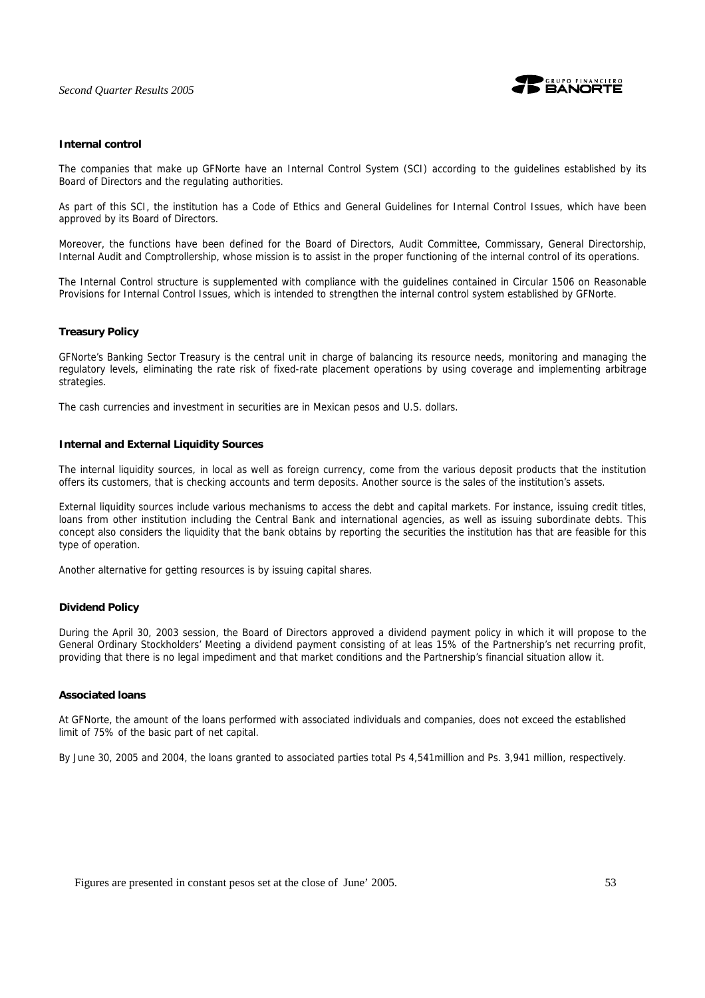

#### **Internal control**

The companies that make up GFNorte have an Internal Control System (SCI) according to the guidelines established by its Board of Directors and the regulating authorities.

As part of this SCI, the institution has a Code of Ethics and General Guidelines for Internal Control Issues, which have been approved by its Board of Directors.

Moreover, the functions have been defined for the Board of Directors, Audit Committee, Commissary, General Directorship, Internal Audit and Comptrollership, whose mission is to assist in the proper functioning of the internal control of its operations.

The Internal Control structure is supplemented with compliance with the guidelines contained in Circular 1506 on Reasonable Provisions for Internal Control Issues, which is intended to strengthen the internal control system established by GFNorte.

#### **Treasury Policy**

GFNorte's Banking Sector Treasury is the central unit in charge of balancing its resource needs, monitoring and managing the regulatory levels, eliminating the rate risk of fixed-rate placement operations by using coverage and implementing arbitrage strategies.

The cash currencies and investment in securities are in Mexican pesos and U.S. dollars.

#### **Internal and External Liquidity Sources**

The internal liquidity sources, in local as well as foreign currency, come from the various deposit products that the institution offers its customers, that is checking accounts and term deposits. Another source is the sales of the institution's assets.

External liquidity sources include various mechanisms to access the debt and capital markets. For instance, issuing credit titles, loans from other institution including the Central Bank and international agencies, as well as issuing subordinate debts. This concept also considers the liquidity that the bank obtains by reporting the securities the institution has that are feasible for this type of operation.

Another alternative for getting resources is by issuing capital shares.

#### **Dividend Policy**

During the April 30, 2003 session, the Board of Directors approved a dividend payment policy in which it will propose to the General Ordinary Stockholders' Meeting a dividend payment consisting of at leas 15% of the Partnership's net recurring profit, providing that there is no legal impediment and that market conditions and the Partnership's financial situation allow it.

#### **Associated loans**

At GFNorte, the amount of the loans performed with associated individuals and companies, does not exceed the established limit of 75% of the basic part of net capital.

By June 30, 2005 and 2004, the loans granted to associated parties total Ps 4,541million and Ps. 3,941 million, respectively.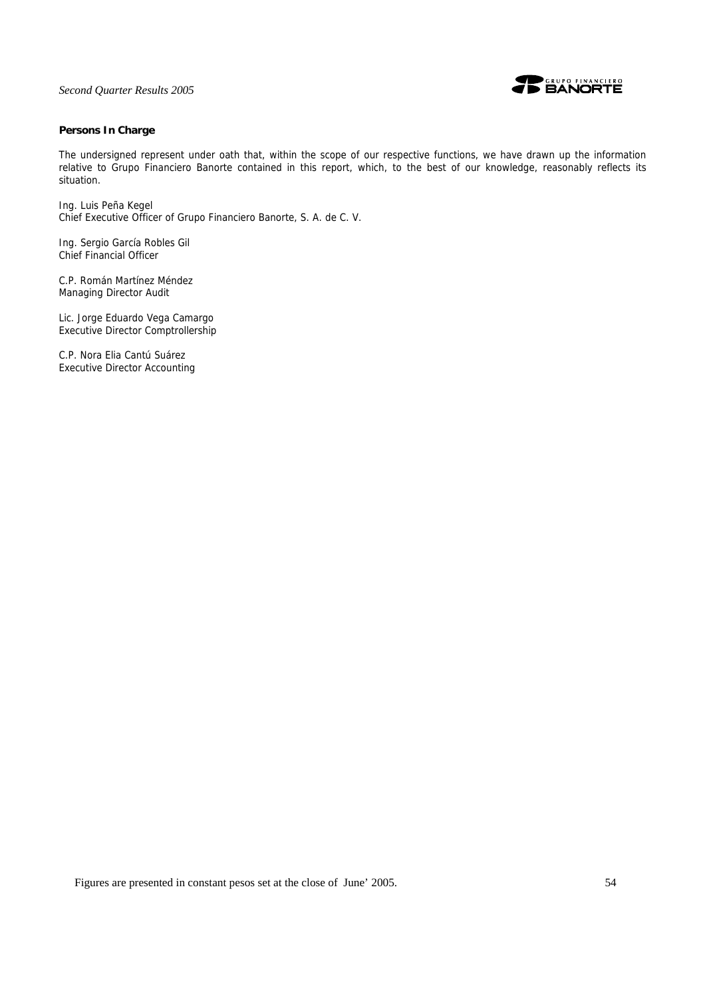

## **Persons In Charge**

The undersigned represent under oath that, within the scope of our respective functions, we have drawn up the information relative to Grupo Financiero Banorte contained in this report, which, to the best of our knowledge, reasonably reflects its situation.

Ing. Luis Peña Kegel Chief Executive Officer of Grupo Financiero Banorte, S. A. de C. V.

Ing. Sergio García Robles Gil Chief Financial Officer

C.P. Román Martínez Méndez Managing Director Audit

Lic. Jorge Eduardo Vega Camargo Executive Director Comptrollership

C.P. Nora Elia Cantú Suárez Executive Director Accounting